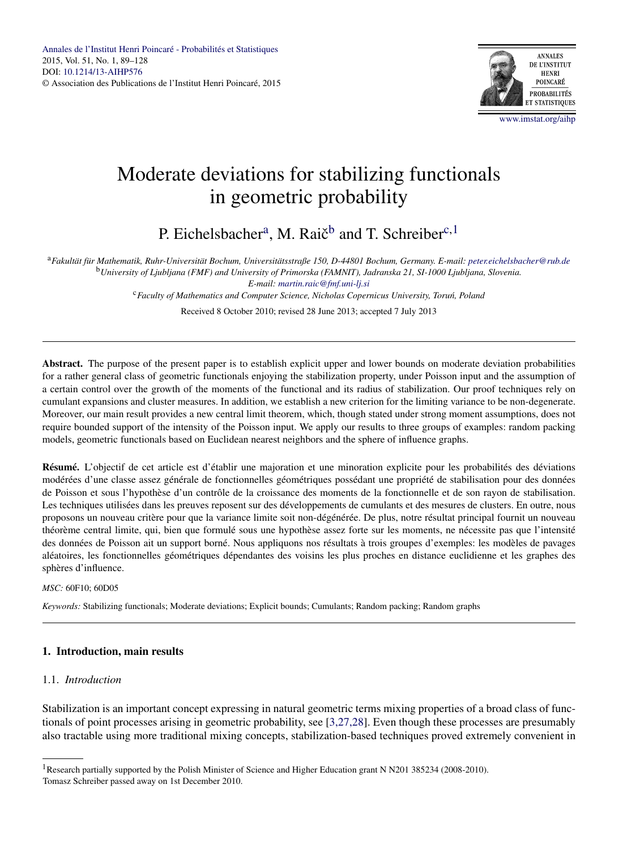

# <span id="page-0-0"></span>Moderate deviations for stabilizing functionals in geometric probability

P. Eichelsbacher<sup>a</sup>, M. Raič<sup>b</sup> and T. Schreiber<sup>c,1</sup>

<sup>a</sup>*Fakultät für Mathematik, Ruhr-Universität Bochum, Universitätsstraße 150, D-44801 Bochum, Germany. E-mail: [peter.eichelsbacher@rub.de](mailto:peter.eichelsbacher@rub.de)* <sup>b</sup>*University of Ljubljana (FMF) and University of Primorska (FAMNIT), Jadranska 21, SI-1000 Ljubljana, Slovenia. E-mail: [martin.raic@fmf.uni-lj.si](mailto:martin.raic@fmf.uni-lj.si)*

<sup>c</sup> Faculty of Mathematics and Computer Science, Nicholas Copernicus University, Toruń, Poland

Received 8 October 2010; revised 28 June 2013; accepted 7 July 2013

**Abstract.** The purpose of the present paper is to establish explicit upper and lower bounds on moderate deviation probabilities for a rather general class of geometric functionals enjoying the stabilization property, under Poisson input and the assumption of a certain control over the growth of the moments of the functional and its radius of stabilization. Our proof techniques rely on cumulant expansions and cluster measures. In addition, we establish a new criterion for the limiting variance to be non-degenerate. Moreover, our main result provides a new central limit theorem, which, though stated under strong moment assumptions, does not require bounded support of the intensity of the Poisson input. We apply our results to three groups of examples: random packing models, geometric functionals based on Euclidean nearest neighbors and the sphere of influence graphs.

**Résumé.** L'objectif de cet article est d'établir une majoration et une minoration explicite pour les probabilités des déviations modérées d'une classe assez générale de fonctionnelles géométriques possédant une propriété de stabilisation pour des données de Poisson et sous l'hypothèse d'un contrôle de la croissance des moments de la fonctionnelle et de son rayon de stabilisation. Les techniques utilisées dans les preuves reposent sur des développements de cumulants et des mesures de clusters. En outre, nous proposons un nouveau critère pour que la variance limite soit non-dégénérée. De plus, notre résultat principal fournit un nouveau théorème central limite, qui, bien que formulé sous une hypothèse assez forte sur les moments, ne nécessite pas que l'intensité des données de Poisson ait un support borné. Nous appliquons nos résultats à trois groupes d'exemples: les modèles de pavages aléatoires, les fonctionnelles géométriques dépendantes des voisins les plus proches en distance euclidienne et les graphes des sphères d'influence.

## *MSC:* 60F10; 60D05

*Keywords:* Stabilizing functionals; Moderate deviations; Explicit bounds; Cumulants; Random packing; Random graphs

# **1. Introduction, main results**

# 1.1. *Introduction*

Stabilization is an important concept expressing in natural geometric terms mixing properties of a broad class of functionals of point processes arising in geometric probability, see [\[3,27,28\]](#page-38-0). Even though these processes are presumably also tractable using more traditional mixing concepts, stabilization-based techniques proved extremely convenient in

<sup>1</sup>Research partially supported by the Polish Minister of Science and Higher Education grant N N201 385234 (2008-2010). Tomasz Schreiber passed away on 1st December 2010.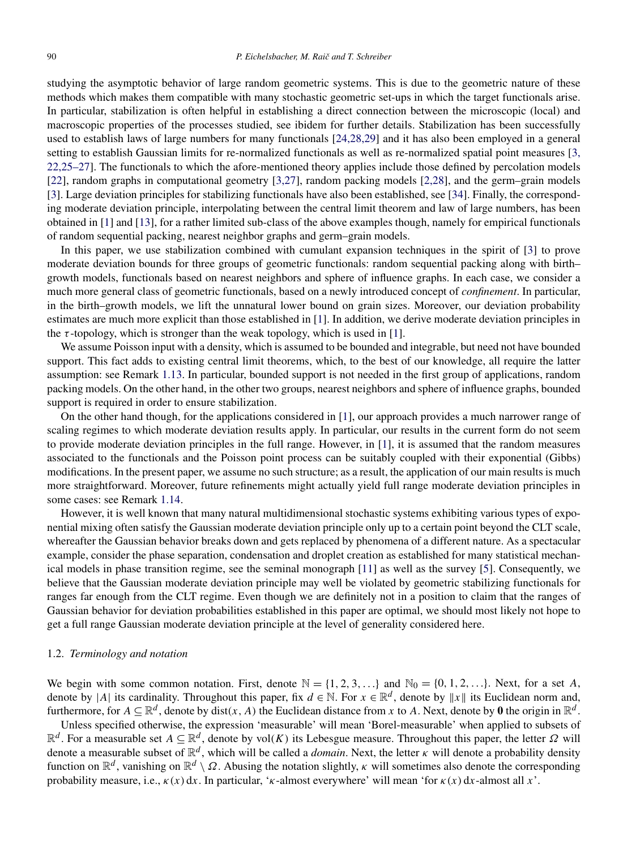<span id="page-1-0"></span>studying the asymptotic behavior of large random geometric systems. This is due to the geometric nature of these methods which makes them compatible with many stochastic geometric set-ups in which the target functionals arise. In particular, stabilization is often helpful in establishing a direct connection between the microscopic (local) and macroscopic properties of the processes studied, see ibidem for further details. Stabilization has been successfully used to establish laws of large numbers for many functionals [\[24,28,29\]](#page-39-0) and it has also been employed in a general setting to establish Gaussian limits for re-normalized functionals as well as re-normalized spatial point measures [\[3,](#page-38-0) [22,25–27\]](#page-38-0). The functionals to which the afore-mentioned theory applies include those defined by percolation models [\[22\]](#page-39-0), random graphs in computational geometry [\[3,27\]](#page-38-0), random packing models [\[2,28\]](#page-38-0), and the germ–grain models [\[3\]](#page-38-0). Large deviation principles for stabilizing functionals have also been established, see [\[34\]](#page-39-0). Finally, the corresponding moderate deviation principle, interpolating between the central limit theorem and law of large numbers, has been obtained in [\[1\]](#page-38-0) and [\[13\]](#page-39-0), for a rather limited sub-class of the above examples though, namely for empirical functionals of random sequential packing, nearest neighbor graphs and germ–grain models.

In this paper, we use stabilization combined with cumulant expansion techniques in the spirit of [\[3\]](#page-38-0) to prove moderate deviation bounds for three groups of geometric functionals: random sequential packing along with birth– growth models, functionals based on nearest neighbors and sphere of influence graphs. In each case, we consider a much more general class of geometric functionals, based on a newly introduced concept of *confinement*. In particular, in the birth–growth models, we lift the unnatural lower bound on grain sizes. Moreover, our deviation probability estimates are much more explicit than those established in [\[1\]](#page-38-0). In addition, we derive moderate deviation principles in the  $\tau$ -topology, which is stronger than the weak topology, which is used in [\[1\]](#page-38-0).

We assume Poisson input with a density, which is assumed to be bounded and integrable, but need not have bounded support. This fact adds to existing central limit theorems, which, to the best of our knowledge, all require the latter assumption: see Remark [1.13.](#page-10-0) In particular, bounded support is not needed in the first group of applications, random packing models. On the other hand, in the other two groups, nearest neighbors and sphere of influence graphs, bounded support is required in order to ensure stabilization.

On the other hand though, for the applications considered in [\[1\]](#page-38-0), our approach provides a much narrower range of scaling regimes to which moderate deviation results apply. In particular, our results in the current form do not seem to provide moderate deviation principles in the full range. However, in [\[1\]](#page-38-0), it is assumed that the random measures associated to the functionals and the Poisson point process can be suitably coupled with their exponential (Gibbs) modifications. In the present paper, we assume no such structure; as a result, the application of our main results is much more straightforward. Moreover, future refinements might actually yield full range moderate deviation principles in some cases: see Remark [1.14.](#page-10-0)

However, it is well known that many natural multidimensional stochastic systems exhibiting various types of exponential mixing often satisfy the Gaussian moderate deviation principle only up to a certain point beyond the CLT scale, whereafter the Gaussian behavior breaks down and gets replaced by phenomena of a different nature. As a spectacular example, consider the phase separation, condensation and droplet creation as established for many statistical mechanical models in phase transition regime, see the seminal monograph [\[11\]](#page-39-0) as well as the survey [\[5\]](#page-39-0). Consequently, we believe that the Gaussian moderate deviation principle may well be violated by geometric stabilizing functionals for ranges far enough from the CLT regime. Even though we are definitely not in a position to claim that the ranges of Gaussian behavior for deviation probabilities established in this paper are optimal, we should most likely not hope to get a full range Gaussian moderate deviation principle at the level of generality considered here.

## 1.2. *Terminology and notation*

We begin with some common notation. First, denote  $\mathbb{N} = \{1, 2, 3, \ldots\}$  and  $\mathbb{N}_0 = \{0, 1, 2, \ldots\}$ . Next, for a set *A*, denote by |*A*| its cardinality. Throughout this paper, fix  $d \in \mathbb{N}$ . For  $x \in \mathbb{R}^d$ , denote by  $||x||$  its Euclidean norm and, furthermore, for  $A \subseteq \mathbb{R}^d$ , denote by dist(x, A) the Euclidean distance from x to A. Next, denote by 0 the origin in  $\mathbb{R}^d$ .

Unless specified otherwise, the expression 'measurable' will mean 'Borel-measurable' when applied to subsets of R*<sup>d</sup>* . For a measurable set *A* ⊆ R*<sup>d</sup>* , denote by vol*(K)* its Lebesgue measure. Throughout this paper, the letter *Ω* will denote a measurable subset of  $\mathbb{R}^d$ , which will be called a *domain*. Next, the letter *κ* will denote a probability density function on  $\mathbb{R}^d$ , vanishing on  $\mathbb{R}^d \setminus \Omega$ . Abusing the notation slightly, *κ* will sometimes also denote the corresponding probability measure, i.e.,  $\kappa(x) dx$ . In particular, '*κ*-almost everywhere' will mean 'for  $\kappa(x) dx$ -almost all *x*'.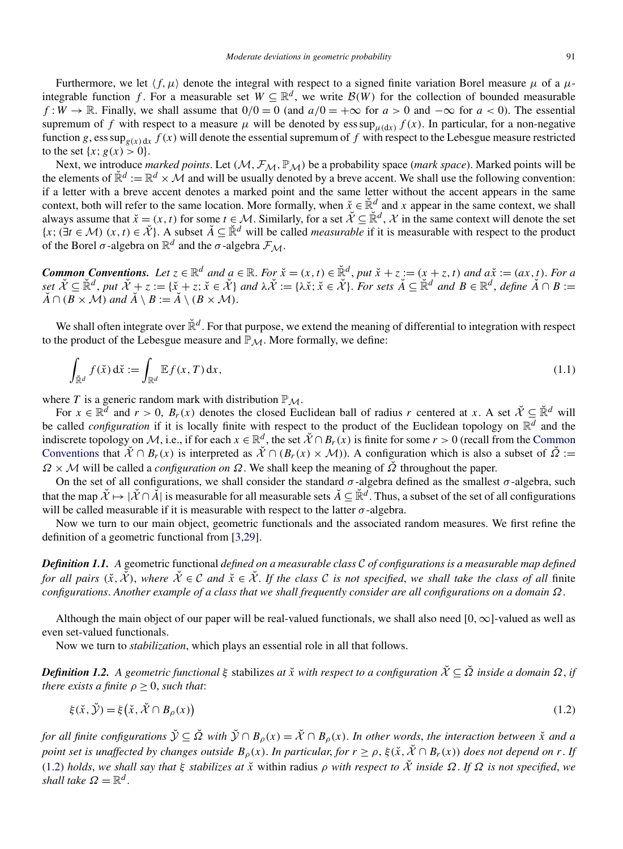<span id="page-2-0"></span>Furthermore, we let  $\langle f, \mu \rangle$  denote the integral with respect to a signed finite variation Borel measure  $\mu$  of a  $\mu$ integrable function *f*. For a measurable set  $W \subseteq \mathbb{R}^d$ , we write  $\mathcal{B}(W)$  for the collection of bounded measurable *f* : *W* → R. Finally, we shall assume that  $0/0 = 0$  (and  $a/0 = +\infty$  for  $a > 0$  and  $-\infty$  for  $a < 0$ ). The essential supremum of *f* with respect to a measure  $\mu$  will be denoted by ess sup<sub> $\mu$ (dx)</sub>  $f(x)$ . In particular, for a non-negative function *g*, ess sup<sub>*g*(*x*) d*x*  $f(x)$  will denote the essential supremum of  $f$  with respect to the Lebesgue measure restricted</sub> to the set  $\{x; g(x) > 0\}.$ 

Next, we introduce *marked points*. Let  $(M, \mathcal{F}_M, \mathbb{P}_M)$  be a probability space (*mark space*). Marked points will be the elements of  $\mathbb{R}^d := \mathbb{R}^d \times \mathcal{M}$  and will be usually denoted by a breve accent. We shall use the following convention: if a letter with a breve accent denotes a marked point and the same letter without the accent appears in the same context, both will refer to the same location. More formally, when  $\tilde{x} \in \mathbb{R}^d$  and x appear in the same context, we shall always assume that  $\check{x} = (x, t)$  for some  $t \in \mathcal{M}$ . Similarly, for a set  $\check{\mathcal{X}} \subseteq \check{\mathbb{R}}^d$ ,  $\mathcal{X}$  in the same context will denote the set  ${x; (\exists t \in \mathcal{M}) (x, t) \in \mathcal{X}}$ . A subset  $\mathbf{A} \subseteq \mathbb{R}^d$  will be called *measurable* if it is measurable with respect to the product of the Borel *σ*-algebra on  $\mathbb{R}^d$  and the *σ*-algebra  $\mathcal{F}_M$ .

**Common Conventions.** Let  $z \in \mathbb{R}^d$  and  $a \in \mathbb{R}$ . For  $\check{x} = (x, t) \in \check{\mathbb{R}}^d$ , put  $\check{x} + z := (x + z, t)$  and  $a\check{x} := (ax, t)$ . For a set  $\check{\mathcal{X}} \subseteq \check{\mathbb{R}}^d$ , put  $\check{\mathcal{X}} + z := \{\check{x} + z : \check{x} \in \check{\mathcal{X}}\}$  and  $\lambda \check{\mathcal{X}} := \{\lambda \check{x} : \check{x} \in \check{\mathcal{X}}\}$ . For sets  $\check{A} \subseteq \check{\mathbb{R}}^d$  and  $B \in \mathbb{R}^d$ , define  $\check{A} \cap B :=$  $\widetilde{A} \cap (B \times \mathcal{M})$  *and*  $\widetilde{A} \setminus (B \times \mathcal{M})$ .

We shall often integrate over  $\mathbb{R}^d$ . For that purpose, we extend the meaning of differential to integration with respect to the product of the Lebesgue measure and  $\mathbb{P}_M$ . More formally, we define:

$$
\int_{\mathbb{R}^d} f(\check{x}) d\check{x} := \int_{\mathbb{R}^d} \mathbb{E} f(x, T) dx,
$$
\n(1.1)

where *T* is a generic random mark with distribution  $\mathbb{P}_{\mathcal{M}}$ .

For  $x \in \mathbb{R}^d$  and  $r > 0$ ,  $B_r(x)$  denotes the closed Euclidean ball of radius *r* centered at *x*. A set  $\tilde{\mathcal{X}} \subseteq \mathbb{R}^d$  will be called *configuration* if it is locally finite with respect to the product of the Euclidean topology on  $\mathbb{R}^d$  and the indiscrete topology on *M*, i.e., if for each  $x \in \mathbb{R}^d$ , the set  $\tilde{\mathcal{X}} \cap B_r(x)$  is finite for some  $r > 0$  (recall from the Common Conventions that  $\tilde{X} \cap B_r(x)$  is interpreted as  $\tilde{X} \cap (B_r(x) \times M)$ . A configuration which is also a subset of  $\tilde{Y}$  := *Ω* × *M* will be called a *configuration on Ω*. We shall keep the meaning of  $\Omega$  throughout the paper.

On the set of all configurations, we shall consider the standard *σ* -algebra defined as the smallest *σ* -algebra, such that the map  $\tilde{\mathcal{X}} \mapsto |\tilde{\mathcal{X}} \cap \tilde{\mathcal{A}}|$  is measurable for all measurable sets  $\tilde{\mathcal{A}} \subseteq \mathbb{R}^d$ . Thus, a subset of the set of all configurations will be called measurable if it is measurable with respect to the latter  $\sigma$ -algebra.

Now we turn to our main object, geometric functionals and the associated random measures. We first refine the definition of a geometric functional from [\[3,29\]](#page-38-0).

*Definition 1.1. A* geometric functional *defined on a measurable class* C *of configurations is a measurable map defined for all pairs*  $(\check{x}, \check{X})$ , *where*  $\check{X} \in C$  *and*  $\check{x} \in \check{X}$ . If the class C is not specified, we shall take the class of all finite *configurations*. *Another example of a class that we shall frequently consider are all configurations on a domain Ω*.

Although the main object of our paper will be real-valued functionals, we shall also need [0*,*∞]-valued as well as even set-valued functionals.

Now we turn to *stabilization*, which plays an essential role in all that follows.

*Definition 1.2. A geometric functional*  $\xi$  stabilizes *at*  $\check{x}$  *with respect to a configuration*  $\check{\mathcal{X}} \subseteq \check{\Omega}$  *inside a domain*  $\Omega$ , *if there exists a finite*  $\rho \geq 0$ *, such that:* 

$$
\xi(\tilde{x}, \tilde{Y}) = \xi(\tilde{x}, \tilde{X} \cap B_{\rho}(x))
$$
\n(1.2)

*for all finite configurations*  $\check{y} \subseteq \check{\Omega}$  *with*  $\check{y} \cap B_{\rho}(x) = \check{\mathcal{X}} \cap B_{\rho}(x)$ *. In other words, the interaction between*  $\check{x}$  *and a point set is unaffected by changes outside*  $B_\rho(x)$ . *In particular, for*  $r \ge \rho$ ,  $\xi(\tilde{x}, \tilde{X} \cap B_r(x))$  *does not depend on r*. If (1.2) *holds*, *we shall say that <sup>ξ</sup> stabilizes at <sup>x</sup>*˘ within radius *<sup>ρ</sup> with respect to* <sup>X</sup>˘ *inside <sup>Ω</sup>*. *If <sup>Ω</sup> is not specified*, *we shall take*  $\Omega = \mathbb{R}^d$ .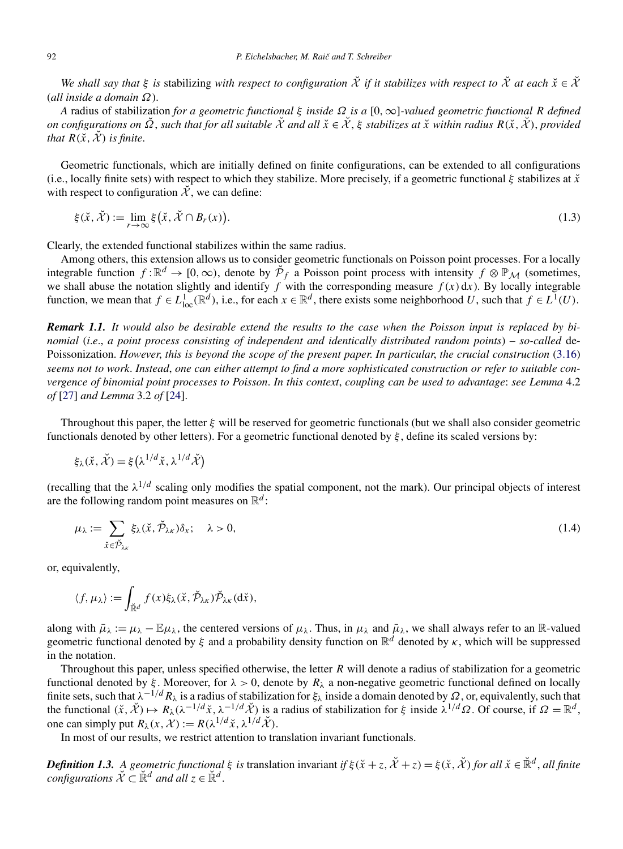<span id="page-3-0"></span>*We shall say that*  $\xi$  *is stabilizing with respect to configuration*  $\check{X}$  *if it stabilizes with respect to*  $\check{X}$  *at each*  $\check{x} \in \check{X}$ (*all inside a domain Ω*).

*A* radius of stabilization *for a geometric functional ξ inside Ω is a* [0*,*∞]*-valued geometric functional R defined on configurations on <sup>Ω</sup>*˘ , *such that for all suitable* <sup>X</sup>˘ *and all <sup>x</sup>*˘ <sup>∈</sup> <sup>X</sup>˘, *<sup>ξ</sup> stabilizes at <sup>x</sup>*˘ *within radius R(x,*˘ <sup>X</sup>˘*)*, *provided that*  $R(\check{x}, \check{\mathcal{X}})$  *is finite.* 

Geometric functionals, which are initially defined on finite configurations, can be extended to all configurations (i.e., locally finite sets) with respect to which they stabilize. More precisely, if a geometric functional *ξ* stabilizes at *x*˘ with respect to configuration  $\tilde{\mathcal{X}}$ , we can define:

$$
\xi(\check{x},\check{\mathcal{X}}) := \lim_{r \to \infty} \xi(\check{x},\check{\mathcal{X}} \cap B_r(x)).
$$
\n(1.3)

Clearly, the extended functional stabilizes within the same radius.

Among others, this extension allows us to consider geometric functionals on Poisson point processes. For a locally integrable function  $f: \mathbb{R}^d \to [0, \infty)$ , denote by  $\tilde{\mathcal{P}}_f$  a Poisson point process with intensity  $f \otimes \mathbb{P}_{\mathcal{M}}$  (sometimes, we shall abuse the notation slightly and identify  $f$  with the corresponding measure  $f(x) dx$ ). By locally integrable function, we mean that  $f \in L^1_{loc}(\mathbb{R}^d)$ , i.e., for each  $x \in \mathbb{R}^d$ , there exists some neighborhood *U*, such that  $f \in L^1(U)$ .

*Remark 1.1. It would also be desirable extend the results to the case when the Poisson input is replaced by binomial* (*i*.*e*., *a point process consisting of independent and identically distributed random points*) *– so-called* de-Poissonization. *However*, *this is beyond the scope of the present paper*. *In particular*, *the crucial construction* [\(3.16\)](#page-25-0) *seems not to work*. *Instead*, *one can either attempt to find a more sophisticated construction or refer to suitable convergence of binomial point processes to Poisson*. *In this context*, *coupling can be used to advantage*: *see Lemma* 4.2 *of* [\[27\]](#page-39-0) *and Lemma* 3.2 *of* [\[24\]](#page-39-0).

Throughout this paper, the letter *ξ* will be reserved for geometric functionals (but we shall also consider geometric functionals denoted by other letters). For a geometric functional denoted by *ξ* , define its scaled versions by:

$$
\xi_{\lambda}(\breve{x}, \breve{X}) = \xi\left(\lambda^{1/d}\breve{x}, \lambda^{1/d}\breve{X}\right)
$$

(recalling that the  $\lambda^{1/d}$  scaling only modifies the spatial component, not the mark). Our principal objects of interest are the following random point measures on  $\mathbb{R}^d$ :

$$
\mu_{\lambda} := \sum_{\breve{x} \in \breve{\mathcal{P}}_{\lambda \kappa}} \xi_{\lambda}(\breve{x}, \breve{\mathcal{P}}_{\lambda \kappa}) \delta_{x}; \quad \lambda > 0,
$$
\n(1.4)

or, equivalently,

$$
\langle f, \mu_{\lambda} \rangle := \int_{\mathbb{R}^d} f(x) \xi_{\lambda}(\check{x}, \check{\mathcal{P}}_{\lambda \kappa}) \check{\mathcal{P}}_{\lambda \kappa}(\mathrm{d}\check{x}),
$$

along with  $\bar{\mu}_{\lambda} := \mu_{\lambda} - \mathbb{E}\mu_{\lambda}$ , the centered versions of  $\mu_{\lambda}$ . Thus, in  $\mu_{\lambda}$  and  $\bar{\mu}_{\lambda}$ , we shall always refer to an R-valued geometric functional denoted by *ξ* and a probability density function on  $\mathbb{R}^d$  denoted by *κ*, which will be suppressed in the notation.

Throughout this paper, unless specified otherwise, the letter *R* will denote a radius of stabilization for a geometric functional denoted by *ξ* . Moreover, for *λ >* 0, denote by *Rλ* a non-negative geometric functional defined on locally finite sets, such that *λ*−1*/dRλ* is a radius of stabilization for *ξλ* inside a domain denoted by *Ω*, or, equivalently, such that the functional  $(\tilde{x}, \tilde{\mathcal{X}}) \mapsto R_\lambda(\lambda^{-1/d} \tilde{x}, \lambda^{-1/d} \tilde{\mathcal{X}})$  is a radius of stabilization for  $\xi$  inside  $\lambda^{1/d}\Omega$ . Of course, if  $\Omega = \mathbb{R}^d$ , one can simply put  $R_\lambda(x, \mathcal{X}) := R(\lambda^{1/d} \tilde{x}, \lambda^{1/d} \tilde{\mathcal{X}})$ .

In most of our results, we restrict attention to translation invariant functionals.

**Definition 1.3.** A geometric functional  $\xi$  is translation invariant if  $\xi(\tilde{x} + z, \tilde{X} + z) = \xi(\tilde{x}, \tilde{X})$  for all  $\tilde{x} \in \mathbb{R}^d$ , all finite *configurations*  $\check{\mathcal{X}} \subset \check{\mathbb{R}}^d$  *and all*  $z \in \check{\mathbb{R}}^d$ .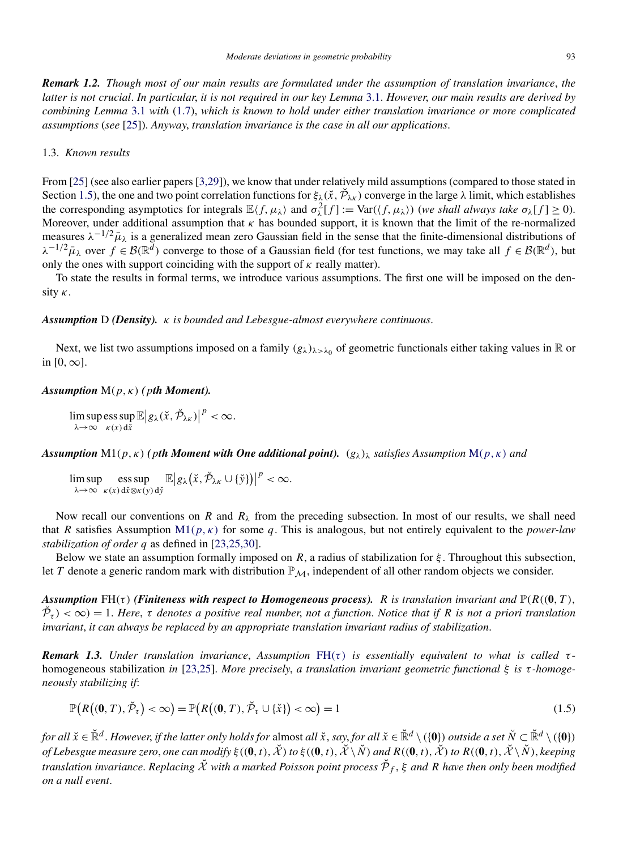<span id="page-4-0"></span>*Remark 1.2. Though most of our main results are formulated under the assumption of translation invariance*, *the latter is not crucial*. *In particular*, *it is not required in our key Lemma* [3.1.](#page-23-0) *However*, *our main results are derived by combining Lemma* [3.1](#page-23-0) *with* [\(1.7\)](#page-5-0), *which is known to hold under either translation invariance or more complicated assumptions* (*see* [\[25\]](#page-39-0)). *Anyway*, *translation invariance is the case in all our applications*.

## 1.3. *Known results*

From [\[25\]](#page-39-0) (see also earlier papers [\[3,29\]](#page-38-0)), we know that under relatively mild assumptions (compared to those stated in Section [1.5\)](#page-9-0), the one and two point correlation functions for  $\xi_{\lambda}(\tilde{x}, \tilde{\mathcal{P}}_{\lambda\kappa})$  converge in the large  $\lambda$  limit, which establishes the corresponding asymptotics for integrals  $\mathbb{E}\langle f, \mu_\lambda \rangle$  and  $\sigma_\lambda^2[f] := \text{Var}(\langle f, \mu_\lambda \rangle)$  (we shall always take  $\sigma_\lambda[f] \ge 0$ ). Moreover, under additional assumption that  $\kappa$  has bounded support, it is known that the limit of the re-normalized measures  $\lambda^{-1/2} \bar{\mu}_{\lambda}$  is a generalized mean zero Gaussian field in the sense that the finite-dimensional distributions of  $\lambda^{-1/2} \bar{\mu}_{\lambda}$  over  $f \in \mathcal{B}(\mathbb{R}^d)$  converge to those of a Gaussian field (for test functions, we may take all  $f \in \mathcal{B}(\mathbb{R}^d)$ , but only the ones with support coinciding with the support of  $\kappa$  really matter).

To state the results in formal terms, we introduce various assumptions. The first one will be imposed on the density *κ*.

#### *Assumption* D *(Density). κ is bounded and Lebesgue-almost everywhere continuous*.

Next, we list two assumptions imposed on a family  $(g_\lambda)_{\lambda>\lambda_0}$  of geometric functionals either taking values in R or in  $[0, \infty]$ .

## *Assumption* M*(p,κ) (pth Moment).*

 $\limsup_{n \to \infty} \text{ess} \sup_{\mathbb{R}} \mathbb{E} |g_{\lambda}(\tilde{x}, \tilde{\mathcal{P}}_{\lambda \kappa})|^p < \infty.$ *λ*→∞ *κ(x)* d*x*˘

*Assumption* M1( $p, \kappa$ ) (*pth Moment with One additional point*).  $(g_{\lambda})_{\lambda}$  *satisfies Assumption* M( $p, \kappa$ ) *and* 

$$
\limsup_{\lambda \to \infty} \operatorname*{ess\,sup}_{\kappa(x) \, d\check{x} \otimes \kappa(y) \, d\check{y}} \mathbb{E} \big| g_{\lambda}(\check{x}, \check{\mathcal{P}}_{\lambda \kappa} \cup {\{\check{y}\}}) \big|^p < \infty.
$$

Now recall our conventions on *R* and  $R_\lambda$  from the preceding subsection. In most of our results, we shall need that *R* satisfies Assumption M1*(p,κ)* for some *q*. This is analogous, but not entirely equivalent to the *power-law stabilization of order q* as defined in [\[23,25,30\]](#page-39-0).

Below we state an assumption formally imposed on *R*, a radius of stabilization for *ξ* . Throughout this subsection, let *T* denote a generic random mark with distribution  $\mathbb{P}_M$ , independent of all other random objects we consider.

*Assumption* FH*(τ) (Finiteness with respect to Homogeneous process). R is translation invariant and* P*(R((***0***,T ),*  $P_{\tau}$   $|-\infty$ ) = 1. Here,  $\tau$  denotes a positive real number, not a function. Notice that if R is not a priori translation *invariant*, *it can always be replaced by an appropriate translation invariant radius of stabilization*.

*Remark 1.3. Under translation invariance*, *Assumption* FH*(τ) is essentially equivalent to what is called τ* homogeneous stabilization *in* [\[23,25\]](#page-39-0). *More precisely*, *a translation invariant geometric functional ξ is τ -homogeneously stabilizing if*:

$$
\mathbb{P}\big(R\big((0,T),\breve{\mathcal{P}}_{\tau}\big)<\infty\big)=\mathbb{P}\big(R\big((0,T),\breve{\mathcal{P}}_{\tau}\cup\{\breve{x}\}\big)<\infty\big)=1\tag{1.5}
$$

for all  $\check{x} \in \check{\mathbb{R}}^d$ . However, if the latter only holds for almost all  $\check{x}$ , say, for all  $\check{x} \in \check{\mathbb{R}}^d \setminus (\{0\})$  outside a set  $\check{N} \subset \check{\mathbb{R}}^d \setminus (\{0\})$ of Lebesgue measure zero, one can modify  $\xi((0, t), X)$  to  $\xi((0, t), X \setminus N)$  and  $R((0, t), X)$  to  $R((0, t), X \setminus N)$ , keeping *translation invariance. Replacing*  $\check{\chi}$  *with a marked Poisson point process*  $\check{\mathcal{P}}_f$ ,  $\xi$  *and R have then only been modified on a null event*.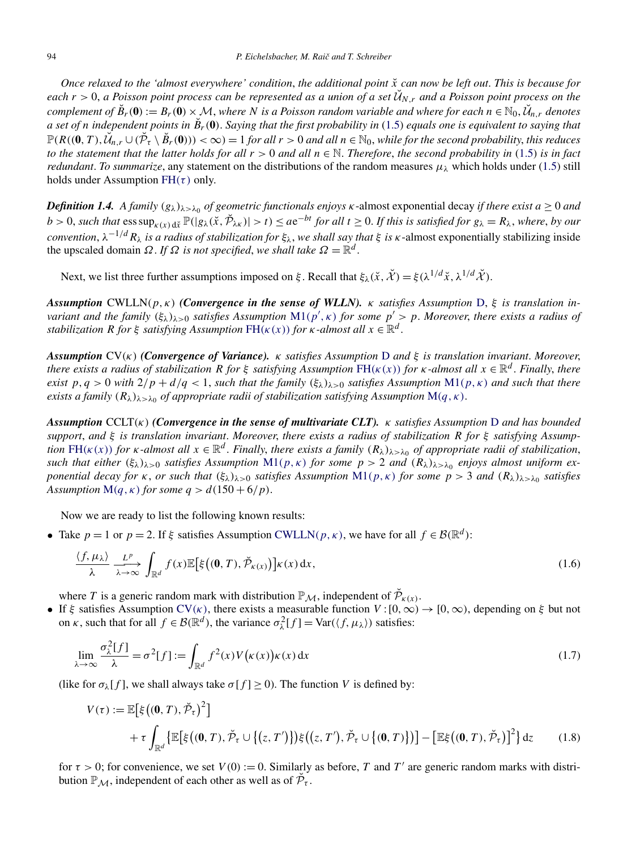<span id="page-5-0"></span>*Once relaxed to the 'almost everywhere' condition*, *the additional point x*˘ *can now be left out*. *This is because for*  $e$ ach  $r > 0$ , a Poisson point process can be represented as a union of a set  $\breve{\cal U}_{N,r}$  and a Poisson point process on the *complement of*  $\check{B}_r(0) := B_r(0) \times \mathcal{M}$ , where  $N$  is a Poisson random variable and where for each  $n \in \mathbb{N}_0$ ,  $\check{\mathcal{U}}_{n,r}$  denotes *a* set of *n* independent points in  $\tilde{B}_r(0)$ . Saying that the first probability in [\(1.5\)](#page-4-0) equals one is equivalent to saying that  $\mathbb{P}(R((0,T),\breve{U}_{n,r}\cup(\breve{\mathcal{P}}_{\tau}\setminus\breve{B}_r(0)))<\infty)=1$  for all  $r>0$  and all  $n\in\mathbb{N}_0$ , while for the second probability, this reduces *to the statement that the latter holds for all*  $r > 0$  *and all*  $n \in \mathbb{N}$ . Therefore, the second probability in [\(1.5\)](#page-4-0) is in fact *redundant. To summarize*, any statement on the distributions of the random measures  $\mu_{\lambda}$  which holds under [\(1.5\)](#page-4-0) still holds under Assumption FH*[\(τ\)](#page-4-0)* only.

*Definition 1.4. A family*  $(g_\lambda)_{\lambda>\lambda_0}$  *of geometric functionals enjoys k*-almost exponential decay *if there exist*  $a \ge 0$  *and*  $b > 0$ , such that  $\text{ess sup}_{\kappa(x) \text{d}\tilde{x}} \mathbb{P}(|g_\lambda(\tilde{x}, \tilde{\mathcal{P}}_{\lambda \kappa})| > t) \leq a e^{-bt}$  for all  $t \geq 0$ . If this is satisfied for  $g_\lambda = R_\lambda$ , where, by our *convention*,  $\lambda^{-1/d}R_\lambda$  *is a radius of stabilization for*  $\xi_\lambda$ , *we shall say that*  $\xi$  *is*  $\kappa$ -almost exponentially stabilizing inside the upscaled domain  $\Omega$ . *If*  $\Omega$  *is not specified, we shall take*  $\Omega = \mathbb{R}^d$ .

Next, we list three further assumptions imposed on  $\xi$ . Recall that  $\xi_{\lambda}(\tilde{x}, \tilde{\chi}) = \xi(\lambda^{1/d}\tilde{x}, \lambda^{1/d}\tilde{\chi})$ .

*Assumption* CWLLN*(p,κ) (Convergence in the sense of WLLN). κ satisfies Assumption* [D,](#page-4-0) *ξ is translation invariant and the family (ξλ)λ>*<sup>0</sup> *satisfies Assumption* M1*(p [,κ\)](#page-4-0) for some p > p*. *Moreover*, *there exists a radius of stabilization*  $R$  *for*  $\xi$  *satisfying* Assumption  $FH(\kappa(x))$  *for*  $\kappa$ *-almost all*  $x \in \mathbb{R}^d$ .

*Assumption* CV*(κ) (Convergence of Variance). κ satisfies Assumption* [D](#page-4-0) *and ξ is translation invariant*. *Moreover*, *there exists a radius of stabilization R for*  $\xi$  *satisfying Assumption* FH( $\kappa(x)$ ) *for*  $\kappa$ *-almost all*  $x \in \mathbb{R}^d$ . *Finally, there exist*  $p, q > 0$  *with*  $2/p + d/q < 1$ *, such that the family*  $(\xi_{\lambda})_{\lambda>0}$  *satisfies Assumption* M1( $p, \kappa$ ) *and such that there exists a family*  $(R_{\lambda})_{\lambda > \lambda_0}$  *of appropriate radii of stabilization satisfying Assumption* M(*q, k*).

*Assumption* CCLT*(κ) (Convergence in the sense of multivariate CLT). κ satisfies Assumption* [D](#page-4-0) *and has bounded support*, *and ξ is translation invariant*. *Moreover*, *there exists a radius of stabilization R for ξ satisfying Assumption* FH( $\kappa(x)$ ) *for*  $\kappa$ *-almost all*  $x \in \mathbb{R}^d$ . *Finally, there exists a family*  $(R_\lambda)_{\lambda > \lambda_0}$  *of appropriate radii of stabilization*, *such that either*  $(\xi_\lambda)_{\lambda>0}$  *satisfies Assumption* M1(p, k) for some  $p>2$  and  $(R_\lambda)_{\lambda>\lambda_0}$  enjoys almost uniform ex*ponential decay for*  $\kappa$ , *or such that*  $(\xi_{\lambda})_{\lambda>0}$  *satisfies Assumption* M1( $p, \kappa$ ) *for some*  $p > 3$  *and*  $(R_{\lambda})_{\lambda>0}$  *satisfies Assumption*  $M(q, \kappa)$  *for some*  $q > d(150 + 6/p)$ .

Now we are ready to list the following known results:

• Take  $p = 1$  or  $p = 2$ . If  $\xi$  satisfies Assumption CWLLN( $p, \kappa$ ), we have for all  $f \in \mathcal{B}(\mathbb{R}^d)$ :

$$
\frac{\langle f, \mu_{\lambda} \rangle}{\lambda} \xrightarrow[\lambda \to \infty]{} \int_{\mathbb{R}^d} f(x) \mathbb{E} \big[ \xi((0, T), \check{\mathcal{P}}_{\kappa(x)}) \big] \kappa(x) \, \mathrm{d}x,\tag{1.6}
$$

where *T* is a generic random mark with distribution  $\mathbb{P}_M$ , independent of  $\tilde{\mathcal{P}}_{\kappa}(x)$ .

• If  $\xi$  satisfies Assumption CV( $\kappa$ ), there exists a measurable function  $V:[0,\infty) \to [0,\infty)$ , depending on  $\xi$  but not on *κ*, such that for all  $f \in \mathcal{B}(\mathbb{R}^d)$ , the variance  $\sigma_{\lambda}^2[f] = \text{Var}(\langle f, \mu_{\lambda} \rangle)$  satisfies:

$$
\lim_{\lambda \to \infty} \frac{\sigma_{\lambda}^2[f]}{\lambda} = \sigma^2[f] := \int_{\mathbb{R}^d} f^2(x) V(\kappa(x)) \kappa(x) dx \tag{1.7}
$$

(like for  $\sigma_{\lambda}[f]$ , we shall always take  $\sigma[f] \ge 0$ ). The function *V* is defined by:

$$
V(\tau) := \mathbb{E}[\xi((0, T), \check{\mathcal{P}}_{\tau})^2]
$$
  
+  $\tau \int_{\mathbb{R}^d} {\mathbb{E}[\xi((0, T), \check{\mathcal{P}}_{\tau} \cup \{(z, T')\})\xi((z, T'), \check{\mathcal{P}}_{\tau} \cup \{(0, T)\})] - [\mathbb{E}\xi((0, T), \check{\mathcal{P}}_{\tau})]^2} dz$  (1.8)

for  $\tau > 0$ ; for convenience, we set  $V(0) := 0$ . Similarly as before, *T* and *T'* are generic random marks with distribution  $\mathbb{P}_{\mathcal{M}}$ , independent of each other as well as of  $\mathcal{P}_{\tau}$ .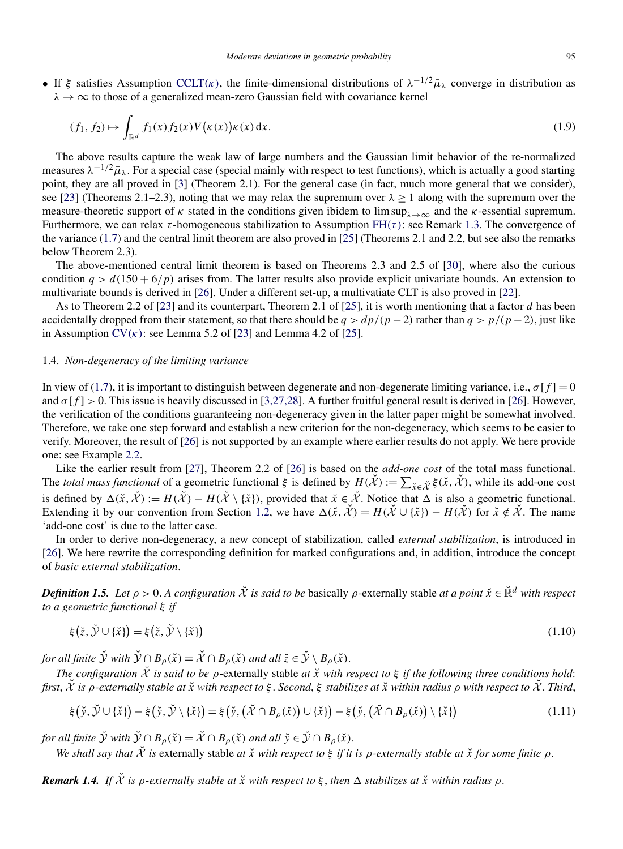<span id="page-6-0"></span>• If  $\xi$  satisfies Assumption [CCLT](#page-5-0)( $\kappa$ ), the finite-dimensional distributions of  $\lambda^{-1/2} \bar{\mu}_{\lambda}$  converge in distribution as  $\lambda \rightarrow \infty$  to those of a generalized mean-zero Gaussian field with covariance kernel

$$
(f_1, f_2) \mapsto \int_{\mathbb{R}^d} f_1(x) f_2(x) V(\kappa(x)) \kappa(x) dx.
$$
\n(1.9)

The above results capture the weak law of large numbers and the Gaussian limit behavior of the re-normalized measures  $\lambda^{-1/2} \bar{\mu}_{\lambda}$ . For a special case (special mainly with respect to test functions), which is actually a good starting point, they are all proved in [\[3\]](#page-38-0) (Theorem 2.1). For the general case (in fact, much more general that we consider), see [\[23\]](#page-39-0) (Theorems 2.1–2.3), noting that we may relax the supremum over  $\lambda \ge 1$  along with the supremum over the measure-theoretic support of  $\kappa$  stated in the conditions given ibidem to  $\limsup_{\lambda \to \infty}$  and the  $\kappa$ -essential supremum. Furthermore, we can relax *τ* -homogeneous stabilization to Assumption FH*[\(τ\)](#page-4-0)*: see Remark [1.3.](#page-4-0) The convergence of the variance [\(1.7\)](#page-5-0) and the central limit theorem are also proved in [\[25\]](#page-39-0) (Theorems 2.1 and 2.2, but see also the remarks below Theorem 2.3).

The above-mentioned central limit theorem is based on Theorems 2.3 and 2.5 of [\[30\]](#page-39-0), where also the curious condition  $q > d(150 + 6/p)$  arises from. The latter results also provide explicit univariate bounds. An extension to multivariate bounds is derived in [\[26\]](#page-39-0). Under a different set-up, a multivatiate CLT is also proved in [\[22\]](#page-39-0).

As to Theorem 2.2 of [\[23\]](#page-39-0) and its counterpart, Theorem 2.1 of [\[25\]](#page-39-0), it is worth mentioning that a factor *d* has been accidentally dropped from their statement, so that there should be  $q > dp/(p-2)$  rather than  $q > p/(p-2)$ , just like in Assumption  $CV(\kappa)$  $CV(\kappa)$ : see Lemma 5.2 of [\[23\]](#page-39-0) and Lemma 4.2 of [\[25\]](#page-39-0).

## 1.4. *Non-degeneracy of the limiting variance*

In view of [\(1.7\)](#page-5-0), it is important to distinguish between degenerate and non-degenerate limiting variance, i.e.,  $\sigma[f] = 0$ and *σ*[*f* ] *>* 0. This issue is heavily discussed in [\[3,27,28\]](#page-38-0). A further fruitful general result is derived in [\[26\]](#page-39-0). However, the verification of the conditions guaranteeing non-degeneracy given in the latter paper might be somewhat involved. Therefore, we take one step forward and establish a new criterion for the non-degeneracy, which seems to be easier to verify. Moreover, the result of [\[26\]](#page-39-0) is not supported by an example where earlier results do not apply. We here provide one: see Example [2.2.](#page-17-0)

Like the earlier result from [\[27\]](#page-39-0), Theorem 2.2 of [\[26\]](#page-39-0) is based on the *add-one cost* of the total mass functional. The *total mass functional* of a geometric functional  $\xi$  is defined by  $H(\tilde{X}) := \sum_{\tilde{x} \in \tilde{X}} \xi(\tilde{x}, \tilde{X})$ , while its add-one cost is defined by  $\Delta(\tilde{x}, \tilde{X}) := H(\tilde{X}) - H(\tilde{X} \setminus {\tilde{x}})$ , provided that  $\tilde{x} \in \tilde{X}$ . Notice that  $\Delta$  is also a geometric functional. Extending it by our convention from Section [1.2,](#page-1-0) we have  $\Delta(\tilde{x}, \tilde{X}) = H(\tilde{X} \cup {\tilde{x}}) - H(\tilde{X})$  for  $\tilde{x} \notin \tilde{X}$ . The name 'add-one cost' is due to the latter case.

In order to derive non-degeneracy, a new concept of stabilization, called *external stabilization*, is introduced in [\[26\]](#page-39-0). We here rewrite the corresponding definition for marked configurations and, in addition, introduce the concept of *basic external stabilization*.

*Definition 1.5.* Let  $\rho > 0$ . A configuration  $\tilde{X}$  is said to be basically  $\rho$ -externally stable at a point  $\tilde{x} \in \mathbb{R}^d$  with respect *to a geometric functional ξ if*

$$
\xi(\breve{z}, \breve{\mathcal{Y}} \cup \{\breve{x}\}) = \xi(\breve{z}, \breve{\mathcal{Y}} \setminus \{\breve{x}\}) \tag{1.10}
$$

*for all finite*  $\check{Y}$  *with*  $\check{Y} \cap B_{\rho}(\check{x}) = \check{X} \cap B_{\rho}(\check{x})$  *and all*  $\check{z} \in \check{Y} \setminus B_{\rho}(\check{x})$ .

*The configuration*  $\check{\mathcal{X}}$  *is said to be*  $\rho$ -externally stable *at*  $\check{\mathcal{X}}$  *with respect to*  $\xi$  *if the following three conditions hold:* first,  $\tilde{\mathcal{X}}$  is  $\rho$ -externally stable at  $\tilde{\mathcal{X}}$  with respect to  $\xi$ . Second,  $\xi$  stabilizes at  $\tilde{\mathcal{X}}$  within radius  $\rho$  with respect to  $\tilde{\mathcal{X}}$ . Third,

$$
\xi(\tilde{y}, \tilde{\mathcal{Y}} \cup \{\tilde{x}\}) - \xi(\tilde{y}, \tilde{\mathcal{Y}} \setminus \{\tilde{x}\}) = \xi(\tilde{y}, (\tilde{\mathcal{X}} \cap B_{\rho}(\tilde{x})) \cup \{\tilde{x}\}) - \xi(\tilde{y}, (\tilde{\mathcal{X}} \cap B_{\rho}(\tilde{x})) \setminus \{\tilde{x}\})
$$
(1.11)

*for all finite*  $\check{Y}$  *with*  $\check{Y} \cap B_{\rho}(\check{x}) = \check{X} \cap B_{\rho}(\check{x})$  *and all*  $\check{y} \in \check{Y} \cap B_{\rho}(\check{x})$ .

*We shall say that*  $\check{\mathcal{X}}$  *is* externally stable *at*  $\check{x}$  *with respect to*  $\xi$  *if it is*  $\rho$ *-externally stable at*  $\check{x}$  *for some finite*  $\rho$ .

*Remark 1.4.* If  $\check{\mathcal{X}}$  is  $\rho$ -externally stable at  $\check{\mathcal{x}}$  with respect to  $\xi$ , then  $\Delta$  stabilizes at  $\check{\mathcal{x}}$  within radius  $\rho$ .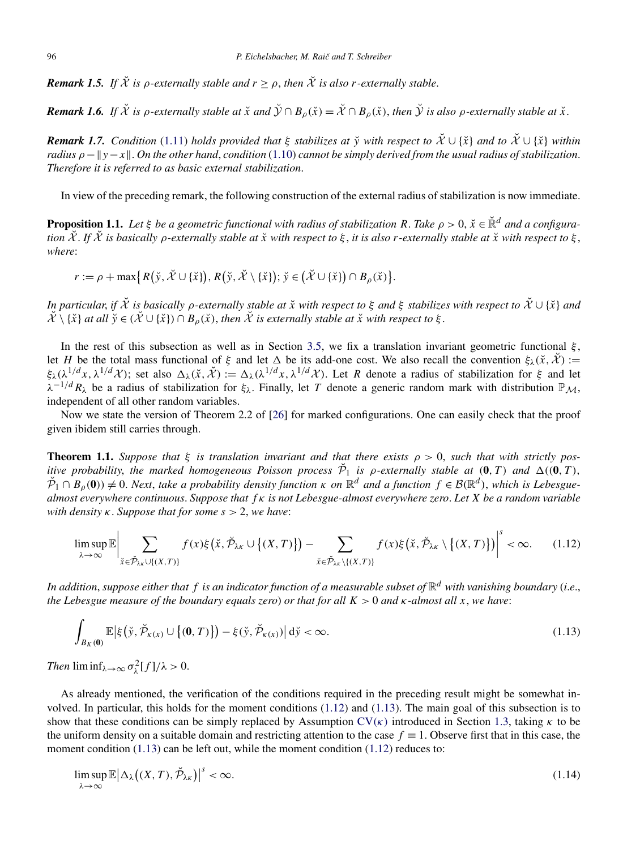<span id="page-7-0"></span>*Remark 1.5. If*  $\check{X}$  *is*  $\rho$ *-externally stable and*  $r \ge \rho$ , *then*  $\check{X}$  *is also r*-externally stable.

*Remark 1.6. If*  $\tilde{X}$  *is*  $\rho$ *-externally stable at*  $\tilde{X}$  *and*  $\tilde{Y} \cap B_0(\tilde{X}) = \tilde{X} \cap B_0(\tilde{X})$ *, then*  $\tilde{Y}$  *is also*  $\rho$ *-externally stable at*  $\tilde{X}$ *.* 

*Remark 1.7. Condition* [\(1.11\)](#page-6-0) *holds provided that*  $\xi$  *stabilizes at*  $\check{y}$  *with respect to*  $\check{\mathcal{X}}$  ∪ { $\check{\mathcal{X}}$ }  $\downarrow$  { $\check{\mathcal{X}}$ } *within radius*  $\rho - \gamma v - x \parallel$ . On the other hand, condition [\(1.10\)](#page-6-0) cannot be simply derived from the usual radius of stabilization. *Therefore it is referred to as basic external stabilization*.

In view of the preceding remark, the following construction of the external radius of stabilization is now immediate.

**Proposition 1.1.** Let  $\xi$  be a geometric functional with radius of stabilization R. Take  $\rho > 0$ ,  $\check{x} \in \mathbb{R}^d$  and a configuration  $\tilde{\mathcal{X}}$ . If  $\tilde{\mathcal{X}}$  is basically  $\rho$ -externally stable at  $\tilde{\mathcal{X}}$  with respect to  $\xi$ , it is also r-externally stable at  $\tilde{\mathcal{X}}$  with respect to  $\xi$ , *where*:

 $r := \rho + \max\{R(\check{y}, \check{\mathcal{X}} \cup {\{\check{x}\}}), R(\check{y}, \check{\mathcal{X}} \setminus {\{\check{x}\}}); \check{y} \in (\check{\mathcal{X}} \cup {\{\check{x}\}}) \cap B_{\rho}(\check{x})\}.$ 

*In particular, if*  $\check{X}$  *is basically*  $\rho$ *-externally stable at*  $\check{x}$  *with respect to*  $\xi$  *stabilizes with respect to*  $\check{X} \cup {\{\check{x}\}}$  *and*  $\tilde{\mathcal{X}} \setminus \{\tilde{x}\}$  *at all*  $\tilde{y} \in (\tilde{\mathcal{X}} \cup \{\tilde{x}\}) \cap B_0(\tilde{x})$ , then  $\tilde{\mathcal{X}}$  is externally stable at  $\tilde{x}$  with respect to  $\xi$ .

In the rest of this subsection as well as in Section [3.5,](#page-36-0) we fix a translation invariant geometric functional  $\xi$ , let *H* be the total mass functional of *ξ* and let  $\Delta$  be its add-one cost. We also recall the convention  $\xi_{\lambda}(\tilde{x}, \tilde{X}) :=$  $\xi_{\lambda}(\lambda^{1/d}x, \lambda^{1/d}\lambda)$ ; set also  $\Delta_{\lambda}(\tilde{x}, \tilde{\lambda}) := \Delta_{\lambda}(\lambda^{1/d}x, \lambda^{1/d}\lambda)$ . Let R denote a radius of stabilization for  $\xi$  and let  $\lambda^{-1/d}R_\lambda$  be a radius of stabilization for  $\xi_\lambda$ . Finally, let *T* denote a generic random mark with distribution  $\mathbb{P}_M$ , independent of all other random variables.

Now we state the version of Theorem 2.2 of [\[26\]](#page-39-0) for marked configurations. One can easily check that the proof given ibidem still carries through.

**Theorem 1.1.** *Suppose that*  $\xi$  *is translation invariant and that there exists*  $\rho > 0$ *, such that with strictly positive probability, the marked homogeneous Poisson process*  $\tilde{\mathcal{P}}_1$  *is*  $\rho$ *-externally stable at*  $(0, T)$  *and*  $\Delta((0, T),$  $\widetilde{\mathcal{P}}_1 \cap B_\rho(\mathbf{0}) \neq 0$ . *Next*, take a probability density function  $\kappa$  on  $\mathbb{R}^d$  and a function  $f \in \mathcal{B}(\mathbb{R}^d)$ , which is Lebesgue*almost everywhere continuous*. *Suppose that f κ is not Lebesgue-almost everywhere zero*. *Let X be a random variable with density κ*. *Suppose that for some s >* 2, *we have*:

$$
\limsup_{\lambda \to \infty} \mathbb{E} \Big| \sum_{\check{x} \in \check{\mathcal{P}}_{\lambda\kappa} \cup \{ (X,T) \}} f(x) \xi\big(\check{x}, \check{\mathcal{P}}_{\lambda\kappa} \cup \big\{ (X,T) \big\} \big) - \sum_{\check{x} \in \check{\mathcal{P}}_{\lambda\kappa} \setminus \{ (X,T) \}} f(x) \xi\big(\check{x}, \check{\mathcal{P}}_{\lambda\kappa} \setminus \big\{ (X,T) \big\} \big) \Big|^s < \infty. \tag{1.12}
$$

In addition, suppose either that f is an indicator function of a measurable subset of  $\mathbb{R}^d$  with vanishing boundary (i.e., *the Lebesgue measure of the boundary equals zero*) *or that for all K >* 0 *and κ-almost all x*, *we have*:

$$
\int_{B_K(0)} \mathbb{E} \left| \xi \left( \check{\mathbf{y}}, \check{\mathcal{P}}_{\kappa(x)} \cup \{ (\mathbf{0}, T) \} \right) - \xi \left( \check{\mathbf{y}}, \check{\mathcal{P}}_{\kappa(x)} \right) \right| d\check{\mathbf{y}} < \infty.
$$
\n(1.13)

*Then*  $\liminf_{\lambda \to \infty} \sigma_{\lambda}^2[f]/\lambda > 0$ .

As already mentioned, the verification of the conditions required in the preceding result might be somewhat involved. In particular, this holds for the moment conditions (1.12) and (1.13). The main goal of this subsection is to show that these conditions can be simply replaced by Assumption [CV](#page-5-0)*(κ)* introduced in Section [1.3,](#page-4-0) taking *κ* to be the uniform density on a suitable domain and restricting attention to the case  $f \equiv 1$ . Observe first that in this case, the moment condition (1.13) can be left out, while the moment condition (1.12) reduces to:

$$
\limsup_{\lambda \to \infty} \mathbb{E} \left| \Delta_{\lambda} \left( (X, T), \check{\mathcal{P}}_{\lambda \kappa} \right) \right|^{s} < \infty. \tag{1.14}
$$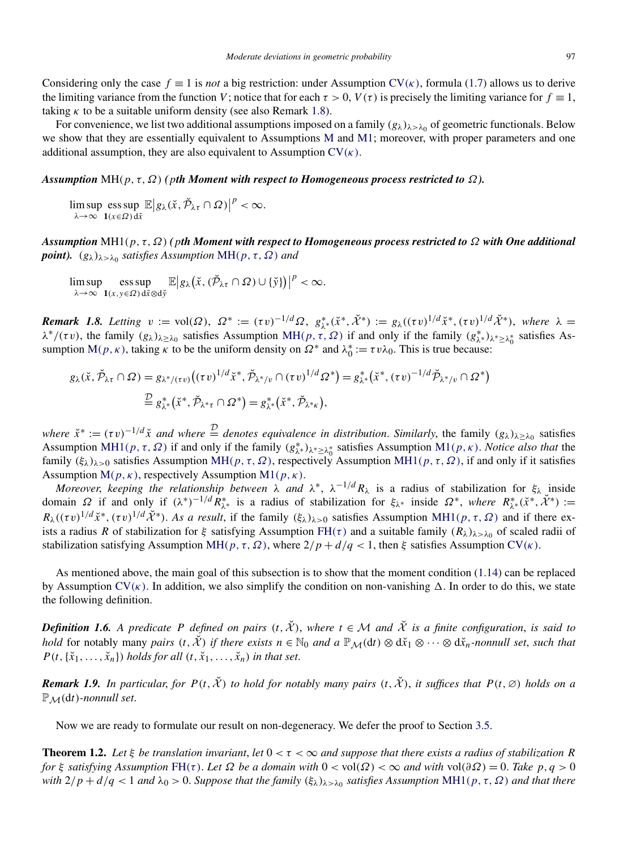<span id="page-8-0"></span>Considering only the case  $f \equiv 1$  is *not* a big restriction: under Assumption [CV](#page-5-0)( $\kappa$ ), formula [\(1.7\)](#page-5-0) allows us to derive the limiting variance from the function *V*; notice that for each  $\tau > 0$ ,  $V(\tau)$  is precisely the limiting variance for  $f \equiv 1$ , taking  $\kappa$  to be a suitable uniform density (see also Remark 1.8).

For convenience, we list two additional assumptions imposed on a family  $(g_\lambda)_{\lambda>\lambda_0}$  of geometric functionals. Below we show that they are essentially equivalent to Assumptions [M](#page-4-0) and [M1;](#page-4-0) moreover, with proper parameters and one additional assumption, they are also equivalent to Assumption [CV](#page-5-0)*(κ)*.

*Assumption* MH*(p,τ,Ω) (pth Moment with respect to Homogeneous process restricted to Ω).*

lim sup *λ*→∞ ess sup **1***(x*∈*Ω)* d*x*˘  $\mathbb{E}\left[g_{\lambda}(\breve{x}, \breve{\mathcal{P}}_{\lambda\tau} \cap \Omega)\right]^{p} < \infty.$ 

*Assumption* MH1*(p,τ,Ω) (pth Moment with respect to Homogeneous process restricted to Ω with One additional point*).  $(g_{\lambda})_{\lambda > \lambda_0}$  *satisfies Assumption* MH( $p, \tau, \Omega$ ) *and* 

lim sup *λ*→∞ ess sup **1***(x,y*∈*Ω)* d*x*˘⊗d*y*˘  $\mathbb{E}\big[g_{\lambda}\big(\breve{x},\,tilde{\mathcal{P}}_{\lambda\tau}\cap\Omega)\cup\{\breve{y}\}\big)\big|^p<\infty.$ 

**Remark 1.8.** Letting  $v := \text{vol}(\Omega)$ ,  $\Omega^* := (\tau v)^{-1/d} \Omega$ ,  $g_{\lambda^*}^*(\check{x}^*, \check{\mathcal{X}}^*) := g_{\lambda}((\tau v)^{1/d} \check{x}^*, (\tau v)^{1/d} \check{\mathcal{X}}^*)$ , where  $\lambda =$ *λ*<sup>∗</sup>/(*τv*), the family *(gλ)*<sub>λ≥λ0</sub> satisfies Assumption MH*(p,τ, Ω)* if and only if the family  $(g_{\lambda}^*)_{\lambda^* \geq \lambda_0^*}$  satisfies Assumption  $M(p, \kappa)$ , taking  $\kappa$  to be the uniform density on  $\Omega^*$  and  $\lambda_0^* := \tau v \lambda_0$ . This is true because:

$$
g_{\lambda}(\check{x}, \check{P}_{\lambda \tau} \cap \Omega) = g_{\lambda^*/(\tau \nu)}((\tau \nu)^{1/d} \check{x}^*, \check{P}_{\lambda^*/\nu} \cap (\tau \nu)^{1/d} \Omega^*) = g_{\lambda^*}^*(\check{x}^*, (\tau \nu)^{-1/d} \check{P}_{\lambda^*/\nu} \cap \Omega^*)
$$
  

$$
\stackrel{\mathcal{D}}{=} g_{\lambda^*}^*(\check{x}^*, \check{P}_{\lambda^*\tau} \cap \Omega^*) = g_{\lambda^*}^*(\check{x}^*, \check{P}_{\lambda^*\kappa}),
$$

*where*  $\ddot{x}^* := (\tau v)^{-1/d} \ddot{x}$  *and where*  $\stackrel{D}{=}$  *denotes equivalence in distribution. Similarly, the family*  $(g_\lambda)_{\lambda \geq \lambda_0}$  satisfies Assumption MH1*(p, τ, Ω)* if and only if the family  $(g_{\lambda^*}^*)_{\lambda^* \geq \lambda_0^*}$  satisfies Assumption M1*(p, κ)*. *Notice also that* the family *(ξλ)λ>*<sup>0</sup> satisfies Assumption MH*(p,τ,Ω)*, respectively Assumption MH1*(p,τ,Ω)*, if and only if it satisfies Assumption M*[\(p,κ\)](#page-4-0)*, respectively Assumption M1*[\(p,κ\)](#page-4-0)*.

*Moreover, keeping the relationship between*  $\lambda$  *and*  $\lambda^*$ ,  $\lambda^{-1/d}R_\lambda$  is a radius of stabilization for  $\xi_\lambda$  inside domain *Ω* if and only if  $(\lambda^*)^{-1/d}R_{\lambda^*}^*$  is a radius of stabilization for  $\xi_{\lambda^*}$  inside  $\Omega^*$ , *where*  $R_{\lambda^*}^*(\check{x}^*,\check{x}^*)$  :=  $R_{\lambda}((\tau v)^{1/d}\tilde{x}^*, (\tau v)^{1/d}\tilde{X}^*)$ . As a result, if the family  $(\xi_{\lambda})_{\lambda>0}$  satisfies Assumption MH1(p,  $\tau$ ,  $\Omega$ ) and if there exists a radius *R* of stabilization for *ξ* satisfying Assumption FH( $\tau$ ) and a suitable family  $(R_\lambda)_{\lambda>\lambda_0}$  of scaled radii of stabilization satisfying Assumption MH*(p,τ,Ω)*, where 2*/p* + *d/q <* 1, then *ξ* satisfies Assumption [CV](#page-5-0)*(κ)*.

As mentioned above, the main goal of this subsection is to show that the moment condition [\(1.14\)](#page-7-0) can be replaced by Assumption [CV](#page-5-0)*(κ)*. In addition, we also simplify the condition on non-vanishing . In order to do this, we state the following definition.

*Definition 1.6.* A predicate P defined on pairs  $(t, \tilde{X})$ , where  $t \in M$  and  $\tilde{X}$  is a finite configuration, is said to *hold* for notably many *pairs*  $(t, \tilde{X})$  *if there exists*  $n \in \mathbb{N}_0$  *and a*  $\mathbb{P}_M(\text{d}t) \otimes \text{d}x_1 \otimes \cdots \otimes \text{d}x_n$ *-nonnull set, such that*  $P(t, \{\breve{x}_1, \ldots, \breve{x}_n\})$  *holds for all*  $(t, \breve{x}_1, \ldots, \breve{x}_n)$  *in that set.* 

*Remark 1.9. In particular, for*  $P(t, \tilde{X})$  *to hold for notably many pairs*  $(t, \tilde{X})$ *, it suffices that*  $P(t, \varnothing)$  *holds on a*  $\mathbb{P}_\mathcal{M}(dt)$ *-nonnull set.* 

Now we are ready to formulate our result on non-degeneracy. We defer the proof to Section [3.5.](#page-36-0)

**Theorem 1.2.** Let  $\xi$  be translation invariant, let  $0 < \tau < \infty$  and suppose that there exists a radius of stabilization R *for*  $\xi$  *satisfying Assumption* FH( $\tau$ ). *Let*  $\Omega$  *be a domain with*  $0 < vol(\Omega) < \infty$  *and with*  $vol(\partial \Omega) = 0$ . *Take*  $p, q > 0$ *with*  $2/p + d/q < 1$  *and*  $\lambda_0 > 0$ *. Suppose that the family*  $(\xi_\lambda)_{\lambda > \lambda_0}$  *satisfies Assumption* MH1(*p*, *τ*, *Ω*) *and that there*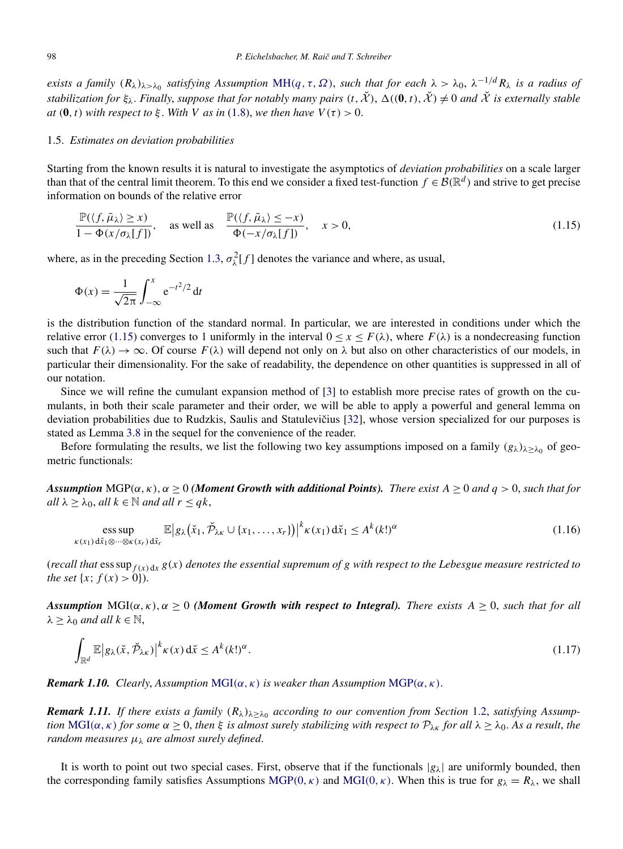<span id="page-9-0"></span>*exists a family*  $(R_\lambda)_{\lambda>\lambda_0}$  *satisfying Assumption* MH( $q, \tau, \Omega$ ), *such that for each*  $\lambda > \lambda_0$ ,  $\lambda^{-1/d}R_\lambda$  *is a radius of stabilization for*  $\xi_{\lambda}$ . *Finally, suppose that for notably many pairs*  $(t, \tilde{X})$ ,  $\Delta((0, t), \tilde{X}) \neq 0$  and  $\tilde{X}$  is externally stable *at*  $(0, t)$  *with respect to*  $\xi$ . *With V as in* [\(1.8\)](#page-5-0), *we then have*  $V(\tau) > 0$ .

#### 1.5. *Estimates on deviation probabilities*

Starting from the known results it is natural to investigate the asymptotics of *deviation probabilities* on a scale larger than that of the central limit theorem. To this end we consider a fixed test-function  $f \in \mathcal{B}(\mathbb{R}^d)$  and strive to get precise information on bounds of the relative error

$$
\frac{\mathbb{P}(\langle f, \bar{\mu}_{\lambda} \rangle \ge x)}{1 - \Phi(x/\sigma_{\lambda}[f])}, \quad \text{as well as} \quad \frac{\mathbb{P}(\langle f, \bar{\mu}_{\lambda} \rangle \le -x)}{\Phi(-x/\sigma_{\lambda}[f])}, \quad x > 0,
$$
\n(1.15)

where, as in the preceding Section [1.3,](#page-4-0)  $\sigma_{\lambda}^2[f]$  denotes the variance and where, as usual,

$$
\Phi(x) = \frac{1}{\sqrt{2\pi}} \int_{-\infty}^{x} e^{-t^2/2} dt
$$

is the distribution function of the standard normal. In particular, we are interested in conditions under which the relative error (1.15) converges to 1 uniformly in the interval  $0 \le x \le F(\lambda)$ , where  $F(\lambda)$  is a nondecreasing function such that  $F(\lambda) \to \infty$ . Of course  $F(\lambda)$  will depend not only on  $\lambda$  but also on other characteristics of our models, in particular their dimensionality. For the sake of readability, the dependence on other quantities is suppressed in all of our notation.

Since we will refine the cumulant expansion method of [\[3\]](#page-38-0) to establish more precise rates of growth on the cumulants, in both their scale parameter and their order, we will be able to apply a powerful and general lemma on deviation probabilities due to Rudzkis, Saulis and Statulevičius [[32\]](#page-39-0), whose version specialized for our purposes is stated as Lemma [3.8](#page-30-0) in the sequel for the convenience of the reader.

Before formulating the results, we list the following two key assumptions imposed on a family  $(g_\lambda)_{\lambda \geq \lambda_0}$  of geometric functionals:

*Assumption* MGP $(\alpha, \kappa)$ ,  $\alpha \ge 0$  (Moment Growth with additional Points). There exist  $A \ge 0$  and  $q > 0$ , such that for  $all \lambda \geq \lambda_0$ , *all*  $k \in \mathbb{N}$  *and all*  $r \leq qk$ ,

$$
\underset{\kappa(x_1) \, d\check{x}_1 \otimes \cdots \otimes \kappa(x_r) \, d\check{x}_r}{\text{ess sup}} \mathbb{E} \big| g_{\lambda} \big( \check{x}_1, \check{\mathcal{P}}_{\lambda \kappa} \cup \{x_1, \ldots, x_r\} \big) \big|^k \kappa(x_1) \, d\check{x}_1 \leq A^k (k!)^{\alpha} \tag{1.16}
$$

(*recall that* ess sup<sub> $f(x)$ dx</sub>  $g(x)$  *denotes the essential supremum of*  $g$  *with respect to the Lebesgue measure restricted to the set*  $\{x; f(x) > 0\}$ .

*Assumption* MGI( $\alpha, \kappa$ ),  $\alpha \ge 0$  (Moment Growth with respect to Integral). There exists  $A \ge 0$ , such that for all  $λ ≥ λ_0$  *and all*  $k ∈ ℕ$ ,

$$
\int_{\mathbb{R}^d} \mathbb{E} \left| g_{\lambda}(\check{x}, \check{\mathcal{P}}_{\lambda \kappa}) \right|^k \kappa(x) \, \mathrm{d}\check{x} \leq A^k(k!)^{\alpha}.
$$
\n(1.17)

*Remark 1.10. Clearly*, *Assumption* MGI*(α,κ) is weaker than Assumption* MGP*(α,κ)*.

*Remark 1.11.* If there exists a family  $(R_\lambda)_{\lambda \geq \lambda_0}$  according to our convention from Section [1.2,](#page-1-0) satisfying Assump*tion*  $MGI(\alpha, \kappa)$  *for some*  $\alpha \geq 0$ *, then*  $\xi$  *is almost surely stabilizing with respect to*  $\mathcal{P}_{\lambda\kappa}$  *for all*  $\lambda \geq \lambda_0$ *. As a result, the random measures μλ are almost surely defined*.

It is worth to point out two special cases. First, observe that if the functionals  $|g_\lambda|$  are uniformly bounded, then the corresponding family satisfies Assumptions MGP(0*, k)* and MGI(0*, k)*. When this is true for  $g_{\lambda} = R_{\lambda}$ , we shall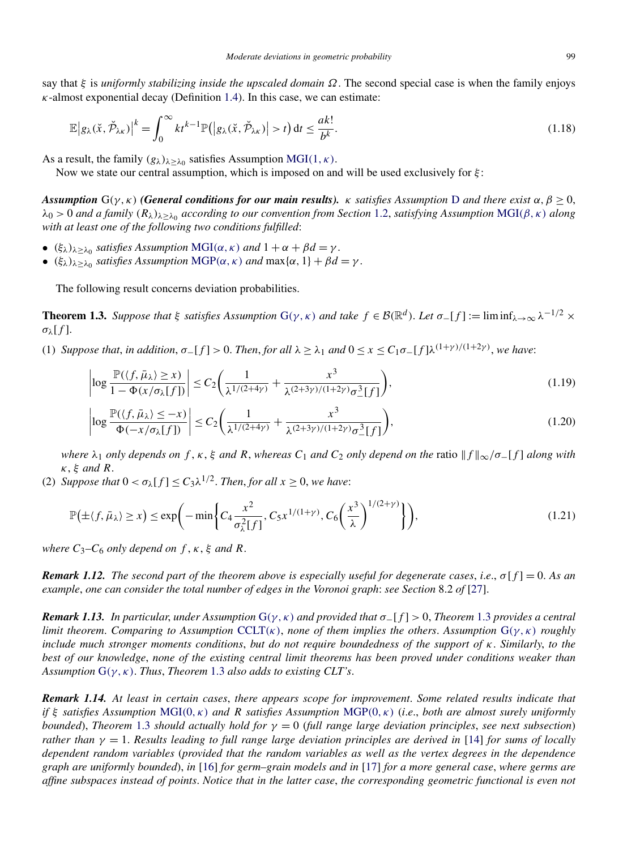<span id="page-10-0"></span>say that *ξ* is *uniformly stabilizing inside the upscaled domain Ω*. The second special case is when the family enjoys  $\kappa$ -almost exponential decay (Definition [1.4\)](#page-5-0). In this case, we can estimate:

$$
\mathbb{E}\left|g_{\lambda}(\check{x},\check{\mathcal{P}}_{\lambda\kappa})\right|^{k}=\int_{0}^{\infty}kt^{k-1}\mathbb{P}\left(\left|g_{\lambda}(\check{x},\check{\mathcal{P}}_{\lambda\kappa})\right|>t\right)dt\leq\frac{ak!}{b^{k}}.\tag{1.18}
$$

As a result, the family  $(g_{\lambda})_{\lambda \geq \lambda_0}$  satisfies Assumption [MGI](#page-9-0)(1,  $\kappa$ ).

Now we state our central assumption, which is imposed on and will be used exclusively for *ξ* :

*Assumption*  $G(y, κ)$  *(General conditions for our main results). κ satisfies Assumption* [D](#page-4-0) *and there exist*  $α, β > 0$ , *λ*<sup>0</sup> *>* 0 *and a family (Rλ)λ*<sup>≥</sup>*λ*<sup>0</sup> *according to our convention from Section* [1.2,](#page-1-0) *satisfying Assumption* MGI*[\(β,κ\)](#page-9-0) along with at least one of the following two conditions fulfilled*:

- $(\xi_{\lambda})_{\lambda > \lambda_0}$  *satisfies Assumption* MGI( $\alpha, \kappa$ ) *and*  $1 + \alpha + \beta d = \gamma$ .
- $(ξ<sub>λ</sub>)<sub>λ>λ<sub>0</sub></sub>$  *satisfies Assumption* MGP( $α, κ$ ) *and* max{ $α, 1$ } +  $βd = γ$ .

The following result concerns deviation probabilities.

**Theorem 1.3.** *Suppose that*  $\xi$  *satisfies Assumption* G(*γ, κ) and take*  $f \in \mathcal{B}(\mathbb{R}^d)$ *. Let*  $\sigma_{-}[f] := \liminf_{\lambda \to \infty} \lambda^{-1/2} \times$ *σ* $λ$ [*f*].

(1) Suppose that, in addition,  $\sigma_{-}[f] > 0$ . Then, for all  $\lambda \geq \lambda_1$  and  $0 \leq x \leq C_1 \sigma_{-}[f] \lambda^{(1+\gamma)/(1+2\gamma)}$ , we have:

$$
\left|\log\frac{\mathbb{P}(\langle f,\bar{\mu}_{\lambda}\rangle\geq x)}{1-\Phi(x/\sigma_{\lambda}[f])}\right|\leq C_{2}\left(\frac{1}{\lambda^{1/(2+4\gamma)}}+\frac{x^{3}}{\lambda^{(2+3\gamma)/(1+2\gamma)}\sigma_{-}^{3}[f]}\right),\tag{1.19}
$$

$$
\left|\log\frac{\mathbb{P}(\langle f,\bar{\mu}_{\lambda}\rangle\leq-x)}{\Phi(-x/\sigma_{\lambda}[f])}\right|\leq C_{2}\left(\frac{1}{\lambda^{1/(2+4\gamma)}}+\frac{x^{3}}{\lambda^{(2+3\gamma)/(1+2\gamma)}\sigma_{-}^{3}[f]}\right),\tag{1.20}
$$

*where*  $\lambda_1$  *only depends on*  $f$ ,  $\kappa$ ,  $\xi$  *and*  $R$ , *whereas*  $C_1$  *and*  $C_2$  *only depend on the* ratio  $||f||_{\infty}/\sigma$ −[*f*] *along with κ*, *ξ and R*.

(2) *Suppose that*  $0 < \sigma_{\lambda}[f] \le C_3 \lambda^{1/2}$ *. Then, for all*  $x \ge 0$ *, we have:* 

$$
\mathbb{P}(\pm\langle f,\bar{\mu}_{\lambda}\rangle\geq x)\leq \exp\biggl(-\min\biggl\{C_4\frac{x^2}{\sigma_{\lambda}^2[f]},C_5x^{1/(1+\gamma)},C_6\biggl(\frac{x^3}{\lambda}\biggr)^{1/(2+\gamma)}\biggr\}\biggr),\tag{1.21}
$$

*where*  $C_3 - C_6$  *only depend on*  $f, \kappa, \xi$  *and*  $R$ .

*Remark 1.12. The second part of the theorem above is especially useful for degenerate cases*, *i*.*e*., *σ*[*f* ] = 0. *As an example*, *one can consider the total number of edges in the Voronoi graph*: *see Section* 8.2 *of* [\[27\]](#page-39-0).

*Remark 1.13. In particular*, *under Assumption* G*(γ,κ) and provided that σ*−[*f* ] *>* 0, *Theorem* 1.3 *provides a central limit theorem*. *Comparing to Assumption* [CCLT](#page-5-0)*(κ)*, *none of them implies the others*. *Assumption* G*(γ,κ) roughly include much stronger moments conditions*, *but do not require boundedness of the support of κ*. *Similarly*, *to the best of our knowledge*, *none of the existing central limit theorems has been proved under conditions weaker than Assumption* G*(γ,κ)*. *Thus*, *Theorem* 1.3 *also adds to existing CLT's*.

*Remark 1.14. At least in certain cases*, *there appears scope for improvement*. *Some related results indicate that if ξ satisfies Assumption* [MGI](#page-9-0)*(*0*,κ) and R satisfies Assumption* [MGP](#page-9-0)*(*0*,κ)* (*i*.*e*., *both are almost surely uniformly bounded*), *Theorem* 1.3 *should actually hold for*  $\gamma = 0$  (*full range large deviation principles, see next subsection*) *rather than γ* = 1. *Results leading to full range large deviation principles are derived in* [\[14\]](#page-39-0) *for sums of locally dependent random variables* (*provided that the random variables as well as the vertex degrees in the dependence graph are uniformly bounded*), *in* [\[16\]](#page-39-0) *for germ–grain models and in* [\[17\]](#page-39-0) *for a more general case*, *where germs are affine subspaces instead of points*. *Notice that in the latter case*, *the corresponding geometric functional is even not*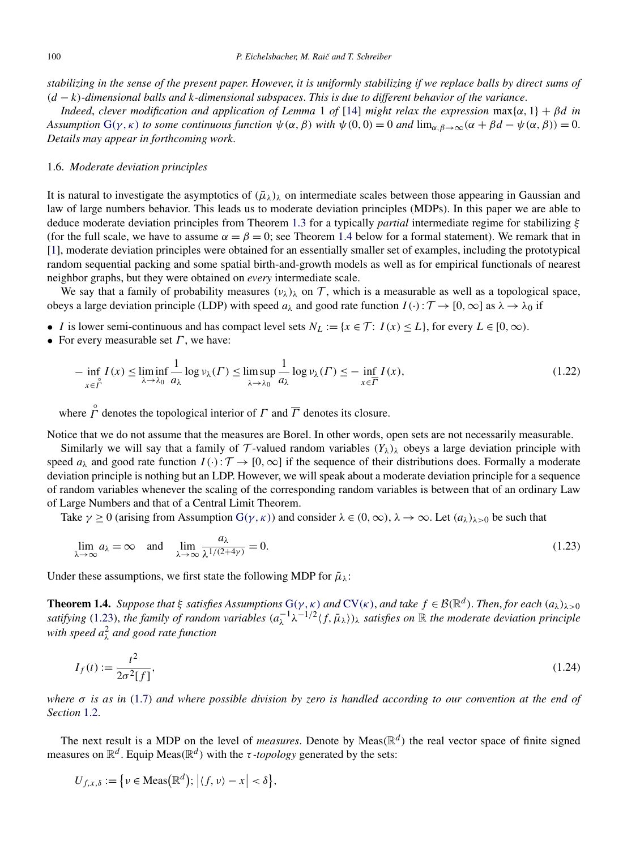<span id="page-11-0"></span>*stabilizing in the sense of the present paper*. *However*, *it is uniformly stabilizing if we replace balls by direct sums of (d* − *k)-dimensional balls and k-dimensional subspaces*. *This is due to different behavior of the variance*.

*Indeed, clever modification and application of Lemma* 1 *of* [\[14\]](#page-39-0) *might relax the expression* max{ $\alpha$ , 1} +  $\beta$ *d in Assumption*  $G(\gamma, \kappa)$  *to some continuous function*  $\psi(\alpha, \beta)$  *with*  $\psi(0, 0) = 0$  *and*  $\lim_{\alpha, \beta \to \infty} (\alpha + \beta d - \psi(\alpha, \beta)) = 0$ . *Details may appear in forthcoming work*.

## 1.6. *Moderate deviation principles*

It is natural to investigate the asymptotics of  $(\bar{\mu}_{\lambda})_{\lambda}$  on intermediate scales between those appearing in Gaussian and law of large numbers behavior. This leads us to moderate deviation principles (MDPs). In this paper we are able to deduce moderate deviation principles from Theorem [1.3](#page-10-0) for a typically *partial* intermediate regime for stabilizing *ξ* (for the full scale, we have to assume  $\alpha = \beta = 0$ ; see Theorem 1.4 below for a formal statement). We remark that in [\[1\]](#page-38-0), moderate deviation principles were obtained for an essentially smaller set of examples, including the prototypical random sequential packing and some spatial birth-and-growth models as well as for empirical functionals of nearest neighbor graphs, but they were obtained on *every* intermediate scale.

We say that a family of probability measures  $(v_\lambda)_\lambda$  on T, which is a measurable as well as a topological space, obeys a large deviation principle (LDP) with speed  $a_\lambda$  and good rate function  $I(\cdot): \mathcal{T} \to [0, \infty]$  as  $\lambda \to \lambda_0$  if

- *I* is lower semi-continuous and has compact level sets  $N_L := \{x \in \mathcal{T} : I(x) \leq L\}$ , for every  $L \in [0, \infty)$ .
- For every measurable set  $\Gamma$ , we have:

$$
-\inf_{x \in \overset{\circ}{\Gamma}} I(x) \le \liminf_{\lambda \to \lambda_0} \frac{1}{a_{\lambda}} \log \nu_{\lambda}(\Gamma) \le \limsup_{\lambda \to \lambda_0} \frac{1}{a_{\lambda}} \log \nu_{\lambda}(\Gamma) \le -\inf_{x \in \overline{\Gamma}} I(x),\tag{1.22}
$$

where  $\int_{0}^{\infty}$  denotes the topological interior of *Γ* and  $\overline{T}$  denotes its closure.

Notice that we do not assume that the measures are Borel. In other words, open sets are not necessarily measurable.

Similarly we will say that a family of  $\mathcal{T}$ -valued random variables  $(Y_\lambda)$ <sub> $\lambda$ </sub> obeys a large deviation principle with speed  $a_{\lambda}$  and good rate function  $I(\cdot): \mathcal{T} \to [0, \infty]$  if the sequence of their distributions does. Formally a moderate deviation principle is nothing but an LDP. However, we will speak about a moderate deviation principle for a sequence of random variables whenever the scaling of the corresponding random variables is between that of an ordinary Law of Large Numbers and that of a Central Limit Theorem.

Take  $\gamma \ge 0$  (arising from Assumption  $G(\gamma, \kappa)$ ) and consider  $\lambda \in (0, \infty)$ ,  $\lambda \to \infty$ . Let  $(a_{\lambda})_{\lambda > 0}$  be such that

$$
\lim_{\lambda \to \infty} a_{\lambda} = \infty \quad \text{and} \quad \lim_{\lambda \to \infty} \frac{a_{\lambda}}{\lambda^{1/(2+4\gamma)}} = 0.
$$
\n(1.23)

Under these assumptions, we first state the following MDP for  $\bar{\mu}_{\lambda}$ :

**Theorem 1.4.** *Suppose that*  $\xi$  *satisfies Assumptions*  $G(\gamma, \kappa)$  *and*  $CV(\kappa)$  $CV(\kappa)$ *, and take*  $f \in \mathcal{B}(\mathbb{R}^d)$ *. Then, for each*  $(a_\lambda)_{\lambda>0}$ *satifying* (1.23), *the family of random variables*  $(a_\lambda^{-1}\lambda^{-1/2}\langle f,\bar{\mu}_\lambda\rangle)_{\lambda}$  *satisfies on*  $\mathbb R$  *the moderate deviation principle* with speed  $a_\lambda^2$  and good rate function

$$
I_f(t) := \frac{t^2}{2\sigma^2[f]},
$$
\n(1.24)

*where σ is as in* [\(1.7\)](#page-5-0) *and where possible division by zero is handled according to our convention at the end of Section* [1.2.](#page-1-0)

The next result is a MDP on the level of *measures*. Denote by Meas $(\mathbb{R}^d)$  the real vector space of finite signed measures on  $\mathbb{R}^d$ . Equip Meas $(\mathbb{R}^d)$  with the *τ*-*topology* generated by the sets:

$$
U_{f,x,\delta} := \left\{ \nu \in \text{Meas}\big(\mathbb{R}^d\big); \, \left| \langle f, \nu \rangle - x \right| < \delta \right\},\
$$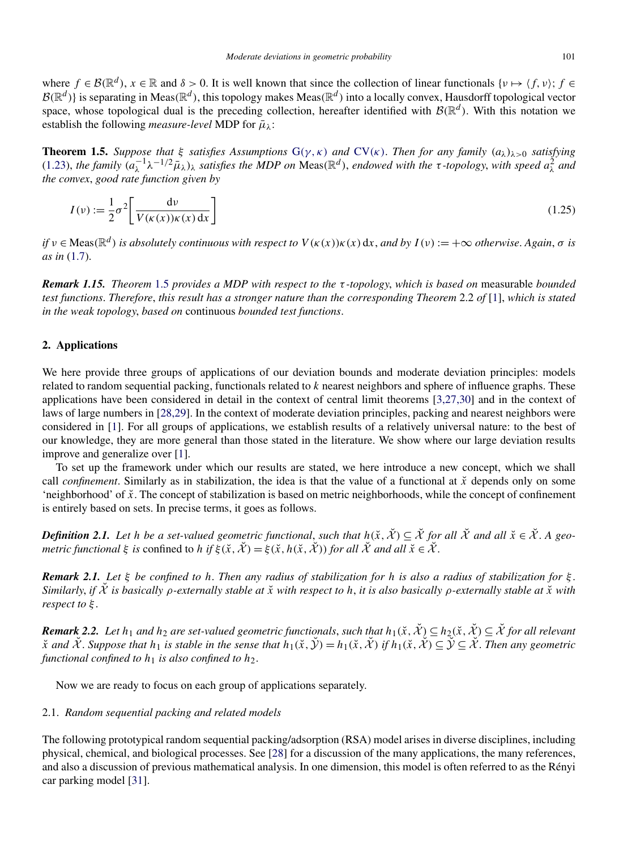<span id="page-12-0"></span>where  $f \in \mathcal{B}(\mathbb{R}^d)$ ,  $x \in \mathbb{R}$  and  $\delta > 0$ . It is well known that since the collection of linear functionals  $\{v \mapsto \langle f, v \rangle; f \in \mathbb{R}^d\}$  $B(\mathbb{R}^d)$  is separating in Meas $(\mathbb{R}^d)$ , this topology makes Meas $(\mathbb{R}^d)$  into a locally convex, Hausdorff topological vector space, whose topological dual is the preceding collection, hereafter identified with  $\mathcal{B}(\mathbb{R}^d)$ . With this notation we establish the following *measure-level* MDP for  $\bar{\mu}_{\lambda}$ :

**Theorem 1.5.** *Suppose that*  $\xi$  *satisfies Assumptions*  $G(\gamma, \kappa)$  *and*  $CV(\kappa)$  $CV(\kappa)$ *. Then for any family*  $(a_\lambda)_{\lambda>0}$  *satisfying* [\(1.23\)](#page-11-0), the family  $(a_{\lambda}^{-1}\lambda^{-1/2}\bar{\mu}_{\lambda})_{\lambda}$  satisfies the MDP on Meas( $\mathbb{R}^d$ ), endowed with the  $\tau$ -topology, with speed  $a_{\lambda}^2$  and *the convex*, *good rate function given by*

$$
I(v) := \frac{1}{2}\sigma^2 \left[ \frac{\mathrm{d}v}{V(\kappa(x))\kappa(x)\,\mathrm{d}x} \right] \tag{1.25}
$$

*if*  $v \in \text{Meas}(\mathbb{R}^d)$  *is absolutely continuous with respect to*  $V(\kappa(x))\kappa(x) dx$ , *and by*  $I(v) := +\infty$  *otherwise*. Again,  $\sigma$  *is as in* [\(1.7\)](#page-5-0).

*Remark 1.15. Theorem* 1.5 *provides a MDP with respect to the τ -topology*, *which is based on* measurable *bounded test functions*. *Therefore*, *this result has a stronger nature than the corresponding Theorem* 2.2 *of* [\[1\]](#page-38-0), *which is stated in the weak topology*, *based on* continuous *bounded test functions*.

## **2. Applications**

We here provide three groups of applications of our deviation bounds and moderate deviation principles: models related to random sequential packing, functionals related to *k* nearest neighbors and sphere of influence graphs. These applications have been considered in detail in the context of central limit theorems [\[3,27,30\]](#page-38-0) and in the context of laws of large numbers in [\[28,29\]](#page-39-0). In the context of moderate deviation principles, packing and nearest neighbors were considered in [\[1\]](#page-38-0). For all groups of applications, we establish results of a relatively universal nature: to the best of our knowledge, they are more general than those stated in the literature. We show where our large deviation results improve and generalize over [\[1\]](#page-38-0).

To set up the framework under which our results are stated, we here introduce a new concept, which we shall call *confinement*. Similarly as in stabilization, the idea is that the value of a functional at  $\check{x}$  depends only on some 'neighborhood' of *x*˘. The concept of stabilization is based on metric neighborhoods, while the concept of confinement is entirely based on sets. In precise terms, it goes as follows.

*Definition 2.1.* Let *h be a set-valued geometric functional, such that*  $h(\check{x}, \check{X}) \subseteq \check{X}$  *for all*  $\check{X}$  *and all*  $\check{x} \in \check{X}$ *. A geometric functional*  $\xi$  *is* confined to *h if*  $\xi(\tilde{x}, \tilde{X}) = \xi(\tilde{x}, h(\tilde{x}, \tilde{X}))$  *for all*  $\tilde{X}$  *and all*  $\tilde{x} \in \tilde{X}$ .

*Remark 2.1. Let ξ be confined to h*. *Then any radius of stabilization for h is also a radius of stabilization for ξ* . *Similarly*, *if* <sup>X</sup>˘ *is basically <sup>ρ</sup>-externally stable at <sup>x</sup>*˘ *with respect to <sup>h</sup>*, *it is also basically <sup>ρ</sup>-externally stable at <sup>x</sup>*˘ *with respect to ξ* .

*Remark 2.2. Let*  $h_1$  *and*  $h_2$  *are set-valued geometric functionals, such that*  $h_1(\tilde{x}, \tilde{X}) \subseteq h_2(\tilde{x}, \tilde{X}) \subseteq \tilde{X}$  *for all relevant*  $\check{x}$  and  $\check{X}$ . Suppose that  $h_1$  is stable in the sense that  $h_1(\check{x}, \check{Y}) = h_1(\check{x}, \check{X})$  if  $h_1(\check{x}, \check{X}) \subseteq \check{Y} \subseteq \check{X}$ . Then any geometric *functional confined to*  $h_1$  *is also confined to*  $h_2$ *.* 

Now we are ready to focus on each group of applications separately.

## 2.1. *Random sequential packing and related models*

The following prototypical random sequential packing/adsorption (RSA) model arises in diverse disciplines, including physical, chemical, and biological processes. See [\[28\]](#page-39-0) for a discussion of the many applications, the many references, and also a discussion of previous mathematical analysis. In one dimension, this model is often referred to as the Rényi car parking model [\[31\]](#page-39-0).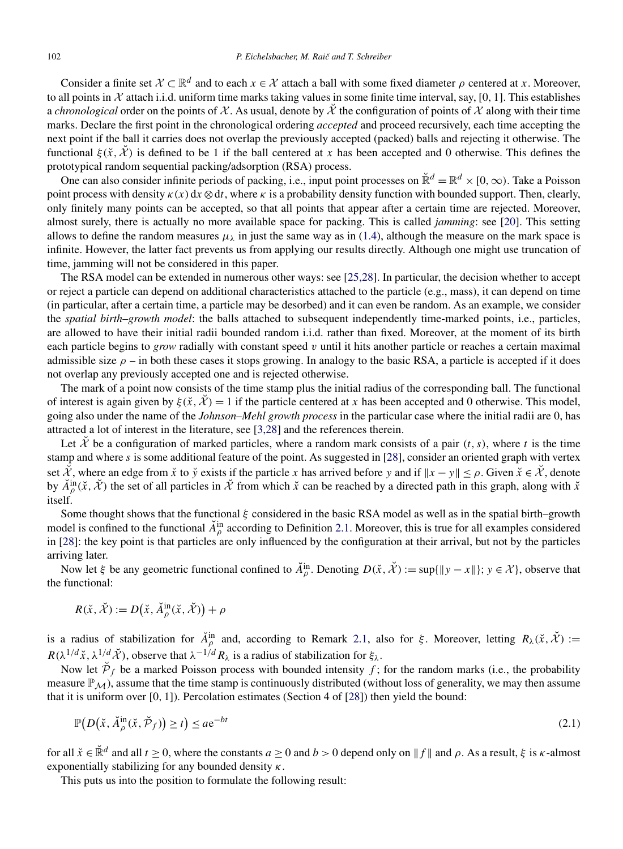<span id="page-13-0"></span>Consider a finite set  $X \subset \mathbb{R}^d$  and to each  $x \in \mathcal{X}$  attach a ball with some fixed diameter  $\rho$  centered at *x*. Moreover, to all points in  $\mathcal X$  attach i.i.d. uniform time marks taking values in some finite time interval, say, [0, 1]. This establishes a *chronological* order on the points of X. As usual, denote by  $\tilde{X}$  the configuration of points of X along with their time marks. Declare the first point in the chronological ordering *accepted* and proceed recursively, each time accepting the next point if the ball it carries does not overlap the previously accepted (packed) balls and rejecting it otherwise. The functional  $\xi(\tilde{x}, \tilde{X})$  is defined to be 1 if the ball centered at x has been accepted and 0 otherwise. This defines the prototypical random sequential packing/adsorption (RSA) process.

One can also consider infinite periods of packing, i.e., input point processes on  $\mathbb{R}^d = \mathbb{R}^d \times [0, \infty)$ . Take a Poisson point process with density  $\kappa(x) dx \otimes dt$ , where  $\kappa$  is a probability density function with bounded support. Then, clearly, only finitely many points can be accepted, so that all points that appear after a certain time are rejected. Moreover, almost surely, there is actually no more available space for packing. This is called *jamming*: see [\[20\]](#page-39-0). This setting allows to define the random measures  $\mu_{\lambda}$  in just the same way as in [\(1.4\)](#page-3-0), although the measure on the mark space is infinite. However, the latter fact prevents us from applying our results directly. Although one might use truncation of time, jamming will not be considered in this paper.

The RSA model can be extended in numerous other ways: see [\[25,28\]](#page-39-0). In particular, the decision whether to accept or reject a particle can depend on additional characteristics attached to the particle (e.g., mass), it can depend on time (in particular, after a certain time, a particle may be desorbed) and it can even be random. As an example, we consider the *spatial birth–growth model*: the balls attached to subsequent independently time-marked points, i.e., particles, are allowed to have their initial radii bounded random i.i.d. rather than fixed. Moreover, at the moment of its birth each particle begins to *grow* radially with constant speed *v* until it hits another particle or reaches a certain maximal admissible size  $\rho$  – in both these cases it stops growing. In analogy to the basic RSA, a particle is accepted if it does not overlap any previously accepted one and is rejected otherwise.

The mark of a point now consists of the time stamp plus the initial radius of the corresponding ball. The functional of interest is again given by  $\xi(\tilde{x}, \tilde{X}) = 1$  if the particle centered at x has been accepted and 0 otherwise. This model, going also under the name of the *Johnson–Mehl growth process* in the particular case where the initial radii are 0, has attracted a lot of interest in the literature, see [\[3,28\]](#page-38-0) and the references therein.

Let  $\tilde{\mathcal{X}}$  be a configuration of marked particles, where a random mark consists of a pair  $(t, s)$ , where t is the time stamp and where *s* is some additional feature of the point. As suggested in [\[28\]](#page-39-0), consider an oriented graph with vertex set  $\tilde{\mathcal{X}}$ , where an edge from  $\tilde{x}$  to  $\tilde{y}$  exists if the particle x has arrived before y and if  $||x - y|| \le \rho$ . Given  $\tilde{x} \in \tilde{\mathcal{X}}$ , denote by  $\check{A}^{\text{in}}_{\rho}(\check{x}, \check{x})$  the set of all particles in  $\check{x}$  from which  $\check{x}$  can be reached by a directed path in this graph, along with  $\check{x}$ itself.

Some thought shows that the functional *ξ* considered in the basic RSA model as well as in the spatial birth–growth model is confined to the functional  $\tilde{A}^{in}_{\rho}$  according to Definition [2.1.](#page-12-0) Moreover, this is true for all examples considered in [\[28\]](#page-39-0): the key point is that particles are only influenced by the configuration at their arrival, but not by the particles arriving later.

Now let  $\xi$  be any geometric functional confined to  $\check{A}_{\rho}^{in}$ . Denoting  $D(\check{x}, \check{\mathcal{X}}) := \sup\{\Vert y - x \Vert\}; y \in \mathcal{X}\}\)$ , observe that the functional:

$$
R(\check{x}, \check{\mathcal{X}}) := D(\check{x}, \check{A}^{\text{in}}_{\rho}(\check{x}, \check{\mathcal{X}})) + \rho
$$

is a radius of stabilization for  $\tilde{A}_{\rho}^{in}$  and, according to Remark [2.1,](#page-12-0) also for  $\xi$ . Moreover, letting  $R_{\lambda}(\tilde{x}, \tilde{X}) :=$  $R(\lambda^{1/d}\tilde{x}, \lambda^{1/d}\tilde{X})$ , observe that  $\lambda^{-1/d}R_{\lambda}$  is a radius of stabilization for  $\xi_{\lambda}$ .

Now let  $\tilde{\mathcal{P}}_f$  be a marked Poisson process with bounded intensity f; for the random marks (i.e., the probability measure  $\mathbb{P}_M$ ), assume that the time stamp is continuously distributed (without loss of generality, we may then assume that it is uniform over [0*,* 1]). Percolation estimates (Section 4 of [\[28\]](#page-39-0)) then yield the bound:

$$
\mathbb{P}\big(D\big(\breve{x},\breve{A}^{\text{in}}_{\rho}(\breve{x},\breve{\mathcal{P}}_f)\big)\geq t\big)\leq a\mathrm{e}^{-bt}\tag{2.1}
$$

for all  $\check{x} \in \check{\mathbb{R}}^d$  and all  $t \ge 0$ , where the constants  $a \ge 0$  and  $b > 0$  depend only on  $||f||$  and  $\rho$ . As a result,  $\xi$  is  $\kappa$ -almost exponentially stabilizing for any bounded density *κ*.

This puts us into the position to formulate the following result: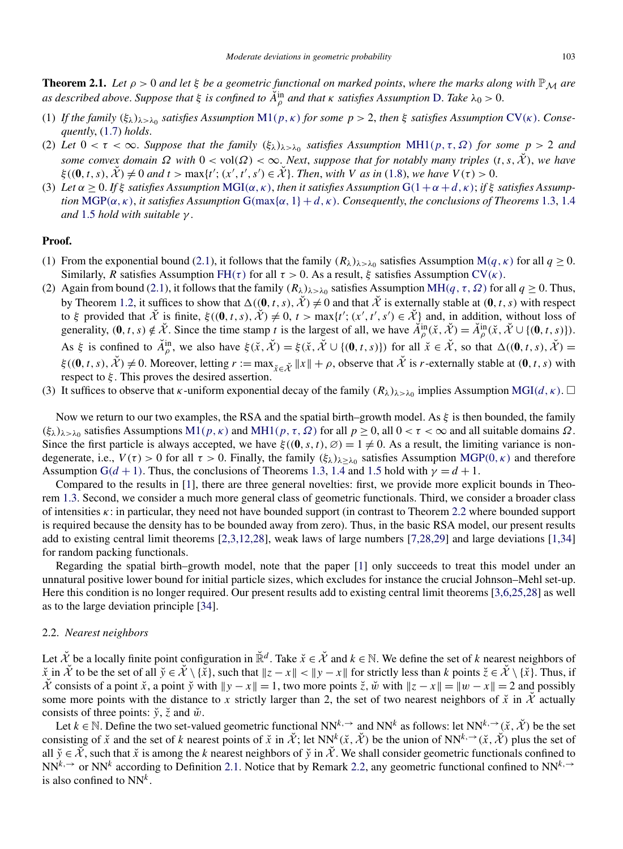**Theorem 2.1.** *Let*  $\rho > 0$  *and let*  $\xi$  *be a geometric functional on marked points, where the marks along with*  $\mathbb{P}_M$  *are as described above*. *Suppose that ξ is confined to A*˘in *<sup>ρ</sup> and that κ satisfies Assumption* [D.](#page-4-0) *Take λ*<sup>0</sup> *>* 0.

- (1) *If the family (ξλ)λ>λ*<sup>0</sup> *satisfies Assumption* M1*[\(p,κ\)](#page-4-0) for some p >* 2, *then ξ satisfies Assumption* [CV](#page-5-0)*(κ)*. *Consequently*, [\(1.7\)](#page-5-0) *holds*.
- (2) Let  $0 < \tau < \infty$ . Suppose that the family  $(\xi_{\lambda})_{\lambda > \lambda_0}$  satisfies Assumption MH1(p,  $\tau$ ,  $\Omega$ ) for some  $p > 2$  and *some convex domain*  $Ω$  *with*  $0 <$  vol $(Ω) < ∞$ *. Next, suppose that for notably many triples*  $(t, s, X)$ *, we have*  $\xi((\mathbf{0}, t, s), \tilde{\mathbf{X}}) \neq 0$  and  $t > \max\{t' ; (x', t', s') \in \tilde{\mathbf{X}}\}$ . *Then*, *with V* as in [\(1.8\)](#page-5-0), we have  $V(\tau) > 0$ .
- (3) Let  $\alpha \ge 0$ . If  $\xi$  satisfies Assumption MGI( $\alpha$ ,  $\kappa$ ), then it satisfies Assumption G( $1 + \alpha + d$ ,  $\kappa$ ); if  $\xi$  satisfies Assump*tion* MGP( $\alpha, \kappa$ ), *it satisfies Assumption* G( $\max{\{\alpha, 1\}} + d, \kappa$ ). *Consequently, the conclusions of Theorems* [1.3,](#page-10-0) [1.4](#page-11-0) *and* [1.5](#page-12-0) *hold with suitable γ* .

## **Proof.**

- (1) From the exponential bound [\(2.1\)](#page-13-0), it follows that the family  $(R_\lambda)_{\lambda>\lambda_0}$  satisfies Assumption M $(q, \kappa)$  for all  $q \ge 0$ . Similarly, *R* satisfies Assumption FH*[\(τ\)](#page-4-0)* for all *τ >* 0. As a result, *ξ* satisfies Assumption [CV](#page-5-0)*(κ)*.
- (2) Again from bound [\(2.1\)](#page-13-0), it follows that the family  $(R_\lambda)_{\lambda>\lambda_0}$  satisfies Assumption MH(q,  $\tau$ ,  $\Omega$ ) for all  $q \ge 0$ . Thus, by Theorem [1.2,](#page-8-0) it suffices to show that  $\Delta((0, t, s), \tilde{X}) \neq 0$  and that  $\tilde{X}$  is externally stable at  $(0, t, s)$  with respect to *ξ* provided that  $\tilde{\mathcal{X}}$  is finite,  $\xi((0, t, s), \tilde{\mathcal{X}}) \neq 0$ ,  $t > \max\{t'; (x', t', s') \in \tilde{\mathcal{X}}\}$  and, in addition, without loss of generality,  $(0, t, s) \notin \tilde{\mathcal{X}}$ . Since the time stamp t is the largest of all, we have  $\tilde{A}_{\rho}^{in}(\tilde{x}, \tilde{\mathcal{X}}) = \tilde{A}_{\rho}^{in}(\tilde{x}, \tilde{\mathcal{X}} \cup \{(0, t, s)\})$ . As  $\xi$  is confined to  $\check{A}_{\rho}^{in}$ , we also have  $\xi(\check{x}, \check{\mathcal{X}}) = \xi(\check{x}, \check{\mathcal{X}} \cup \{(0, t, s)\})$  for all  $\check{x} \in \check{\mathcal{X}}$ , so that  $\Delta((0, t, s), \check{\mathcal{X}}) =$  $\xi((0, t, s), \tilde{X}) \neq 0$ . Moreover, letting  $r := \max_{\tilde{Y} \in \tilde{X}} ||x|| + \rho$ , observe that  $\tilde{X}$  is *r*-externally stable at  $(0, t, s)$  with respect to *ξ* . This proves the desired assertion.
- (3) It suffices to observe that *κ*-uniform exponential decay of the family  $(R_\lambda)_{\lambda>\lambda_0}$  implies Assumption MGI(*d*, *κ*).  $\Box$

Now we return to our two examples, the RSA and the spatial birth–growth model. As *ξ* is then bounded, the family *(ξλ)λ>λ*<sup>0</sup> satisfies Assumptions M1*[\(p,κ\)](#page-4-0)* and MH1*[\(p,τ,Ω\)](#page-8-0)* for all *p* ≥ 0, all 0 *<τ<* ∞ and all suitable domains *Ω*. Since the first particle is always accepted, we have  $\xi((0, s, t), \emptyset) = 1 \neq 0$ . As a result, the limiting variance is nondegenerate, i.e.,  $V(\tau) > 0$  for all  $\tau > 0$ . Finally, the family  $(\xi_{\lambda})_{\lambda \geq \lambda_0}$  satisfies Assumption [MGP](#page-9-0)(0,  $\kappa$ ) and therefore Assumption G( $d + 1$ ). Thus, the conclusions of Theorems [1.3,](#page-10-0) [1.4](#page-11-0) and [1.5](#page-12-0) hold with  $\gamma = d + 1$ .

Compared to the results in [\[1\]](#page-38-0), there are three general novelties: first, we provide more explicit bounds in Theorem [1.3.](#page-10-0) Second, we consider a much more general class of geometric functionals. Third, we consider a broader class of intensities *κ*: in particular, they need not have bounded support (in contrast to Theorem [2.2](#page-15-0) where bounded support is required because the density has to be bounded away from zero). Thus, in the basic RSA model, our present results add to existing central limit theorems [\[2,3,12,28\]](#page-38-0), weak laws of large numbers [\[7,28,29\]](#page-39-0) and large deviations [\[1,34\]](#page-38-0) for random packing functionals.

Regarding the spatial birth–growth model, note that the paper [\[1\]](#page-38-0) only succeeds to treat this model under an unnatural positive lower bound for initial particle sizes, which excludes for instance the crucial Johnson–Mehl set-up. Here this condition is no longer required. Our present results add to existing central limit theorems [\[3,6,25,28\]](#page-38-0) as well as to the large deviation principle [\[34\]](#page-39-0).

## 2.2. *Nearest neighbors*

Let  $\check{\mathcal{X}}$  be a locally finite point configuration in  $\check{\mathbb{R}}^d$ . Take  $\check{x} \in \check{\mathcal{X}}$  and  $k \in \mathbb{N}$ . We define the set of *k* nearest neighbors of *x*<sup> $\check{x}$  in  $\check{X}$  to be the set of all  $\check{y} \in \check{X} \setminus \{\check{x}\}$ , such that  $\|z - x\| < \|y - x\|$  for strictly less than *k* points  $\check{z} \in \check{X} \setminus \{\check{x}\}$ . Thus, if</sup>  $\chi$ <sup>\*</sup> consists of a point  $\chi$ <sup>\*</sup>, a point  $\chi$ <sup>\*</sup> with  $\|y - x\| = 1$ , two more points  $\chi$ <sup>\*</sup>,  $\tilde{w}$  with  $\|z - x\| = \|w - x\| = 2$  and possibly some more points with the distance to *x* strictly larger than 2, the set of two nearest neighbors of  $\check{x}$  in  $\check{X}$  actually consists of three points:  $\check{y}$ ,  $\check{z}$  and  $\check{w}$ .

Let  $k \in \mathbb{N}$ . Define the two set-valued geometric functional NN<sup>k,→</sup> and NN<sup>k</sup> as follows: let NN<sup>k,→</sup> ( $\check{x}$ ,  $\check{\mathcal{X}}$ ) be the set consisting of  $\check{x}$  and the set of  $k$  nearest points of  $\check{x}$  in  $\check{\mathcal{X}}$ ; let NN<sup>k</sup>( $\check{x}$ ,  $\check{\mathcal{X}}$ ) be the union of NN<sup>k,→</sup>( $\check{x}$ ,  $\check{\mathcal{X}}$ ) plus the set of all  $\breve{y} \in \breve{X}$ , such that  $\breve{x}$  is among the  $k$  nearest neighbors of  $\breve{y}$  in  $\breve{X}$ . We shall consider geometric functionals confined to  $NN^{k, \rightarrow}$  or  $NN^{k}$  according to Definition [2.1.](#page-12-0) Notice that by Remark [2.2,](#page-12-0) any geometric functional confined to  $NN^{k, \rightarrow}$ is also confined to  $NN<sup>k</sup>$ .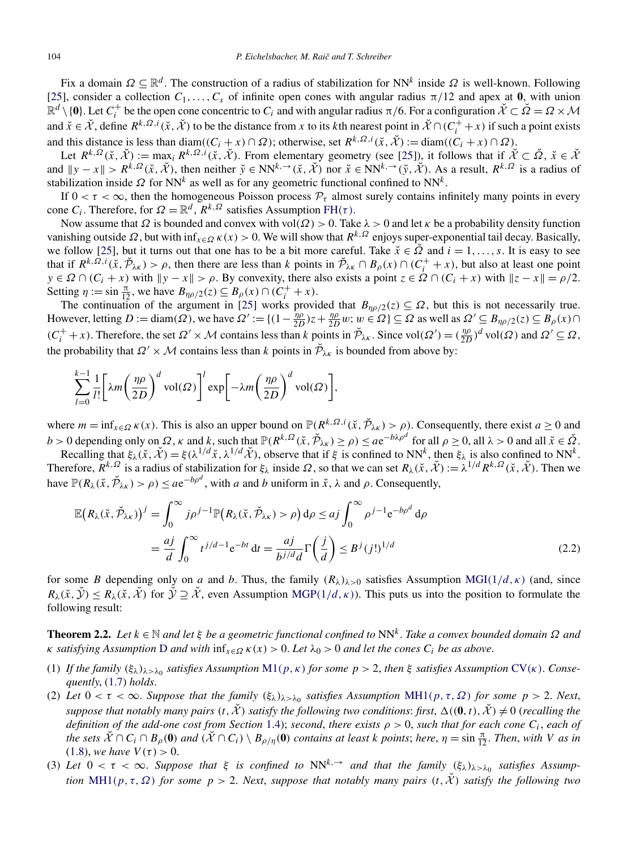<span id="page-15-0"></span>Fix a domain  $\Omega \subseteq \mathbb{R}^d$ . The construction of a radius of stabilization for NN<sup>k</sup> inside  $\Omega$  is well-known. Following [\[25\]](#page-39-0), consider a collection  $C_1, \ldots, C_s$  of infinite open cones with angular radius  $\pi/12$  and apex at **0**, with union  $\mathbb{R}^d \setminus \{0\}$ . Let  $C_i^+$  be the open cone concentric to  $C_i$  and with angular radius  $\pi/6$ . For a configuration  $\mathcal{X} \subset \mathcal{Y} = \Omega \times \mathcal{M}$ and  $\check{x} \in \check{\mathcal{X}}$ , define  $R^{k,\Omega,i}(\check{x},\check{\mathcal{X}})$  to be the distance from *x* to its *k*th nearest point in  $\check{\mathcal{X}} \cap (C_i^+ + x)$  if such a point exists and this distance is less than diam( $(C_i + x) \cap \Omega$ ); otherwise, set  $R^{k,\Omega,i}(\tilde{x}, \tilde{X}) := \text{diam}((C_i + x) \cap \Omega)$ .

Let  $R^{k,\Omega}(\check{x},\check{X}) := \max_i R^{k,\Omega,i}(\check{x},\check{X})$ . From elementary geometry (see [\[25\]](#page-39-0)), it follows that if  $\check{X} \subset \check{\Omega}$ ,  $\check{x} \in \check{X}$ and  $\|y - x\| > R^{k,\Omega}(\tilde{x},\tilde{X})$ , then neither  $\tilde{y} \in NN^{k,\to}(\tilde{x},\tilde{X})$  nor  $\tilde{x} \in NN^{k,\to}(\tilde{y},\tilde{X})$ . As a result,  $R^{k,\Omega}$  is a radius of stabilization inside  $\Omega$  for NN<sup>k</sup> as well as for any geometric functional confined to NN<sup>k</sup>.

If  $0 < \tau < \infty$ , then the homogeneous Poisson process  $\mathcal{P}_{\tau}$  almost surely contains infinitely many points in every cone *C<sub>i</sub>*. Therefore, for  $\Omega = \mathbb{R}^d$ ,  $R^{k,\Omega}$  satisfies Assumption FH( $\tau$ ).

Now assume that *Ω* is bounded and convex with vol( $Ω$ ) > 0. Take  $λ$  > 0 and let *κ* be a probability density function vanishing outside  $\Omega$ , but with inf<sub>*x*∈ $\Omega$ </sub>  $\kappa(x) > 0$ . We will show that  $R^{k,\Omega}$  enjoys super-exponential tail decay. Basically, we follow [\[25\]](#page-39-0), but it turns out that one has to be a bit more careful. Take  $\check{x} \in \check{\Omega}$  and  $i = 1, \ldots, s$ . It is easy to see that if  $R^{k,\Omega,i}(\tilde{x}, \tilde{\mathcal{P}}_{\lambda\kappa}) > \rho$ , then there are less than *k* points in  $\tilde{\mathcal{P}}_{\lambda\kappa} \cap B_{\rho}(x) \cap (C_i^+ + x)$ , but also at least one point *y* ∈ *Ω* ∩ ( $C_i + x$ ) with  $||y - x|| > \rho$ . By convexity, there also exists a point  $z \in \Omega$  ∩ ( $C_i + x$ ) with  $||z - x|| = \rho/2$ . Setting  $\eta := \sin \frac{\pi}{12}$ , we have  $B_{\eta \rho/2}(z) \subseteq B_{\rho}(x) \cap (C_i^+ + x)$ .

The continuation of the argument in [\[25\]](#page-39-0) works provided that  $B_{\eta\rho/2}(z) \subseteq \Omega$ , but this is not necessarily true. However, letting  $D := \text{diam}(\Omega)$ , we have  $\Omega' := \{(1 - \frac{\eta \rho}{2D})z + \frac{\eta \rho}{2D}w; w \in \Omega\} \subseteq \Omega$  as well as  $\Omega' \subseteq B_{\eta \rho/2}(z) \subseteq B_{\rho}(x) \cap$  $(C_i^+ + x)$ . Therefore, the set  $\Omega' \times \mathcal{M}$  contains less than *k* points in  $\tilde{\mathcal{P}}_{\lambda \kappa}$ . Since vol $(\Omega') = (\frac{\eta \rho}{2D})^d$  vol $(\Omega)$  and  $\Omega' \subseteq \Omega$ , the probability that  $\Omega' \times M$  contains less than *k* points in  $\tilde{\mathcal{P}}_{\lambda K}$  is bounded from above by:

$$
\sum_{l=0}^{k-1} \frac{1}{l!} \left[ \lambda m \left( \frac{\eta \rho}{2D} \right)^d \text{vol}(\Omega) \right]^l \exp \left[ -\lambda m \left( \frac{\eta \rho}{2D} \right)^d \text{vol}(\Omega) \right],
$$

where  $m = \inf_{x \in \Omega} \kappa(x)$ . This is also an upper bound on  $\mathbb{P}(R^{k,\Omega,i}(\tilde{x}, \tilde{\mathcal{P}}_{\lambda\kappa}) > \rho)$ . Consequently, there exist  $a \ge 0$  and  $b > 0$  depending only on  $\Omega$ ,  $\kappa$  and  $k$ , such that  $\mathbb{P}(R^{k,\Omega}(\tilde{x}, \tilde{\mathcal{P}}_{\lambda\kappa}) \ge \rho) \le a e^{-b\lambda\rho^d}$  for all  $\rho \ge 0$ , all  $\lambda > 0$  and all  $\tilde{x} \in \tilde{\Omega}$ .

Recalling that  $\xi_{\lambda}(\check{x},\check{x}) = \xi(\lambda^{1/d}\check{x},\lambda^{1/d}\check{x})$ , observe that if  $\xi$  is confined to NN<sup>k</sup>, then  $\xi_{\lambda}$  is also confined to NN<sup>k</sup>. Therefore,  $\overline{R}^{k,\Omega}$  is a radius of stabilization for  $\xi_{\lambda}$  inside  $\Omega$ , so that we can set  $R_{\lambda}(\overline{x},\overline{\lambda}) := \lambda^{1/d} R^{k,\Omega}(\overline{x},\overline{\lambda})$ . Then we have  $\mathbb{P}(R_{\lambda}(\tilde{x}, \tilde{\mathcal{P}}_{\lambda \kappa}) > \rho) \leq a e^{-b \rho^d}$ , with *a* and *b* uniform in  $\tilde{x}$ ,  $\lambda$  and  $\rho$ . Consequently,

$$
\mathbb{E}\big(R_{\lambda}(\check{x},\check{\mathcal{P}}_{\lambda\kappa})\big)^{j} = \int_{0}^{\infty} j\rho^{j-1} \mathbb{P}\big(R_{\lambda}(\check{x},\check{\mathcal{P}}_{\lambda\kappa}) > \rho\big) d\rho \le aj \int_{0}^{\infty} \rho^{j-1} e^{-b\rho^{d}} d\rho
$$

$$
= \frac{aj}{d} \int_{0}^{\infty} t^{j/d-1} e^{-bt} dt = \frac{aj}{b^{j/d} d} \Gamma\bigg(\frac{j}{d}\bigg) \le B^{j} (j!)^{1/d}
$$
(2.2)

for some *B* depending only on *a* and *b*. Thus, the family  $(R_\lambda)_{\lambda>0}$  satisfies Assumption MGI(1/d, k) (and, since  $R_{\lambda}(\tilde{x}, \tilde{Y}) \leq R_{\lambda}(\tilde{x}, \tilde{X})$  for  $\tilde{Y} \supseteq \tilde{X}$ , even Assumption MGP(1/d, k)). This puts us into the position to formulate the following result:

**Theorem 2.2.** *Let*  $k \in \mathbb{N}$  *and let*  $\xi$  *be a geometric functional confined to*  $NN^k$ . *Take a convex bounded domain*  $\Omega$  *and κ satisfying Assumption* [D](#page-4-0) *and with* inf*x*∈*<sup>Ω</sup> κ(x) >* 0. *Let λ*<sup>0</sup> *>* 0 *and let the cones Ci be as above*.

- (1) *If the family*  $(\xi_{\lambda})_{\lambda > \lambda_0}$  *satisfies Assumption* M1(*p, κ) for some*  $p > 2$ *, then*  $\xi$  *satisfies Assumption* [CV](#page-5-0)(*κ*). *Consequently*, [\(1.7\)](#page-5-0) *holds*.
- (2) Let  $0 < \tau < \infty$ . Suppose that the family  $(\xi_{\lambda})_{\lambda > \lambda_0}$  satisfies Assumption MH1(p,  $\tau$ ,  $\Omega$ ) for some  $p > 2$ . Next, *suppose that notably many pairs*  $(t, \tilde{X})$  *satisfy the following two conditions: first*,  $\Delta((0, t), \tilde{X}) \neq 0$  (*recalling the definition of the add-one cost from Section* [1.4\)](#page-6-0); *second*, *there exists ρ >* 0, *such that for each cone Ci*, *each of* the sets  $\check{X} \cap C_i \cap B_\rho(0)$  and  $(\check{X} \cap C_i) \setminus B_{\rho/\eta}(0)$  contains at least k points; here,  $\eta = \sin \frac{\pi}{12}$ . Then, with V as in [\(1.8\)](#page-5-0), *we have*  $V(\tau) > 0$ .
- (3) Let  $0 < \tau < \infty$ . Suppose that  $\xi$  is confined to  $NN^{k, \rightarrow}$  and that the family  $(\xi_{\lambda})_{\lambda > \lambda_0}$  satisfies Assump*tion* MH1( $p, \tau, \Omega$ ) *for some*  $p > 2$ . *Next, suppose that notably many pairs*  $(t, \tilde{X})$  *satisfy the following two*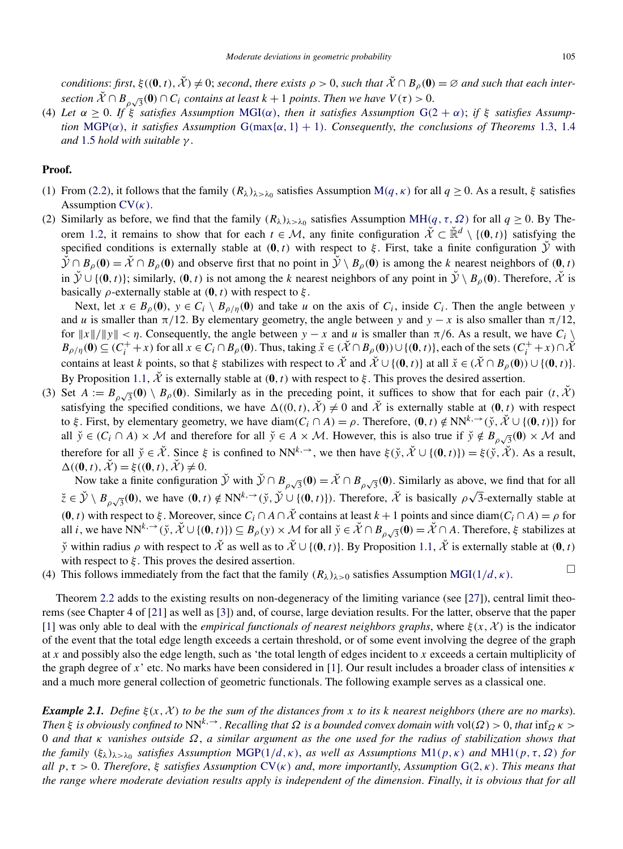<span id="page-16-0"></span>*conditions: first,*  $\xi((0, t), \tilde{X}) \neq 0$ ; *second, there exists*  $\rho > 0$ *, such that*  $\tilde{X} \cap B_{\rho}(0) = \emptyset$  *and such that each intersection*  $\check{X} \cap B_{\rho\sqrt{3}}(\mathbf{0}) \cap C_i$  *contains at least*  $k + 1$  *points. Then we have*  $V(\tau) > 0$ .

(4) Let  $\alpha \geq 0$ . If  $\zeta$  *satisfies Assumption [MGI](#page-9-0)*( $\alpha$ ), then it satisfies Assumption G( $2 + \alpha$ ); if  $\xi$  satisfies Assump*tion* [MGP](#page-9-0)( $\alpha$ ), *it satisfies Assumption* G( $\max{\{\alpha, 1\}} + 1$  $\max{\{\alpha, 1\}} + 1$  $\max{\{\alpha, 1\}} + 1$ ). *Consequently, the conclusions of Theorems* [1.3,](#page-10-0) [1.4](#page-11-0) *and* [1.5](#page-12-0) *hold with suitable γ* .

## **Proof.**

- (1) From [\(2.2\)](#page-15-0), it follows that the family  $(R_\lambda)_{\lambda>\lambda_0}$  satisfies Assumption M $(q, \kappa)$  for all  $q \ge 0$ . As a result,  $\xi$  satisfies Assumption [CV](#page-5-0)*(κ)*.
- (2) Similarly as before, we find that the family  $(R_\lambda)_{\lambda>\lambda_0}$  satisfies Assumption MH(q,  $\tau$ ,  $\Omega$ ) for all  $q \ge 0$ . By The-orem [1.2,](#page-8-0) it remains to show that for each  $t \in M$ , any finite configuration  $\check{\mathcal{X}} \subset \check{\mathbb{R}}^d \setminus \{(\mathbf{0},t)\}\)$  satisfying the specified conditions is externally stable at  $(0, t)$  with respect to  $\xi$ . First, take a finite configuration  $\check{y}$  with  $\check{Y} \cap B_{\rho}(0) = \check{X} \cap B_{\rho}(0)$  and observe first that no point in  $\check{Y} \setminus B_{\rho}(0)$  is among the *k* nearest neighbors of  $(0, t)$ in  $\check{Y} \cup \{(0, t)\}\;$ ; similarly,  $(0, t)$  is not among the *k* nearest neighbors of any point in  $\check{Y} \setminus B_0(0)$ . Therefore,  $\check{X}$  is basically *ρ*-externally stable at  $(0, t)$  with respect to  $\xi$ .

Next, let  $x \in B_0(0)$ ,  $y \in C_i \setminus B_0(n(0))$  and take *u* on the axis of  $C_i$ , inside  $C_i$ . Then the angle between *y* and *u* is smaller than  $\pi/12$ . By elementary geometry, the angle between *y* and  $y - x$  is also smaller than  $\pi/12$ , for  $||x||/||y|| < \eta$ . Consequently, the angle between  $y - x$  and *u* is smaller than  $\pi/6$ . As a result, we have  $C_i \setminus C_i$  $B_{\rho/\eta}(0) \subseteq (C_i^+ + x)$  for all  $x \in C_i \cap B_{\rho}(0)$ . Thus, taking  $\check{x} \in (\check{\mathcal{X}} \cap B_{\rho}(0)) \cup \{(0, t)\}\)$ , each of the sets  $(C_i^+ + x) \cap \check{\mathcal{X}}$ contains at least *k* points, so that *ξ* stabilizes with respect to  $\tilde{\mathcal{X}}$  and  $\tilde{\mathcal{X}} \cup \{(\mathbf{0}, t)\}\$  at all  $\tilde{\mathcal{X}} \in (\tilde{\mathcal{X}} \cap B_{\rho}(\mathbf{0})) \cup \{(\mathbf{0}, t)\}.$ By Proposition [1.1,](#page-7-0)  $\check{\mathcal{X}}$  is externally stable at  $(0, t)$  with respect to  $\xi$ . This proves the desired assertion.

(3) Set  $A := B_{\rho\sqrt{3}}(0) \setminus B_{\rho}(0)$ . Similarly as in the preceding point, it suffices to show that for each pair  $(t, \tilde{X})$ satisfying the specified conditions, we have  $\Delta((0, t), \tilde{X}) \neq 0$  and  $\tilde{X}$  is externally stable at  $(0, t)$  with respect to *ξ*. First, by elementary geometry, we have diam $(C_i \cap A) = \rho$ . Therefore,  $(0, t) \notin \text{NN}^{k, \rightarrow}$   $(\check{y}, \check{\chi} \cup \{(0, t)\})$  for all  $\check{y} \in (C_i \cap A) \times M$  and therefore for all  $\check{y} \in A \times M$ . However, this is also true if  $\check{y} \notin B_{\rho\sqrt{3}}(0) \times M$  and therefore for all  $\check{y} \in \check{\mathcal{X}}$ . Since  $\xi$  is confined to NN<sup>k,→</sup>, we then have  $\xi(\check{y}, \check{\mathcal{X}} \cup \{(\mathbf{0}, t)\}) = \xi(\check{y}, \check{\mathcal{X}})$ . As a result,  $\Delta((0, t), \check{\mathcal{X}}) = \xi((0, t), \check{\mathcal{X}}) \neq 0.$ 

Now take a finite configuration  $\check{y}$  with  $\check{y} \cap B_{\rho\sqrt{3}}(0) = \check{\mathcal{X}} \cap B_{\rho\sqrt{3}}(0)$ . Similarly as above, we find that for all  $\tilde{z} \in \tilde{Y} \setminus B_{\rho\sqrt{3}}(0)$ , we have  $(0, t) \notin NN^{k, \rightarrow}(\tilde{y}, \tilde{Y} \cup \{(0, t)\})$ . Therefore,  $\tilde{X}$  is basically  $\rho\sqrt{3}$ -externally stable at *(***0***, t*) with respect to *ξ*. Moreover, since *C<sub>i</sub>* ∩ *A* ∩  $\chi$ <sup>*γ*</sup> contains at least *k* + 1 points and since diam(*C<sub>i</sub>* ∩ *A*) = *ρ* for all *i*, we have  $NN^{k, \rightarrow}$   $(\check{y}, \check{\mathcal{X}} \cup \{(\mathbf{0}, t)\}) \subseteq B_{\rho}(y) \times \mathcal{M}$  for all  $\check{y} \in \check{\mathcal{X}} \cap B_{\rho\sqrt{3}}(\mathbf{0}) = \check{\mathcal{X}} \cap A$ . Therefore,  $\xi$  stabilizes at  $\check{y}$  within radius  $\rho$  with respect to  $\check{\mathcal{X}}$  as well as to  $\check{\mathcal{X}} \cup \{(\mathbf{0}, t)\}\)$ . By Proposition [1.1,](#page-7-0)  $\check{\mathcal{X}}$  is externally stable at  $(\mathbf{0}, t)$ with respect to *ξ* . This proves the desired assertion.

(4) This follows immediately from the fact that the family  $(R_\lambda)_{\lambda>0}$  satisfies Assumption MGI(1/d,  $\kappa$ ).

Theorem [2.2](#page-15-0) adds to the existing results on non-degeneracy of the limiting variance (see [\[27\]](#page-39-0)), central limit theorems (see Chapter 4 of [\[21\]](#page-39-0) as well as [\[3\]](#page-38-0)) and, of course, large deviation results. For the latter, observe that the paper [\[1\]](#page-38-0) was only able to deal with the *empirical functionals of nearest neighbors graphs*, where  $\xi(x, X)$  is the indicator of the event that the total edge length exceeds a certain threshold, or of some event involving the degree of the graph at *x* and possibly also the edge length, such as 'the total length of edges incident to *x* exceeds a certain multiplicity of the graph degree of *x*' etc. No marks have been considered in [\[1\]](#page-38-0). Our result includes a broader class of intensities *κ* and a much more general collection of geometric functionals. The following example serves as a classical one.

*Example 2.1. Define*  $\xi(x, \mathcal{X})$  *to be the sum of the distances from* x *to its k nearest neighbors* (*there are no marks*). *Then*  $\xi$  *is obviously confined to* NN<sup>k,→</sup>. *Recalling that*  $\Omega$  *is a bounded convex domain with* vol( $\Omega$ ) > 0, *that* inf<sub> $\Omega$ </sub>  $\kappa$  > 0 *and that κ vanishes outside Ω*, *a similar argument as the one used for the radius of stabilization shows that the family*  $(\xi_{\lambda})_{\lambda>\lambda_0}$  *satisfies Assumption MGP*(1/d, k), *as well as Assumptions* M1(p, k) *and* MH1(p,  $\tau$ ,  $\Omega$ ) *for all p,τ >* 0. *Therefore*, *ξ satisfies Assumption* [CV](#page-5-0)*(κ) and*, *more importantly*, *Assumption* G*(*2*[,κ\)](#page-10-0)*. *This means that the range where moderate deviation results apply is independent of the dimension*. *Finally*, *it is obvious that for all*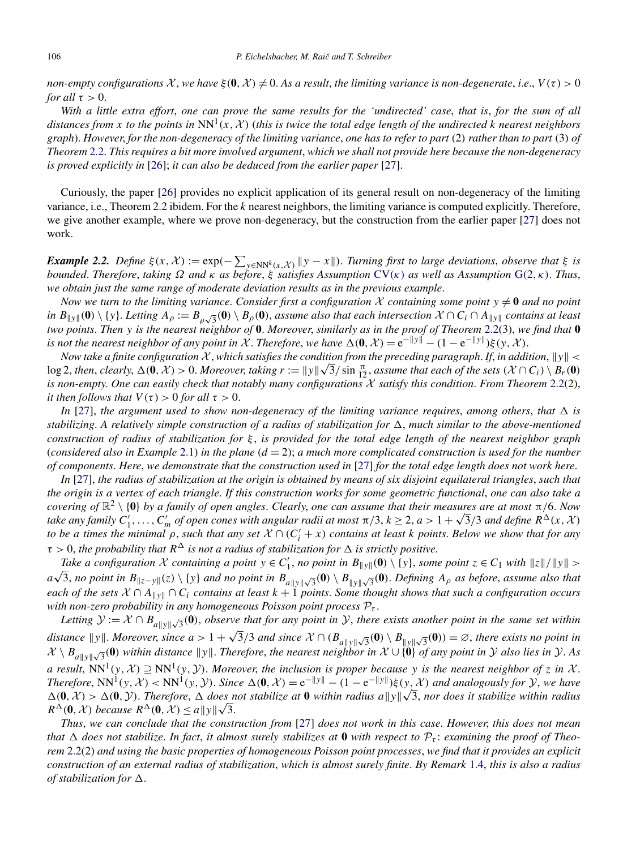<span id="page-17-0"></span>*non-empty configurations*  $\mathcal{X}$ *, we have*  $\xi(\mathbf{0}, \mathcal{X}) \neq 0$ *. As a result, the limiting variance is non-degenerate, i.e.,*  $V(\tau) > 0$ *for all*  $\tau > 0$ .

*With a little extra effort*, *one can prove the same results for the 'undirected' case*, *that is*, *for the sum of all distances from x to the points in*  $NN<sup>1</sup>(x, \mathcal{X})$  (*this is twice the total edge length of the undirected k nearest neighbors graph*). *However*, *for the non-degeneracy of the limiting variance*, *one has to refer to part (*2*) rather than to part (*3*) of Theorem* [2.2.](#page-15-0) *This requires a bit more involved argument*, *which we shall not provide here because the non-degeneracy is proved explicitly in* [\[26\]](#page-39-0); *it can also be deduced from the earlier paper* [\[27\]](#page-39-0).

Curiously, the paper [\[26\]](#page-39-0) provides no explicit application of its general result on non-degeneracy of the limiting variance, i.e., Theorem 2.2 ibidem. For the *k* nearest neighbors, the limiting variance is computed explicitly. Therefore, we give another example, where we prove non-degeneracy, but the construction from the earlier paper [\[27\]](#page-39-0) does not work.

*Example 2.2. Define*  $\xi(x, \mathcal{X}) := \exp(-\sum_{y \in NN^k(x, \mathcal{X})} ||y - x||)$ . *Turning first to large deviations, observe that*  $\xi$  *is bounded*. *Therefore*, *taking Ω and κ as before*, *ξ satisfies Assumption* [CV](#page-5-0)*(κ) as well as Assumption* G*(*2*[,κ\)](#page-10-0)*. *Thus*, *we obtain just the same range of moderate deviation results as in the previous example*.

*Now we turn to the limiting variance. Consider first a configuration*  $X$  *containing some point*  $y \neq 0$  *and no point* in  $B_{\|y\|}(0) \setminus \{y\}$ . Letting  $A_\rho := B_{\rho\sqrt{3}}(0) \setminus B_\rho(0)$ , assume also that each intersection  $\mathcal{X} \cap C_i \cap A_{\|y\|}$  contains at least *two points*. *Then y is the nearest neighbor of* **0**. *Moreover*, *similarly as in the proof of Theorem* [2.2\(](#page-15-0)3), *we find that* **0** *is not the nearest neighbor of any point in*  $\mathcal{X}$ *. Therefore, we have*  $\Delta(\mathbf{0}, \mathcal{X}) = e^{-\|y\|} - (1 - e^{-\|y\|})\xi(y, \mathcal{X})$ .

*Now take a finite configuration*  $\mathcal{X}$ *, which satisfies the condition from the preceding paragraph. If, in addition*,  $||y|| <$ Now take a jinite configuration  $\lambda$ , which satisfies the condition from the preceding paragraph. If, in addition,  $||y|| <$ <br>log 2, then, clearly,  $\Delta(\mathbf{0}, \mathcal{X}) > 0$ . Moreover, taking  $r := ||y||\sqrt{3}/\sin \frac{\pi}{12}$ , assume that eac *is non-empty*. *One can easily check that notably many configurations* X *satisfy this condition*. *From Theorem* [2.2\(](#page-15-0)2), *it then follows that*  $V(\tau) > 0$  *for all*  $\tau > 0$ .

*In* [\[27\]](#page-39-0), *the argument used to show non-degeneracy of the limiting variance requires, among others, that*  $\Delta$  *is stabilizing*. *A relatively simple construction of a radius of stabilization for* , *much similar to the above-mentioned construction of radius of stabilization for ξ* , *is provided for the total edge length of the nearest neighbor graph* (*considered also in Example* [2.1\)](#page-16-0) *in the plane* (*d* = 2); *a much more complicated construction is used for the number of components*. *Here*, *we demonstrate that the construction used in* [\[27\]](#page-39-0) *for the total edge length does not work here*.

*In* [\[27\]](#page-39-0), *the radius of stabilization at the origin is obtained by means of six disjoint equilateral triangles*, *such that the origin is a vertex of each triangle*. *If this construction works for some geometric functional*, *one can also take a covering of*  $\mathbb{R}^2 \setminus \{0\}$  *by a family of open angles. Clearly, one can assume that their measures are at most*  $\pi/6$ . *Now covering of*  $\mathbb{R}^2 \setminus \{0\}$  *by a family of open angles. Clearly, one can assume that their measures are at most*  $\pi$ /6. Now take any family  $C'_1, \ldots, C'_m$  of open cones with angular radii at most  $\pi/3, k \geq 2, a > 1 + \$ *to be a times the minimal*  $\rho$ *, such that any set*  $X \cap (C_i' + x)$  *contains at least k points. Below we show that for any τ >* 0, *the probability that R is not a radius of stabilization for is strictly positive*.

Take a configuration X containing a point  $y \in C'_1$ , no point in  $B_{\|y\|}(\mathbf{0}) \setminus \{y\}$ , some point  $z \in C_1$  with  $\|z\|/\|y\| >$ Take a conjiguration  $\lambda$  containing a point  $y \in C_1$ , no point in  $B_{\|y\|}(\mathbf{0}) \setminus \{y\}$ , some point  $z \in C_1$  with  $\|z\|/\|y\| > a\sqrt{3}$ , no point in  $B_{\|z-y\|}(z) \setminus \{y\}$  and no point in  $B_{a\|y\|\sqrt{3}}(\mathbf{0}) \setminus B_{\|y\|\sqrt{3$ *each of the sets*  $X \cap A_{\|y\|} \cap C_i$  *contains at least*  $k + 1$  *points. Some thought shows that such a configuration occurs with non-zero probability in any homogeneous Poisson point process* P*<sup>τ</sup>* .

*Letting*  $\mathcal{Y} := \mathcal{X} \cap B_{a||y||\sqrt{3}}(0)$ , *observe that for any point in*  $\mathcal{Y}$ , *there exists another point in the same set within* distance ||y||. Moreover, since  $a > 1 + \sqrt{3}/3$  and since  $X \cap (B_{a||y||\sqrt{3}}(0) \setminus B_{||y||\sqrt{3}}(0)) = \emptyset$ , there exists no point in  $\mathcal{X} \setminus B_{a\|y\|\sqrt{3}}(0)$  within distance  $\|y\|$ . Therefore, the nearest neighbor in  $\mathcal{X} \cup \{0\}$  of any point in  $\mathcal{Y}$  also lies in  $\mathcal{Y}$ . As *a result*,  $NN^1(y, \mathcal{X}) \supseteq NN^1(y, \mathcal{Y})$ . Moreover, the inclusion is proper because y is the nearest neighbor of *z* in  $\mathcal{X}$ . Therefore,  $NN^1(y, \mathcal{X})$  <  $NN^1(y, \mathcal{Y})$ . Since  $\Delta(\mathbf{0}, \mathcal{X}) = e^{-\|y\|} - (1 - e^{-\|y\|})\xi(y, \mathcal{X})$  and analogously for  $\mathcal{Y}$ , we have Therefore, NN<sup>+</sup>(y, X) < NN<sup>+</sup>(y, Y). Since  $\Delta(\mathbf{0}, \mathcal{X}) = e^{-\|\mathcal{Y}\|} - (1 - e^{-\|\mathcal{Y}\|})\xi(\mathbf{y}, \mathcal{X})$  and analogously for Y, we have  $\Delta(\mathbf{0}, \mathcal{X}) > \Delta(\mathbf{0}, \mathcal{Y})$ . Therefore,  $\Delta$  does not stabilize at  $\mathbf{0}$  within r  $R^{\Delta}(\mathbf{0}, \mathcal{X})$  *because*  $R^{\Delta}(\mathbf{0}, \mathcal{X}) \leq a||y||\sqrt{3}$ .

*Thus*, *we can conclude that the construction from* [\[27\]](#page-39-0) *does not work in this case*. *However*, *this does not mean that does not stabilize*. *In fact*, *it almost surely stabilizes at* **0** *with respect to* P*<sup>τ</sup>* : *examining the proof of Theorem* [2.2\(](#page-15-0)2) *and using the basic properties of homogeneous Poisson point processes*, *we find that it provides an explicit construction of an external radius of stabilization*, *which is almost surely finite*. *By Remark* [1.4,](#page-6-0) *this is also a radius of stabilization for* .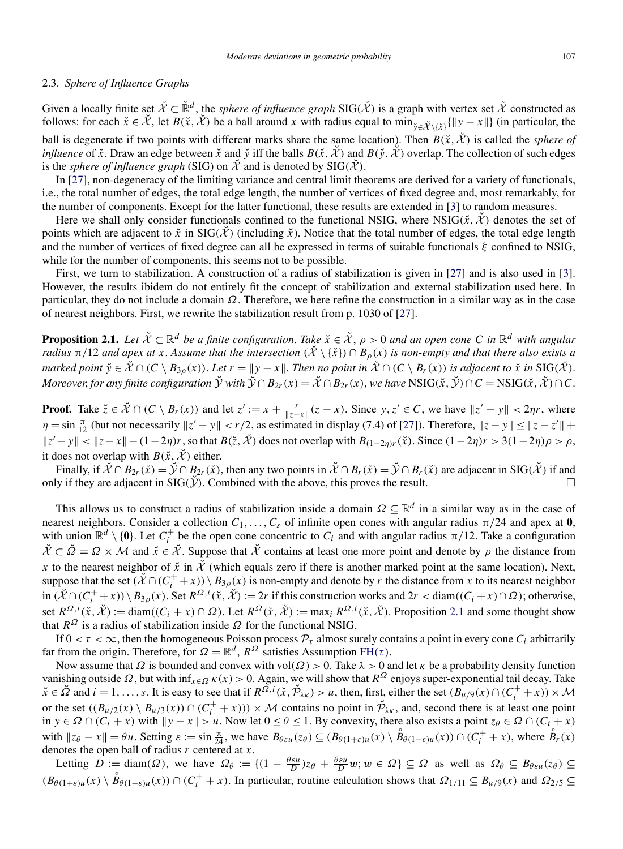## <span id="page-18-0"></span>2.3. *Sphere of Influence Graphs*

Given a locally finite set  $\check{\mathcal{X}} \subset \check{\mathbb{R}}^d$ , the *sphere of influence graph* SIG( $\check{\mathcal{X}}$ ) is a graph with vertex set  $\check{\mathcal{X}}$  constructed as follows: for each  $\check{x} \in \check{\mathcal{X}}$ , let  $B(\check{x}, \check{\mathcal{X}})$  be a ball around *x* with radius equal to  $\min_{\check{y} \in \check{\mathcal{X}} \setminus {\{\check{x}\}}} \{\Vert y - x \Vert\}$  (in particular, the ball is degenerate if two points with different marks share the same location). Then  $B(\tilde{x}, \tilde{X})$  is called the *sphere of influence* of  $\check{x}$ . Draw an edge between  $\check{x}$  and  $\check{y}$  iff the balls  $B(\check{x}, \check{x})$  and  $B(\check{y}, \check{x})$  overlap. The collection of such edges is the *sphere of influence graph* (SIG) on  $\tilde{\mathcal{X}}$  and is denoted by SIG( $\tilde{\mathcal{X}}$ ).

In [\[27\]](#page-39-0), non-degeneracy of the limiting variance and central limit theorems are derived for a variety of functionals, i.e., the total number of edges, the total edge length, the number of vertices of fixed degree and, most remarkably, for the number of components. Except for the latter functional, these results are extended in [\[3\]](#page-38-0) to random measures.

Here we shall only consider functionals confined to the functional NSIG, where NSIG( $\tilde{x}$ ,  $\tilde{X}$ ) denotes the set of points which are adjacent to  $\check{x}$  in SIG( $\check{X}$ ) (including  $\check{x}$ ). Notice that the total number of edges, the total edge length and the number of vertices of fixed degree can all be expressed in terms of suitable functionals *ξ* confined to NSIG, while for the number of components, this seems not to be possible.

First, we turn to stabilization. A construction of a radius of stabilization is given in [\[27\]](#page-39-0) and is also used in [\[3\]](#page-38-0). However, the results ibidem do not entirely fit the concept of stabilization and external stabilization used here. In particular, they do not include a domain *Ω*. Therefore, we here refine the construction in a similar way as in the case of nearest neighbors. First, we rewrite the stabilization result from p. 1030 of [\[27\]](#page-39-0).

**Proposition 2.1.** *Let*  $\check{\mathcal{X}} \subset \mathbb{R}^d$  *be a finite configuration. Take*  $\check{x} \in \check{\mathcal{X}}, \rho > 0$  *and an open cone C in*  $\mathbb{R}^d$  *with angular radius*  $\pi/12$  *and apex at x. Assume that the intersection*  $(X \setminus \{x\}) \cap B_{\rho}(x)$  *is non-empty and that there also exists a* marked point  $\breve{y} \in \breve{X} \cap (C \setminus B_{3\rho}(x))$ . Let  $r = ||y - x||$ . Then no point in  $\breve{X} \cap (C \setminus B_r(x))$  is adjacent to  $\breve{x}$  in SIG( $\breve{X}$ ). *Moreover, for any finite configuration*  $\check{Y}$  *with*  $\check{Y} \cap B_{2r}(x) = \check{X} \cap B_{2r}(x)$ *, we have* NSIG $(\check{x}, \check{Y}) \cap C = \text{NSIG}(\check{x}, \check{X}) \cap C$ .

**Proof.** Take  $\check{z} \in \check{\mathcal{X}} \cap (C \setminus B_r(x))$  and let  $z' := x + \frac{r}{\|z - x\|}(z - x)$ . Since  $y, z' \in C$ , we have  $\|z' - y\| < 2\eta r$ , where  $\eta = \sin \frac{\pi}{12}$  (but not necessarily  $||z' - y|| < r/2$ , as estimated in display (7.4) of [\[27\]](#page-39-0)). Therefore,  $||z - y|| \le ||z - z'|| + c$  $||z' - y|| < ||z - x|| - (1 - 2*η*)r$ , so that  $B(\xi, \tilde{X})$  does not overlap with  $B_{(1-2*η*)r(\tilde{X})}$ . Since  $(1 - 2*η*)r > 3(1 - 2*η*)\rho > \rho$ , it does not overlap with  $B(\tilde{x}, \tilde{\mathcal{X}})$  either.

Finally, if  $\check{\mathcal{X}} \cap B_{2r}(\check{x}) = \check{\mathcal{Y}} \cap B_{2r}(\check{x})$ , then any two points in  $\check{\mathcal{X}} \cap B_r(\check{x}) = \check{\mathcal{Y}} \cap B_r(\check{x})$  are adjacent in SIG( $\check{\mathcal{X}}$ ) if and ly if they are adjacent in SIG( $\check{\mathcal{X}}$ ) Combined with the above t only if they are adjacent in  $SIG(\mathcal{Y})$ . Combined with the above, this proves the result.

This allows us to construct a radius of stabilization inside a domain  $\Omega \subseteq \mathbb{R}^d$  in a similar way as in the case of nearest neighbors. Consider a collection  $C_1, \ldots, C_s$  of infinite open cones with angular radius  $\pi/24$  and apex at **0**, with union  $\mathbb{R}^d \setminus \{0\}$ . Let  $C_i^+$  be the open cone concentric to  $C_i$  and with angular radius  $\pi/12$ . Take a configuration  $\tilde{\chi} \subset \tilde{\Omega} = \Omega \times \mathcal{M}$  and  $\tilde{\chi} \in \tilde{\mathcal{X}}$ . Suppose that  $\tilde{\mathcal{X}}$  contains at least one more point and denote by  $\rho$  the distance from *x* to the nearest neighbor of  $\check{x}$  in  $\check{X}$  (which equals zero if there is another marked point at the same location). Next, suppose that the set  $(\mathcal{X} \cap (C_i^+ + x)) \setminus B_{3\rho}(x)$  is non-empty and denote by *r* the distance from *x* to its nearest neighbor in  $(\check{X} \cap (C_i^+ + x)) \setminus B_{3\rho}(x)$ . Set  $R^{\Omega,i}(\check{x}, \check{X}) := 2r$  if this construction works and  $2r$  < diam( $(C_i + x) \cap Ω$ ); otherwise, set  $R^{\Omega,i}(\tilde{x},\tilde{X}) := \text{diam}((C_i + x) \cap \Omega)$ . Let  $R^{\Omega}(\tilde{x},\tilde{X}) := \max_i R^{\Omega,i}(\tilde{x},\tilde{X})$ . Proposition 2.1 and some thought show that  $R^2$  is a radius of stabilization inside  $\Omega$  for the functional NSIG.

If  $0 < \tau < \infty$ , then the homogeneous Poisson process  $\mathcal{P}_{\tau}$  almost surely contains a point in every cone  $C_i$  arbitrarily far from the origin. Therefore, for  $\Omega = \mathbb{R}^d$ ,  $R^{\Omega}$  satisfies Assumption FH( $\tau$ ).

Now assume that  $\Omega$  is bounded and convex with vol $(\Omega) > 0$ . Take  $\lambda > 0$  and let  $\kappa$  be a probability density function vanishing outside *Ω*, but with inf*x*∈*<sup>Ω</sup> κ(x) >* 0. Again, we will show that *R<sup>Ω</sup>* enjoys super-exponential tail decay. Take  $\tilde{x} \in \tilde{\Omega}$  and  $i = 1, ..., s$ . It is easy to see that if  $R^{\tilde{\Omega}, i}(\tilde{x}, \tilde{\mathcal{P}}_{\lambda K}) > u$ , then, first, either the set  $(B_{u/9}(x) \cap (C_i^+ + x)) \times \mathcal{M}$ or the set  $((B_{u/2}(x) \setminus B_{u/3}(x)) \cap (C_i^+ + x)) \times \mathcal{M}$  contains no point in  $\mathcal{P}_{\lambda\kappa}$ , and, second there is at least one point in *y* ∈ *Ω* ∩ ( $C_i$  + *x*) with  $||y - x|| > u$ . Now let  $0 \le \theta \le 1$ . By convexity, there also exists a point  $z_\theta \in \Omega \cap (C_i + x)$ with  $||z_{\theta} - x|| = \theta u$ . Setting  $\varepsilon := \sin \frac{\pi}{24}$ , we have  $B_{\theta \varepsilon u}(z_{\theta}) \subseteq (B_{\theta(1+\varepsilon)u}(x) \setminus \overset{\circ}{B}_{\theta(1-\varepsilon)u}(x)) \cap (C_i^+ + x)$ , where  $\overset{\circ}{B}_{r}(x)$ denotes the open ball of radius *r* centered at *x*.

Letting  $\overline{D} := \text{diam}(\Omega)$ , we have  $\Omega_{\theta} := \{(1 - \frac{\theta \varepsilon u}{D})z_{\theta} + \frac{\theta \varepsilon u}{D}w; w \in \Omega\} \subseteq \Omega$  as well as  $\Omega_{\theta} \subseteq B_{\theta \varepsilon u}(z_{\theta}) \subseteq \Omega$  $(B_{\theta(1+\varepsilon)u}(x) \setminus \overset{\circ}{B}_{\theta(1-\varepsilon)u}(x)) \cap (C_i^+ + x)$ . In particular, routine calculation shows that  $\Omega_{1/11} \subseteq B_{u/9}(x)$  and  $\Omega_{2/5} \subseteq$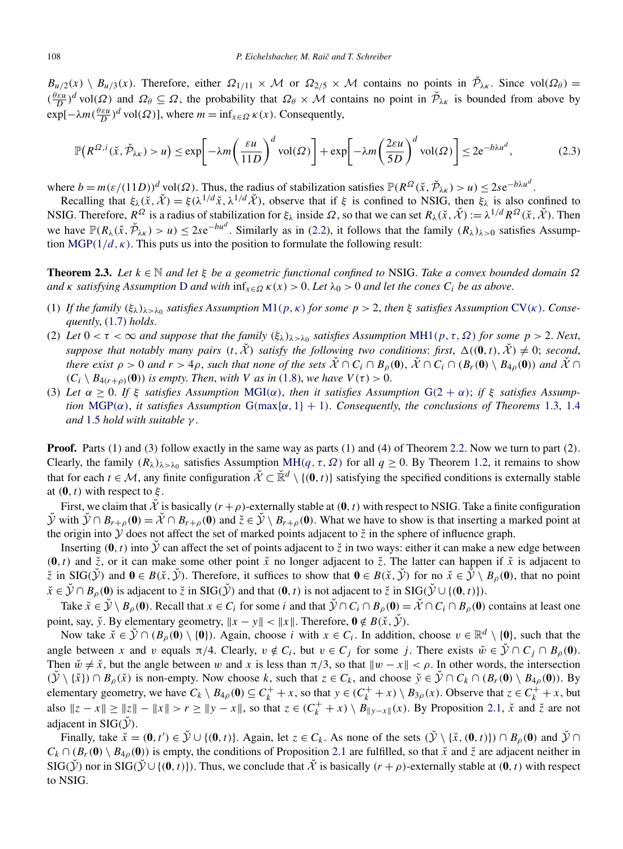<span id="page-19-0"></span> $B_{\mu/2}(x) \setminus B_{\mu/3}(x)$ . Therefore, either  $\Omega_{1/11} \times \mathcal{M}$  or  $\Omega_{2/5} \times \mathcal{M}$  contains no points in  $\check{\mathcal{P}}_{\lambda\kappa}$ . Since vol $(\Omega_{\theta})$  =  $(\frac{\theta \varepsilon u}{D})^d$  vol( $\Omega$ ) and  $\Omega_\theta \subseteq \Omega$ , the probability that  $\Omega_\theta \times \mathcal{M}$  contains no point in  $\tilde{\mathcal{P}}_{\lambda \kappa}$  is bounded from above by  $\exp[-\lambda m(\frac{\theta \varepsilon u}{D})^d \text{vol}(\Omega)]$ , where  $m = \inf_{x \in \Omega} \kappa(x)$ . Consequently,

$$
\mathbb{P}\left(R^{\Omega,i}(\check{x},\check{\mathcal{P}}_{\lambda\kappa})>u\right) \leq \exp\bigg[-\lambda m\bigg(\frac{\varepsilon u}{11D}\bigg)^d\,\mathrm{vol}(\Omega)\bigg] + \exp\bigg[-\lambda m\bigg(\frac{2\varepsilon u}{5D}\bigg)^d\,\mathrm{vol}(\Omega)\bigg] \leq 2e^{-b\lambda u^d},\tag{2.3}
$$

where  $b = m(\varepsilon/(11D))^d$  vol $(\Omega)$ . Thus, the radius of stabilization satisfies  $\mathbb{P}(R^{\Omega}(\tilde{x}, \tilde{\mathcal{P}}_{\lambda\kappa}) > u) \leq 2se^{-b\lambda u^d}$ .

Recalling that  $\xi_{\lambda}(\tilde{x}, \tilde{X}) = \xi(\lambda^{1/d}\tilde{x}, \lambda^{1/d}\tilde{X})$ , observe that if  $\xi$  is confined to NSIG, then  $\xi_{\lambda}$  is also confined to NSIG. Therefore,  $\hat{R}^{\Omega}$  is a radius of stabilization for  $\xi_{\lambda}$  inside *Ω*, so that we can set  $R_{\lambda}(\check{x},\check{\chi}) := \lambda^{1/d} R^{\Omega}(\check{x},\check{\chi})$ . Then we have  $\mathbb{P}(R_{\lambda}(\tilde{x}, \tilde{\mathcal{P}}_{\lambda\kappa}) > u) \leq 2se^{-bu^d}$ . Similarly as in [\(2.2\)](#page-15-0), it follows that the family  $(R_{\lambda})_{\lambda>0}$  satisfies Assumption  $MGP(1/d, \kappa)$ . This puts us into the position to formulate the following result:

**Theorem 2.3.** *Let k* ∈ N *and let ξ be a geometric functional confined to* NSIG. *Take a convex bounded domain Ω and*  $\kappa$  *satisfying Assumption* [D](#page-4-0) *and with*  $\inf_{x \in \Omega} \kappa(x) > 0$ . Let  $\lambda_0 > 0$  *and let the cones*  $C_i$  *be as above.* 

- (1) *If the family (ξλ)λ>λ*<sup>0</sup> *satisfies Assumption* M1*[\(p,κ\)](#page-4-0) for some p >* 2, *then ξ satisfies Assumption* [CV](#page-5-0)*(κ)*. *Consequently*, [\(1.7\)](#page-5-0) *holds*.
- (2) *Let* 0 *<τ<* ∞ *and suppose that the family (ξλ)λ>λ*<sup>0</sup> *satisfies Assumption* MH1*[\(p,τ,Ω\)](#page-8-0) for some p >* 2. *Next*, *suppose that notably many pairs*  $(t, \tilde{X})$  *satisfy the following two conditions: first*,  $\Delta((0, t), \tilde{X}) \neq 0$ ; *second*, there exist  $\rho > 0$  and  $r > 4\rho$ , such that none of the sets  $\mathcal{X} \cap C_i \cap B_\rho(\mathbf{0}), \mathcal{X} \cap C_i \cap (B_r(\mathbf{0}) \setminus B_{4\rho}(\mathbf{0}))$  and  $\mathcal{X} \cap$  $(C_i \setminus B_{4(r+\rho)}(0))$  *is empty. Then, with V as in* [\(1.8\)](#page-5-0), *we have*  $V(\tau) > 0$ .
- (3) Let  $\alpha \geq 0$ . If  $\xi$  satisfies Assumption [MGI](#page-9-0) $(\alpha)$ , then it satisfies Assumption G $(2 + \alpha)$ ; if  $\xi$  satisfies Assump*tion* [MGP](#page-9-0)( $\alpha$ ), *it satisfies Assumption* G( $\max{\{\alpha, 1\}} + 1$  $\max{\{\alpha, 1\}} + 1$  $\max{\{\alpha, 1\}} + 1$ ). *Consequently, the conclusions of Theorems* [1.3,](#page-10-0) [1.4](#page-11-0) *and* [1.5](#page-12-0) *hold with suitable γ* .

**Proof.** Parts *(*1*)* and *(*3*)* follow exactly in the same way as parts *(*1*)* and *(*4*)* of Theorem [2.2.](#page-15-0) Now we turn to part *(*2*)*. Clearly, the family  $(R_\lambda)_{\lambda>\lambda_0}$  satisfies Assumption MH(q, τ, Ω) for all  $q\geq 0$ . By Theorem [1.2,](#page-8-0) it remains to show that for each *t* ∈ *M*, any finite configuration  $\tilde{X} \subset \mathbb{R}^d \setminus \{(\mathbf{0}, t)\}\$  satisfying the specified conditions is externally stable at  $(0, t)$  with respect to  $\xi$ .

First, we claim that  $\tilde{\mathcal{X}}$  is basically  $(r+\rho)$ -externally stable at  $(\mathbf{0}, t)$  with respect to NSIG. Take a finite configuration  $\check{Y}$  with  $\check{Y} \cap B_{r+\rho}(0) = \check{X} \cap B_{r+\rho}(0)$  and  $\check{z} \in \check{Y} \setminus B_{r+\rho}(0)$ . What we have to show is that inserting a marked point at the origin into  $\hat{y}$  does not affect the set of marked points adjacent to  $\check{z}$  in the sphere of influence graph.

Inserting  $(0, t)$  into  $\tilde{Y}$  can affect the set of points adjacent to  $\tilde{Z}$  in two ways: either it can make a new edge between  $(0, t)$  and  $\zeta$ , or it can make some other point  $\check{x}$  no longer adjacent to  $\check{z}$ . The latter can happen if  $\check{x}$  is adjacent to  $\zeta$  in SIG( $\chi$ <sup>\*</sup>) and **0** ∈ *B*( $\chi$ <sup>\*</sup>,  $\chi$ <sup>\*</sup>). Therefore, it suffices to show that  $0 \in B(\tilde{\chi}, \tilde{\chi})$  for no  $\tilde{\chi} \in \chi$  \  $B_{\rho}(0)$ , that no point  $\tilde{x} \in \tilde{Y} \cap B_{\rho}(\mathbf{0})$  is adjacent to  $\tilde{z}$  in SIG $(\tilde{Y})$  and that  $(\mathbf{0}, t)$  is not adjacent to  $\tilde{z}$  in SIG $(\tilde{Y} \cup \{(\mathbf{0}, t)\})$ .

Take  $\check{x} \in \check{Y} \setminus B_\rho(\mathbf{0})$ . Recall that  $x \in C_i$  for some *i* and that  $\check{Y} \cap C_i \cap B_\rho(\mathbf{0}) = \check{X} \cap C_i \cap B_\rho(\mathbf{0})$  contains at least one point, say,  $\ddot{y}$ . By elementary geometry,  $||x - y|| < ||x||$ . Therefore,  $\mathbf{0} \notin B(\ddot{x}, \ddot{y})$ .

Now take  $\check{x} \in \check{Y} \cap (B_{\rho}(0) \setminus \{0\})$ . Again, choose *i* with  $x \in C_i$ . In addition, choose  $v \in \mathbb{R}^d \setminus \{0\}$ , such that the angle between *x* and *v* equals  $\pi/4$ . Clearly,  $v \notin C_i$ , but  $v \in C_j$  for some *j*. There exists  $\check{w} \in \check{\mathcal{Y}} \cap C_j \cap B_o(\mathbf{0})$ . Then  $\check{w} \neq \check{x}$ , but the angle between *w* and *x* is less than  $\pi/3$ , so that  $\|w - x\| < \rho$ . In other words, the intersection  $(\check{Y}\setminus {\{\check{x}\}}) \cap B_{\rho}(\check{x})$  is non-empty. Now choose k, such that  $z \in C_k$ , and choose  $\check{y} \in \check{Y} \cap C_k \cap (B_r(0) \setminus B_{4\rho}(0))$ . By elementary geometry, we have  $C_k \setminus B_{4\rho}(0) \subseteq C_k^+ + x$ , so that  $y \in (C_k^+ + x) \setminus B_{3\rho}(x)$ . Observe that  $z \in C_k^+ + x$ , but also  $\|z - x\| \ge \|z\| - \|x\| > r \ge \|y - x\|$ , so that  $z \in (C_k^+ + x) \setminus B_{\|y - x\|}(x)$ . By Proposition [2.1,](#page-18-0)  $\tilde{x}$  and  $\tilde{z}$  are not adjacent in  $SIG(\mathcal{Y})$ .

Finally, take  $\check{x} = (0, t') \in \check{Y} \cup \{(0, t)\}\)$ . Again, let  $z \in C_k$ . As none of the sets  $(\check{Y} \setminus \{\check{x}, (0, t)\}) \cap B_{\rho}(0)$  and  $\check{Y} \cap$  $C_k \cap (B_r(0) \setminus B_{4\rho}(0))$  is empty, the conditions of Proposition [2.1](#page-18-0) are fulfilled, so that  $\check{x}$  and  $\check{z}$  are adjacent neither in  $\text{SIG}(\check{Y})$  nor in  $\text{SIG}(\check{Y} \cup \{(\mathbf{0}, t)\})$ . Thus, we conclude that  $\check{X}$  is basically  $(r + \rho)$ -externally stable at  $(\mathbf{0}, t)$  with respect to NSIG.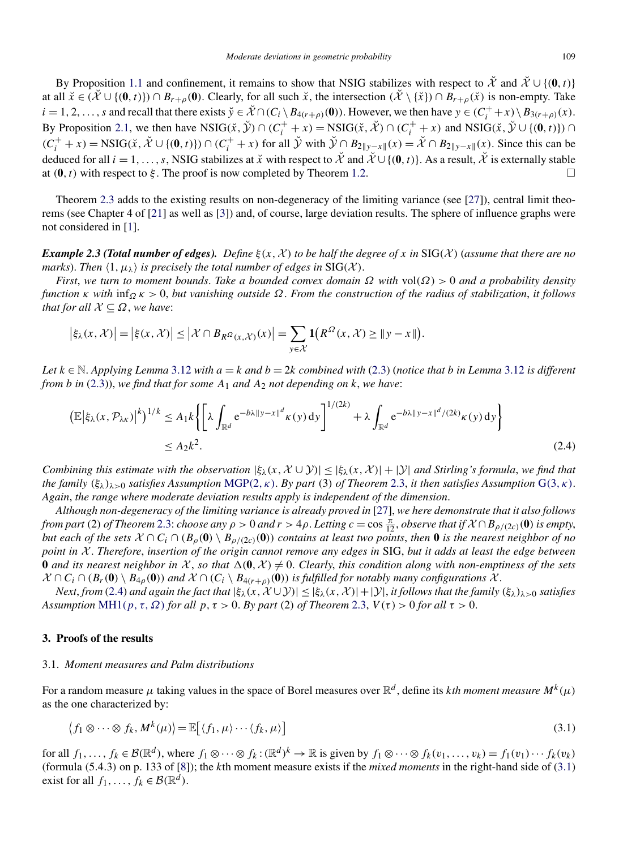By Proposition [1.1](#page-7-0) and confinement, it remains to show that NSIG stabilizes with respect to  $\check{\mathcal{X}}$  and  $\check{\mathcal{X}} \cup \{(\mathbf{0}, t)\}\$ at all  $\check{x} \in (\check{\mathcal{X}} \cup \{(0, t)\}) \cap B_{r+\rho}(0)$ . Clearly, for all such  $\check{x}$ , the intersection  $(\check{\mathcal{X}} \setminus {\{\check{x}\}}) \cap B_{r+\rho}(\check{x})$  is non-empty. Take  $i = 1, 2, ..., s$  and recall that there exists  $\check{y} \in \check{\mathcal{X}} \cap (C_i \setminus B_{4(r+\rho)}(0))$ . However, we then have  $y \in (C_i^+ + x) \setminus B_{3(r+\rho)}(x)$ . By Proposition [2.1,](#page-18-0) we then have NSIG $(\check{x}, \check{y}) \cap (C_i^+ + x) = \text{NSIG}(\check{x}, \check{x}) \cap (C_i^+ + x)$  and NSIG $(\check{x}, \check{y} \cup \{(0, t)\}) \cap$  $(C_i^+ + x) = \text{NSIG}(\tilde{x}, \tilde{X} \cup \{(0, t)\}) \cap (C_i^+ + x)$  for all  $\tilde{Y}$  with  $\tilde{Y} \cap B_{2||y-x||}(x) = \tilde{X} \cap B_{2||y-x||}(x)$ . Since this can be deduced for all  $i = 1, \ldots, s$ , NSIG stabilizes at  $\check{x}$  with respect to  $\check{X}$  and  $\check{X} \cup \{(0, t)\}\)$ . As a result,  $\check{X}$  is externally stable at  $(0, t)$  with respect to  $\xi$ . The proof is now completed by Theorem [1.2.](#page-8-0)

Theorem [2.3](#page-19-0) adds to the existing results on non-degeneracy of the limiting variance (see [\[27\]](#page-39-0)), central limit theorems (see Chapter 4 of [\[21\]](#page-39-0) as well as [\[3\]](#page-38-0)) and, of course, large deviation results. The sphere of influence graphs were not considered in [\[1\]](#page-38-0).

*<i>Example 2.3 (Total number of edges). Define*  $\xi(x, \mathcal{X})$  *to be half the degree of* x *in* SIG( $\mathcal{X}$ ) (assume that there are no *marks*). *Then*  $\langle 1, \mu_{\lambda} \rangle$  *is precisely the total number of edges in* SIG(X).

*First*, *we turn to moment bounds*. *Take a bounded convex domain Ω with* vol*(Ω) >* 0 *and a probability density function κ with* inf*<sup>Ω</sup> κ >* 0, *but vanishing outside Ω*. *From the construction of the radius of stabilization*, *it follows that for all*  $X \subseteq \Omega$ , *we have:* 

$$
\left|\xi_{\lambda}(x,\mathcal{X})\right|=\left|\xi(x,\mathcal{X})\right|\leq\left|\mathcal{X}\cap B_{R^{\Omega}(x,\mathcal{X})}(x)\right|=\sum_{y\in\mathcal{X}}\mathbf{1}\big(R^{\Omega}(x,\mathcal{X})\geq\|y-x\|\big).
$$

*Let*  $k \in \mathbb{N}$ . *Applying Lemma* [3.12](#page-36-0) *with*  $a = k$  *and*  $b = 2k$  *combined with* [\(2.3\)](#page-19-0) (*notice that*  $b$  *in Lemma* 3.12 *is different from b in* [\(2.3\)](#page-19-0)), *we find that for some*  $A_1$  *and*  $A_2$  *not depending on*  $k$ *, we have:* 

$$
\left(\mathbb{E}\left|\xi_{\lambda}(x,\mathcal{P}_{\lambda\kappa})\right|^{k}\right)^{1/k} \le A_{1}k\left\{\left[\lambda\int_{\mathbb{R}^{d}}e^{-b\lambda\|y-x\|^{d}}\kappa(y)\,\mathrm{d}y\right]^{1/(2k)}+\lambda\int_{\mathbb{R}^{d}}e^{-b\lambda\|y-x\|^{d}/(2k)}\kappa(y)\,\mathrm{d}y\right\}
$$
\n
$$
\le A_{2}k^{2}.\tag{2.4}
$$

*Combining this estimate with the observation*  $|\xi_\lambda(x, X \cup Y)| \leq |\xi_\lambda(x, X)| + |Y|$  *and Stirling's formula, we find that the family*  $(\xi_{\lambda})_{\lambda>0}$  *satisfies Assumption* [MGP](#page-9-0) $(2, \kappa)$ . *By part* (3) *of Theorem* [2.3,](#page-19-0) *it then satisfies Assumption* G $(3, \kappa)$ . *Again*, *the range where moderate deviation results apply is independent of the dimension*.

*Although non-degeneracy of the limiting variance is already proved in* [\[27\]](#page-39-0), *we here demonstrate that it also follows* from part (2) of Theorem [2.3:](#page-19-0) choose any  $\rho > 0$  and  $r > 4\rho$ . Letting  $c = \cos \frac{\pi}{12}$ , observe that if  $\mathcal{X} \cap B_{\rho/(2c)}(0)$  is empty, *but each of the sets*  $\mathcal{X} \cap C_i \cap (B_0(\mathbf{0}) \setminus B_0/(2c)(\mathbf{0}))$  *contains at least two points, then* **0** *is the nearest neighbor of no point in* X . *Therefore*, *insertion of the origin cannot remove any edges in* SIG, *but it adds at least the edge between* **0** and its nearest neighbor in  $X$ , so that  $\Delta(\mathbf{0}, X) \neq 0$ . Clearly, this condition along with non-emptiness of the sets  $X \cap C_i \cap (B_r(\mathbf{0}) \setminus B_{4\rho}(\mathbf{0}))$  and  $X \cap (C_i \setminus B_{4(r+\rho)}(\mathbf{0}))$  is fulfilled for notably many configurations X.

*Next*, *from* (2.4) *and again the fact that*  $|\xi_\lambda(x, X \cup Y)| \leq |\xi_\lambda(x, X)| + |\mathcal{Y}|$ , *it follows that the family*  $(\xi_\lambda)_{\lambda > 0}$  *satisfies Assumption* MH1( $p, \tau, \Omega$ ) *for all*  $p, \tau > 0$ . *By part* (2) *of Theorem* [2.3,](#page-19-0)  $V(\tau) > 0$  *for all*  $\tau > 0$ .

## **3. Proofs of the results**

#### 3.1. *Moment measures and Palm distributions*

For a random measure  $\mu$  taking values in the space of Borel measures over  $\mathbb{R}^d$ , define its *kth moment measure*  $M^k(\mu)$ as the one characterized by:

$$
\langle f_1 \otimes \cdots \otimes f_k, M^k(\mu) \rangle = \mathbb{E} \big[ \langle f_1, \mu \rangle \cdots \langle f_k, \mu \rangle \big] \tag{3.1}
$$

for all  $f_1, \ldots, f_k \in \mathcal{B}(\mathbb{R}^d)$ , where  $f_1 \otimes \cdots \otimes f_k : (\mathbb{R}^d)^k \to \mathbb{R}$  is given by  $f_1 \otimes \cdots \otimes f_k(v_1, \ldots, v_k) = f_1(v_1) \cdots f_k(v_k)$ (formula *(*5*.*4*.*3*)* on p. 133 of [\[8\]](#page-39-0)); the *k*th moment measure exists if the *mixed moments* in the right-hand side of (3.1) exist for all  $f_1, \ldots, f_k \in \mathcal{B}(\mathbb{R}^d)$ .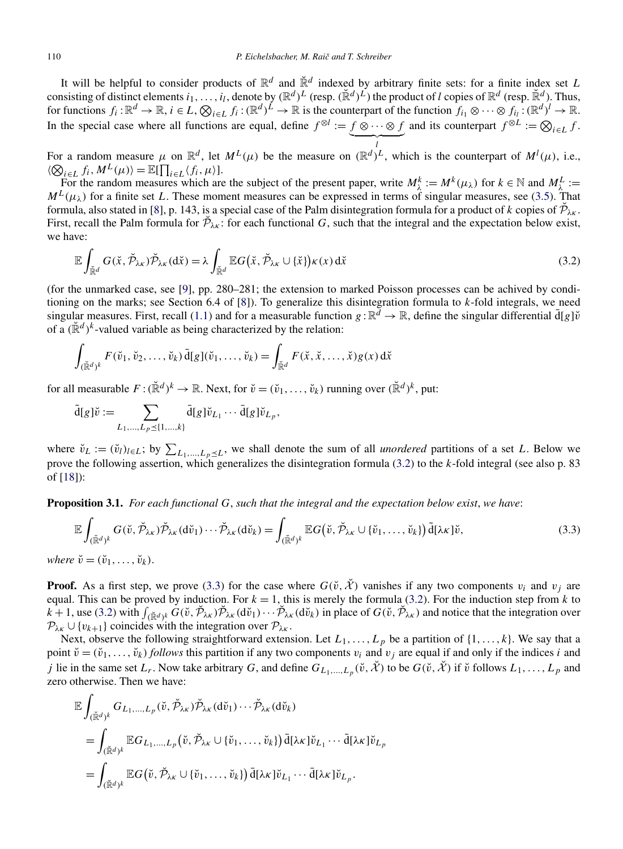<span id="page-21-0"></span>It will be helpful to consider products of  $\mathbb{R}^d$  and  $\check{\mathbb{R}}^d$  indexed by arbitrary finite sets: for a finite index set *L* consisting of distinct elements  $i_1, \ldots, i_l$ , denote by  $(\mathbb{R}^d)^L$  (resp.  $(\mathbb{R}^d)^L$ ) the product of *l* copies of  $\mathbb{R}^d$  (resp.  $\mathbb{R}^d$ ). Thus, for functions  $f_i: \mathbb{R}^d \to \mathbb{R}$ ,  $i \in L$ ,  $\bigotimes_{i \in L} f_i: (\mathbb{R}^d)^L \to \mathbb{R}$  is the counterpart of the function  $f_{i_1} \otimes \cdots \otimes f_{i_l}: (\mathbb{R}^d)^l \to \mathbb{R}$ . In the special case where all functions are equal, define  $f^{\otimes l} := f \otimes \cdots \otimes f$  *<sup>l</sup>* and its counterpart  $f^{\otimes L} := \bigotimes_{i \in L} f$ .

For a random measure  $\mu$  on  $\mathbb{R}^d$ , let  $M^L(\mu)$  be the measure on  $(\mathbb{R}^d)^L$ , which is the counterpart of  $M^l(\mu)$ , i.e.,  $\langle \bigotimes_{i \in L} f_i, M^L(\mu) \rangle = \mathbb{E}[\prod_{i \in L} \langle f_i, \mu \rangle].$ 

For the random measures which are the subject of the present paper, write  $M_{\lambda}^{k} := M^{k}(\mu_{\lambda})$  for  $k \in \mathbb{N}$  and  $M_{\lambda}^{L} :=$  $M^L(\mu_{\lambda})$  for a finite set *L*. These moment measures can be expressed in terms of singular measures, see [\(3.5\)](#page-22-0). That formula, also stated in [\[8\]](#page-39-0), p. 143, is a special case of the Palm disintegration formula for a product of *k* copies of  $\mathcal{P}_{\lambda k}$ . First, recall the Palm formula for  $\mathcal{P}_{\lambda\kappa}$ : for each functional *G*, such that the integral and the expectation below exist, we have:

$$
\mathbb{E}\int_{\tilde{\mathbb{R}}^d} G(\tilde{x}, \tilde{\mathcal{P}}_{\lambda \kappa}) \tilde{\mathcal{P}}_{\lambda \kappa}(\mathrm{d}\tilde{x}) = \lambda \int_{\tilde{\mathbb{R}}^d} \mathbb{E} G(\tilde{x}, \tilde{\mathcal{P}}_{\lambda \kappa} \cup {\{\tilde{x}\}}) \kappa(x) \, \mathrm{d}\tilde{x}
$$
\n(3.2)

(for the unmarked case, see [\[9\]](#page-39-0), pp. 280–281; the extension to marked Poisson processes can be achived by conditioning on the marks; see Section 6.4 of [\[8\]](#page-39-0)). To generalize this disintegration formula to *k*-fold integrals, we need singular measures. First, recall [\(1.1\)](#page-2-0) and for a measurable function  $g : \mathbb{R}^d \to \mathbb{R}$ , define the singular differential  $\bar{d}[g]\check{v}$ of a  $(\mathbb{R}^d)^k$ -valued variable as being characterized by the relation:

$$
\int_{(\mathbb{R}^d)^k} F(\check{\nu}_1, \check{\nu}_2, \dots, \check{\nu}_k) \overline{d}[g](\check{\nu}_1, \dots, \check{\nu}_k) = \int_{\mathbb{R}^d} F(\check{x}, \check{x}, \dots, \check{x}) g(x) d\check{x}
$$

for all measurable  $F: (\mathbb{R}^d)^k \to \mathbb{R}$ . Next, for  $\check{\nu} = (\check{\nu}_1, \dots, \check{\nu}_k)$  running over  $(\mathbb{R}^d)^k$ , put:

$$
\tilde{\mathbf{d}}[g]\breve{v} := \sum_{L_1,\ldots,L_p \preceq \{1,\ldots,k\}} \bar{\mathbf{d}}[g]\breve{v}_{L_1}\cdots \bar{\mathbf{d}}[g]\breve{v}_{L_p},
$$

where  $\check{\nu}_L := (\check{\nu}_l)_{l \in L}$ ; by  $\sum_{L_1,...,L_p \leq L}$ , we shall denote the sum of all *unordered* partitions of a set *L*. Below we prove the following assertion, which generalizes the disintegration formula (3.2) to the *k*-fold integral (see also p. 83 of [\[18\]](#page-39-0)):

**Proposition 3.1.** *For each functional G*, *such that the integral and the expectation below exist, we have:* 

$$
\mathbb{E}\int_{(\check{\mathbb{R}}^d)^k} G(\check{v}, \check{\mathcal{P}}_{\lambda \kappa}) \check{\mathcal{P}}_{\lambda \kappa}(\mathrm{d}\check{v}_1) \cdots \check{\mathcal{P}}_{\lambda \kappa}(\mathrm{d}\check{v}_k) = \int_{(\check{\mathbb{R}}^d)^k} \mathbb{E} G(\check{v}, \check{\mathcal{P}}_{\lambda \kappa} \cup \{\check{v}_1, \dots, \check{v}_k\}) \tilde{\mathrm{d}}[\lambda \kappa] \check{v},\tag{3.3}
$$

*where*  $\check{v} = (\check{v}_1, \ldots, \check{v}_k)$ .

**Proof.** As a first step, we prove (3.3) for the case where  $G(\tilde{v}, \tilde{X})$  vanishes if any two components  $v_i$  and  $v_j$  are equal. This can be proved by induction. For  $k = 1$ , this is merely the formula (3.2). For the induction step from  $k$  to  $k+1$ , use (3.2) with  $\int_{(\mathbb{R}^d)^k} G(\tilde{v}, \tilde{\mathcal{P}}_{\lambda k})(\tilde{v}_1) \cdots \tilde{\mathcal{P}}_{\lambda k}(d\tilde{v}_k)$  in place of  $G(\tilde{v}, \tilde{\mathcal{P}}_{\lambda k})$  and notice that the integration over  $P_{\lambda K} \cup \{v_{k+1}\}\$ coincides with the integration over  $P_{\lambda K}$ .

Next, observe the following straightforward extension. Let  $L_1, \ldots, L_p$  be a partition of  $\{1, \ldots, k\}$ . We say that a point  $\check{v} = (\check{v}_1, \ldots, \check{v}_k)$  *follows* this partition if any two components  $v_i$  and  $v_j$  are equal if and only if the indices *i* and *j* lie in the same set  $L_r$ . Now take arbitrary *G*, and define  $G_{L_1,...,L_p}(\tilde{v}, \tilde{X})$  to be  $G(\tilde{v}, \tilde{X})$  if  $\tilde{v}$  follows  $L_1,...,L_p$  and zero otherwise. Then we have:

$$
\mathbb{E} \int_{(\mathbb{R}^d)^k} G_{L_1,\ldots,L_p}(\check{v}, \check{\mathcal{P}}_{\lambda\kappa}) \check{\mathcal{P}}_{\lambda\kappa}(\mathrm{d}\check{v}_1) \cdots \check{\mathcal{P}}_{\lambda\kappa}(\mathrm{d}\check{v}_k)
$$
\n
$$
= \int_{(\mathbb{R}^d)^k} \mathbb{E} G_{L_1,\ldots,L_p}(\check{v}, \check{\mathcal{P}}_{\lambda\kappa} \cup {\{\check{v}_1,\ldots,\check{v}_k\}}) \bar{\mathrm{d}}[\lambda\kappa] \check{v}_{L_1} \cdots \bar{\mathrm{d}}[\lambda\kappa] \check{v}_{L_p}
$$
\n
$$
= \int_{(\mathbb{R}^d)^k} \mathbb{E} G(\check{v}, \check{\mathcal{P}}_{\lambda\kappa} \cup {\{\check{v}_1,\ldots,\check{v}_k\}}) \bar{\mathrm{d}}[\lambda\kappa] \check{v}_{L_1} \cdots \bar{\mathrm{d}}[\lambda\kappa] \check{v}_{L_p}.
$$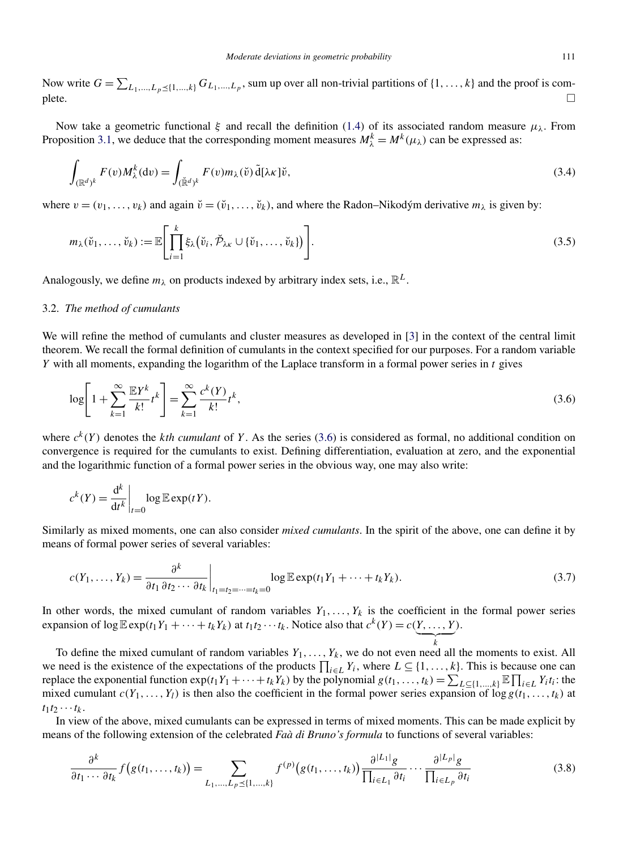<span id="page-22-0"></span>Now write  $G = \sum_{L_1,...,L_p \leq \{1,...,k\}} G_{L_1,...,L_p}$ , sum up over all non-trivial partitions of  $\{1,...,k\}$  and the proof is com- $\Box$ 

Now take a geometric functional  $\xi$  and recall the definition [\(1.4\)](#page-3-0) of its associated random measure  $\mu_{\lambda}$ . From Proposition [3.1,](#page-21-0) we deduce that the corresponding moment measures  $M^k_{\lambda} = M^k(\mu_{\lambda})$  can be expressed as:

$$
\int_{(\mathbb{R}^d)^k} F(v) M^k_{\lambda}(\mathrm{d}v) = \int_{(\mathbb{R}^d)^k} F(v) m_{\lambda}(\breve{v}) \, \tilde{\mathrm{d}}[\lambda \kappa] \breve{v},\tag{3.4}
$$

where  $v = (v_1, \ldots, v_k)$  and again  $\check{v} = (\check{v}_1, \ldots, \check{v}_k)$ , and where the Radon–Nikodým derivative  $m_\lambda$  is given by:

$$
m_{\lambda}(\breve{v}_1,\ldots,\breve{v}_k) := \mathbb{E}\Bigg[\prod_{i=1}^k \xi_{\lambda}\big(\breve{v}_i,\breve{\mathcal{P}}_{\lambda\kappa} \cup \{\breve{v}_1,\ldots,\breve{v}_k\}\big)\Bigg].\tag{3.5}
$$

Analogously, we define  $m_\lambda$  on products indexed by arbitrary index sets, i.e.,  $\mathbb{R}^L$ .

#### 3.2. *The method of cumulants*

We will refine the method of cumulants and cluster measures as developed in [\[3\]](#page-38-0) in the context of the central limit theorem. We recall the formal definition of cumulants in the context specified for our purposes. For a random variable *Y* with all moments, expanding the logarithm of the Laplace transform in a formal power series in *t* gives

$$
\log\left[1+\sum_{k=1}^{\infty}\frac{\mathbb{E}Y^{k}}{k!}t^{k}\right]=\sum_{k=1}^{\infty}\frac{c^{k}(Y)}{k!}t^{k},\tag{3.6}
$$

where  $c^k(Y)$  denotes the *kth cumulant* of *Y*. As the series (3.6) is considered as formal, no additional condition on convergence is required for the cumulants to exist. Defining differentiation, evaluation at zero, and the exponential and the logarithmic function of a formal power series in the obvious way, one may also write:

$$
c^{k}(Y) = \frac{d^{k}}{dt^{k}} \bigg|_{t=0} \log \mathbb{E} \exp(tY).
$$

Similarly as mixed moments, one can also consider *mixed cumulants*. In the spirit of the above, one can define it by means of formal power series of several variables:

$$
c(Y_1, \ldots, Y_k) = \frac{\partial^k}{\partial t_1 \partial t_2 \cdots \partial t_k} \bigg|_{t_1 = t_2 = \cdots = t_k = 0} \log \mathbb{E} \exp(t_1 Y_1 + \cdots + t_k Y_k).
$$
\n(3.7)

In other words, the mixed cumulant of random variables  $Y_1, \ldots, Y_k$  is the coefficient in the formal power series expansion of  $\log \mathbb{E} \exp(t_1 Y_1 + \cdots + t_k Y_k)$  at  $t_1 t_2 \cdots t_k$ . Notice also that  $c^k(Y) = c(Y, \ldots, Y_k)$ *)*.

 *<sup>k</sup>* To define the mixed cumulant of random variables  $Y_1, \ldots, Y_k$ , we do not even need all the moments to exist. All we need is the existence of the expectations of the products  $\prod_{i\in L} Y_i$ , where  $L \subseteq \{1, ..., k\}$ . This is because one can replace the exponential function  $\exp(t_1 Y_1 + \cdots + t_k Y_k)$  by the polynomial  $g(t_1, \ldots, t_k) = \sum_{L \subseteq \{1, \ldots, k\}} \mathbb{E} \prod_{i \in L} Y_i t_i$ : the mixed cumulant  $c(Y_1, \ldots, Y_l)$  is then also the coefficient in the formal power series expansion of  $\log g(t_1, \ldots, t_k)$  at  $t_1t_2\cdots t_k$ .

In view of the above, mixed cumulants can be expressed in terms of mixed moments. This can be made explicit by means of the following extension of the celebrated *Faà di Bruno's formula* to functions of several variables:

$$
\frac{\partial^k}{\partial t_1 \cdots \partial t_k} f(g(t_1, \ldots, t_k)) = \sum_{L_1, \ldots, L_p \preceq \{1, \ldots, k\}} f^{(p)}(g(t_1, \ldots, t_k)) \frac{\partial^{|L_1|} g}{\prod_{i \in L_1} \partial t_i} \cdots \frac{\partial^{|L_p|} g}{\prod_{i \in L_p} \partial t_i}
$$
(3.8)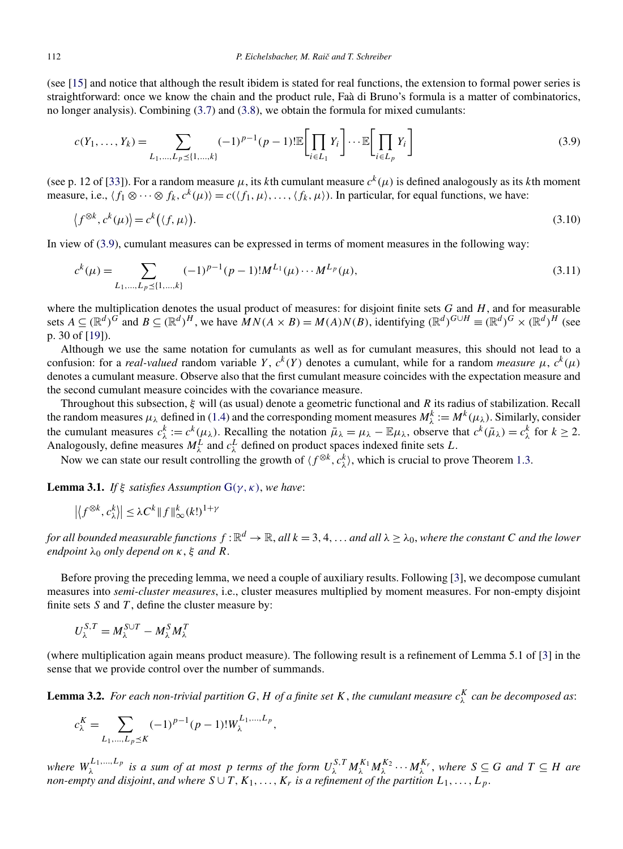<span id="page-23-0"></span>(see [\[15\]](#page-39-0) and notice that although the result ibidem is stated for real functions, the extension to formal power series is straightforward: once we know the chain and the product rule, Faà di Bruno's formula is a matter of combinatorics, no longer analysis). Combining [\(3.7\)](#page-22-0) and [\(3.8\)](#page-22-0), we obtain the formula for mixed cumulants:

$$
c(Y_1, ..., Y_k) = \sum_{L_1, ..., L_p \leq \{1, ..., k\}} (-1)^{p-1} (p-1)! \mathbb{E} \bigg[ \prod_{i \in L_1} Y_i \bigg] \cdots \mathbb{E} \bigg[ \prod_{i \in L_p} Y_i \bigg]
$$
(3.9)

(see p. 12 of [\[33\]](#page-39-0)). For a random measure  $\mu$ , its *k*th cumulant measure  $c^k(\mu)$  is defined analogously as its *k*th moment measure, i.e.,  $\langle f_1 \otimes \cdots \otimes f_k, c^k(\mu) \rangle = c(\langle f_1, \mu \rangle, \ldots, \langle f_k, \mu \rangle)$ . In particular, for equal functions, we have:

$$
\langle f^{\otimes k}, c^k(\mu) \rangle = c^k(\langle f, \mu \rangle). \tag{3.10}
$$

In view of (3.9), cumulant measures can be expressed in terms of moment measures in the following way:

$$
c^{k}(\mu) = \sum_{L_1,\dots,L_p \preceq \{1,\dots,k\}} (-1)^{p-1} (p-1)! M^{L_1}(\mu) \cdots M^{L_p}(\mu),
$$
\n(3.11)

where the multiplication denotes the usual product of measures: for disjoint finite sets *G* and *H*, and for measurable sets  $A \subseteq (\mathbb{R}^d)^G$  and  $B \subseteq (\mathbb{R}^d)^H$ , we have  $MN(A \times B) = M(A)N(B)$ , identifying  $(\mathbb{R}^d)^{G \cup H} \equiv (\mathbb{R}^d)^G \times (\mathbb{R}^d)^H$  (see p. 30 of [\[19\]](#page-39-0)).

Although we use the same notation for cumulants as well as for cumulant measures, this should not lead to a confusion: for a *real-valued* random variable *Y*,  $c^k(Y)$  denotes a cumulant, while for a random *measure*  $\mu$ ,  $c^k(\mu)$ denotes a cumulant measure. Observe also that the first cumulant measure coincides with the expectation measure and the second cumulant measure coincides with the covariance measure.

Throughout this subsection, *ξ* will (as usual) denote a geometric functional and *R* its radius of stabilization. Recall the random measures  $\mu_{\lambda}$  defined in [\(1.4\)](#page-3-0) and the corresponding moment measures  $M_{\lambda}^k := M^k(\mu_{\lambda})$ . Similarly, consider the cumulant measures  $c_{\lambda}^{k} := c^{k}(\mu_{\lambda})$ . Recalling the notation  $\bar{\mu}_{\lambda} = \mu_{\lambda} - \mathbb{E}\mu_{\lambda}$ , observe that  $c^{k}(\bar{\mu}_{\lambda}) = c_{\lambda}^{k}$  for  $k \geq 2$ . Analogously, define measures  $M^L_\lambda$  and  $c^L_\lambda$  defined on product spaces indexed finite sets *L*.

Now we can state our result controlling the growth of  $\langle f^{\otimes k}, c_{\lambda}^{k} \rangle$ , which is crucial to prove Theorem [1.3.](#page-10-0)

**Lemma 3.1.** *If*  $\xi$  *satisfies Assumption*  $G(\gamma, \kappa)$ *, we have:* 

$$
\left| \left\langle f^{\otimes k}, c_{\lambda}^{k} \right\rangle \right| \leq \lambda C^{k} \| f \|_{\infty}^{k} (k!)^{1+\gamma}
$$

*for all bounded measurable functions*  $f:\mathbb{R}^d\to\mathbb{R}$ , *all*  $k=3,4,\ldots$  *and all*  $\lambda\geq\lambda_0$ , *where the constant C and the lower endpoint*  $λ_0$  *only depend on*  $κ$ ,  $ξ$  *and*  $R$ .

Before proving the preceding lemma, we need a couple of auxiliary results. Following [\[3\]](#page-38-0), we decompose cumulant measures into *semi-cluster measures*, i.e., cluster measures multiplied by moment measures. For non-empty disjoint finite sets *S* and *T* , define the cluster measure by:

$$
U_{\lambda}^{S,T} = M_{\lambda}^{S \cup T} - M_{\lambda}^{S} M_{\lambda}^{T}
$$

(where multiplication again means product measure). The following result is a refinement of Lemma 5.1 of [\[3\]](#page-38-0) in the sense that we provide control over the number of summands.

**Lemma 3.2.** For each non-trivial partition G, H of a finite set K, the cumulant measure  $c_{\lambda}^{K}$  can be decomposed as:

$$
c_{\lambda}^{K} = \sum_{L_1, \dots, L_p \preceq K} (-1)^{p-1} (p-1)! W_{\lambda}^{L_1, \dots, L_p},
$$

where  $W_{\lambda}^{L_1,...,L_p}$  is a sum of at most p terms of the form  $U_{\lambda}^{S,T}M_{\lambda}^{K_1}M_{\lambda}^{K_2}\cdots M_{\lambda}^{K_r}$ , where  $S\subseteq G$  and  $T\subseteq H$  are *non-empty and disjoint, and where*  $S \cup T$ ,  $K_1, \ldots, K_r$  *is a refinement of the partition*  $L_1, \ldots, L_p$ *.*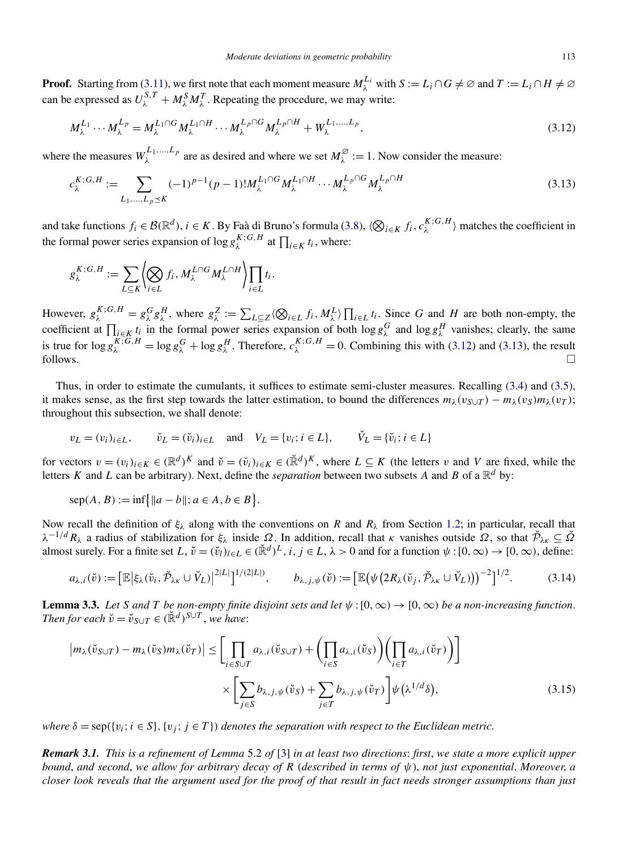<span id="page-24-0"></span>**Proof.** Starting from [\(3.11\)](#page-23-0), we first note that each moment measure  $M_{\lambda}^{L_i}$  with  $S := L_i \cap G \neq \emptyset$  and  $T := L_i \cap H \neq \emptyset$ can be expressed as  $U_{\lambda}^{S,T} + M_{\lambda}^{S} M_{\lambda}^{T}$ . Repeating the procedure, we may write:

$$
M_{\lambda}^{L_1} \cdots M_{\lambda}^{L_p} = M_{\lambda}^{L_1 \cap G} M_{\lambda}^{L_1 \cap H} \cdots M_{\lambda}^{L_p \cap G} M_{\lambda}^{L_p \cap H} + W_{\lambda}^{L_1, ..., L_p},
$$
\n(3.12)

where the measures  $W_{\lambda}^{L_1,...,L_p}$  are as desired and where we set  $M_{\lambda}^{\varnothing} := 1$ . Now consider the measure:

$$
c_{\lambda}^{K;G,H} := \sum_{L_1,\dots,L_p \preceq K} (-1)^{p-1} (p-1)! M_{\lambda}^{L_1 \cap G} M_{\lambda}^{L_1 \cap H} \cdots M_{\lambda}^{L_p \cap G} M_{\lambda}^{L_p \cap H}
$$
(3.13)

and take functions  $f_i \in \mathcal{B}(\mathbb{R}^d)$ ,  $i \in K$ . By Faà di Bruno's formula [\(3.8\)](#page-22-0),  $\langle \bigotimes_{i \in K} f_i, c_{\lambda}^{K;G,H} \rangle$  matches the coefficient in the formal power series expansion of  $\log g_{\lambda}^{K;G,H}$  at  $\prod_{i \in K} t_i$ , where:

$$
g_{\lambda}^{K;G,H} := \sum_{L \subseteq K} \left\langle \bigotimes_{i \in L} f_i, M_{\lambda}^{L \cap G} M_{\lambda}^{L \cap H} \right\rangle \prod_{i \in L} t_i.
$$

However,  $g_{\lambda}^{K;G,H} = g_{\lambda}^G g_{\lambda}^H$ , where  $g_{\lambda}^Z := \sum_{L \subseteq Z} \langle \bigotimes_{i \in L} f_i, M_{\lambda}^L \rangle \prod_{i \in L} t_i$ . Since G and H are both non-empty, the coefficient at  $\prod_{i \in K} t_i$  in the formal power series expansion of both  $\log g_{\lambda}^G$  and  $\log g_{\lambda}^H$  vanishes; clearly, the same is true for  $\log g_{\lambda}^{K;G,H} = \log g_{\lambda}^G + \log g_{\lambda}^H$ . Therefore,  $c_{\lambda}^{K;G,H} = 0$ . Combining this with (3.12) and (3.13), the result follows.  $\Box$ 

Thus, in order to estimate the cumulants, it suffices to estimate semi-cluster measures. Recalling [\(3.4\)](#page-22-0) and [\(3.5\)](#page-22-0), it makes sense, as the first step towards the latter estimation, to bound the differences  $m_\lambda(v_{S\cup T}) - m_\lambda(v_S)m_\lambda(v_T)$ ; throughout this subsection, we shall denote:

$$
v_L = (v_i)_{i \in L}
$$
,  $\breve{v}_L = (\breve{v}_i)_{i \in L}$  and  $V_L = \{v_i; i \in L\}$ ,  $\breve{V}_L = \{\breve{v}_i; i \in L\}$ 

for vectors  $v = (v_i)_{i \in K} \in (\mathbb{R}^d)^K$  and  $\check{v} = (\check{v}_i)_{i \in K} \in (\check{R}^d)^K$ , where  $L \subseteq K$  (the letters v and V are fixed, while the letters *K* and *L* can be arbitrary). Next, define the *separation* between two subsets *A* and *B* of a  $\mathbb{R}^d$  by:

$$
sep(A, B) := inf\{ ||a - b||; a \in A, b \in B \}.
$$

Now recall the definition of  $ξ<sub>λ</sub>$  along with the conventions on *R* and  $R<sub>λ</sub>$  from Section [1.2;](#page-1-0) in particular, recall that  $\lambda^{-1/d}R_\lambda$  a radius of stabilization for  $\xi_\lambda$  inside *Ω*. In addition, recall that *κ* vanishes outside *Ω*, so that  $\mathcal{P}_{\lambda \kappa} \subseteq \mathcal{Q}$ almost surely. For a finite set L,  $\check{v} = (\check{v}_l)_{l \in L} \in (\check{\mathbb{R}}^d)^L$ ,  $i, j \in L$ ,  $\lambda > 0$  and for a function  $\psi : [0, \infty) \to [0, \infty)$ , define:

$$
a_{\lambda,i}(\check{v}) := \left[\mathbb{E}\left|\xi_{\lambda}(\check{v}_i, \check{\mathcal{P}}_{\lambda\kappa} \cup \check{V}_L)\right|^{2|L|}\right]^{1/(2|L|)}, \qquad b_{\lambda,j,\psi}(\check{v}) := \left[\mathbb{E}\left(\psi\left(2R_{\lambda}(\check{v}_j, \check{\mathcal{P}}_{\lambda\kappa} \cup \check{V}_L)\right)\right)^{-2}\right]^{1/2}.\tag{3.14}
$$

**Lemma 3.3.** Let *S* and *T* be non-empty finite disjoint sets and let  $\psi$  :  $[0, \infty) \rightarrow [0, \infty)$  be a non-increasing function. *Then for each*  $\check{v} = \check{v}_{S \cup T} \in (\check{\mathbb{R}}^d)^{S \cup T}$ , *we have:* 

$$
\left| m_{\lambda}(\check{v}_{S\cup T}) - m_{\lambda}(\check{v}_{S})m_{\lambda}(\check{v}_{T}) \right| \leq \left[ \prod_{i \in S\cup T} a_{\lambda,i}(\check{v}_{S\cup T}) + \left( \prod_{i \in S} a_{\lambda,i}(\check{v}_{S}) \right) \left( \prod_{i \in T} a_{\lambda,i}(\check{v}_{T}) \right) \right] \times \left[ \sum_{j \in S} b_{\lambda,j,\psi}(\check{v}_{S}) + \sum_{j \in T} b_{\lambda,j,\psi}(\check{v}_{T}) \right] \psi(\lambda^{1/d}\delta), \tag{3.15}
$$

*where*  $\delta = \text{sep}(\{v_i; i \in S\}, \{v_j; j \in T\})$  *denotes the separation with respect to the Euclidean metric.* 

*Remark 3.1. This is a refinement of Lemma* 5.2 *of* [\[3\]](#page-38-0) *in at least two directions*: *first*, *we state a more explicit upper bound*, *and second*, *we allow for arbitrary decay of R* (*described in terms of ψ*), *not just exponential*. *Moreover*, *a closer look reveals that the argument used for the proof of that result in fact needs stronger assumptions than just*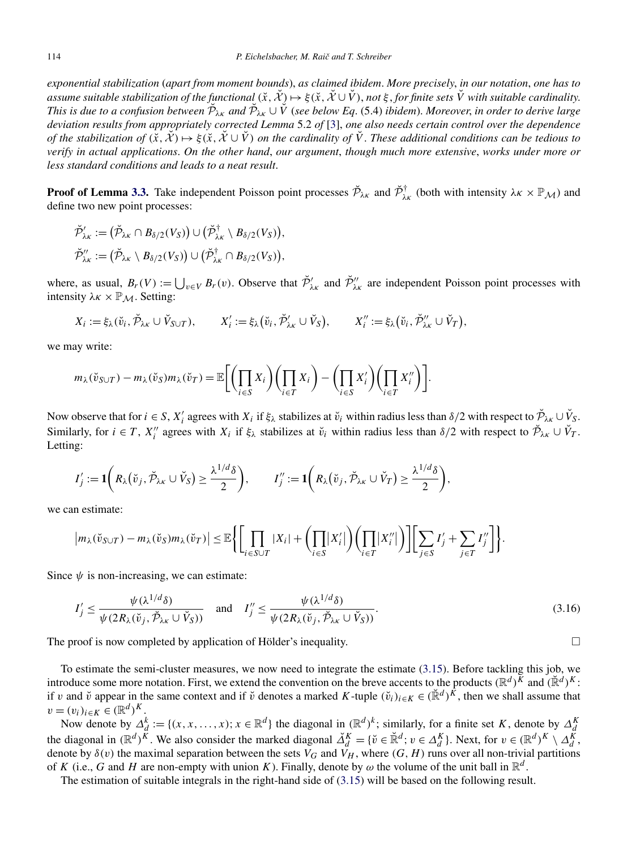<span id="page-25-0"></span>*exponential stabilization* (*apart from moment bounds*), *as claimed ibidem*. *More precisely*, *in our notation*, *one has to assume suitable stabilization of the functional*  $(\check{x}, \check{x}) \mapsto \xi(\check{x}, \check{x} \cup \check{V})$ , *not*  $\xi$ , *for finite sets*  $\check{V}$  *with suitable cardinality. This is due to a confusion between*  $\tilde{P}_{\lambda K}$  *and*  $\tilde{P}_{\lambda K}$   $\cup$   $\tilde{V}$  (see below Eq. (5.4) *ibidem*). *Moreover, in order to derive large deviation results from appropriately corrected Lemma* 5.2 *of* [\[3\]](#page-38-0), *one also needs certain control over the dependence of the stabilization of*  $(\check{x}, \check{\mathcal{X}}) \mapsto \check{\varepsilon}(\check{x}, \check{\mathcal{X}} \cup \check{V})$  *on the cardinality of*  $\check{V}$ *. These additional conditions can be tedious to verify in actual applications*. *On the other hand*, *our argument*, *though much more extensive*, *works under more or less standard conditions and leads to a neat result*.

**Proof of Lemma [3.3.](#page-24-0)** Take independent Poisson point processes  $\tilde{\mathcal{P}}_{\lambda\kappa}$  and  $\tilde{\mathcal{P}}_{\lambda\kappa}^{\dagger}$  (both with intensity  $\lambda\kappa \times \mathbb{P}_{\mathcal{M}}$ ) and define two new point processes:

$$
\tilde{\mathcal{P}}'_{\lambda \kappa} := (\tilde{\mathcal{P}}_{\lambda \kappa} \cap B_{\delta/2}(V_S)) \cup (\tilde{\mathcal{P}}^{\dagger}_{\lambda \kappa} \setminus B_{\delta/2}(V_S)), \n\tilde{\mathcal{P}}''_{\lambda \kappa} := (\tilde{\mathcal{P}}_{\lambda \kappa} \setminus B_{\delta/2}(V_S)) \cup (\tilde{\mathcal{P}}^{\dagger}_{\lambda \kappa} \cap B_{\delta/2}(V_S)),
$$

where, as usual,  $B_r(V) := \bigcup_{v \in V} B_r(v)$ . Observe that  $\tilde{\mathcal{P}}'_{\lambda \kappa}$  and  $\tilde{\mathcal{P}}''_{\lambda \kappa}$  are independent Poisson point processes with intensity  $\lambda \kappa \times \mathbb{P}_M$ . Setting:

$$
X_i := \xi_\lambda(\check{v}_i, \check{\mathcal{P}}_{\lambda\kappa} \cup \check{V}_{S\cup T}), \qquad X_i' := \xi_\lambda(\check{v}_i, \check{\mathcal{P}}_{\lambda\kappa}' \cup \check{V}_S), \qquad X_i'' := \xi_\lambda(\check{v}_i, \check{\mathcal{P}}_{\lambda\kappa}'' \cup \check{V}_T),
$$

we may write:

$$
m_{\lambda}(\breve{v}_{S\cup T}) - m_{\lambda}(\breve{v}_{S})m_{\lambda}(\breve{v}_{T}) = \mathbb{E}\bigg[\bigg(\prod_{i\in S}X_{i}\bigg)\bigg(\prod_{i\in T}X_{i}\bigg) - \bigg(\prod_{i\in S}X_{i}'\bigg)\bigg(\prod_{i\in T}X_{i}''\bigg)\bigg].
$$

Now observe that for  $i \in S$ ,  $X'_i$  agrees with  $X_i$  if  $\xi_\lambda$  stabilizes at  $\check{v}_i$  within radius less than  $\delta/2$  with respect to  $\check{\mathcal{P}}_{\lambda\kappa} \cup \check{V}_S$ . Similarly, for  $i \in T$ ,  $X_i''$  agrees with  $X_i$  if  $\xi_\lambda$  stabilizes at  $\check{\nu}_i$  within radius less than  $\delta/2$  with respect to  $\check{\mathcal{P}}_{\lambda\kappa} \cup \check{V}_T$ . Letting:

$$
I'_j := \mathbf{1}\bigg(R_{\lambda}(\breve{v}_j, \breve{\mathcal{P}}_{\lambda\kappa} \cup \breve{V}_S) \geq \frac{\lambda^{1/d}\delta}{2}\bigg), \qquad I''_j := \mathbf{1}\bigg(R_{\lambda}(\breve{v}_j, \breve{\mathcal{P}}_{\lambda\kappa} \cup \breve{V}_T) \geq \frac{\lambda^{1/d}\delta}{2}\bigg),
$$

we can estimate:

$$
\left|m_{\lambda}(\breve{v}_{S\cup T})-m_{\lambda}(\breve{v}_{S})m_{\lambda}(\breve{v}_{T})\right|\leq \mathbb{E}\bigg\{\bigg[\prod_{i\in S\cup T}|X_{i}|+\bigg(\prod_{i\in S}|X'_{i}|\bigg)\bigg(\prod_{i\in T}|X''_{i}|\bigg)\bigg]\bigg[\sum_{j\in S}I'_{j}+\sum_{j\in T}I''_{j}\bigg]\bigg\}.
$$

Since  $\psi$  is non-increasing, we can estimate:

$$
I'_{j} \leq \frac{\psi(\lambda^{1/d}\delta)}{\psi(2R_{\lambda}(\check{\nu}_{j}, \check{\mathcal{P}}_{\lambda\kappa} \cup \check{V}_{S}))} \quad \text{and} \quad I''_{j} \leq \frac{\psi(\lambda^{1/d}\delta)}{\psi(2R_{\lambda}(\check{\nu}_{j}, \check{\mathcal{P}}_{\lambda\kappa} \cup \check{V}_{S}))}.
$$

The proof is now completed by application of Hölder's inequality.

To estimate the semi-cluster measures, we now need to integrate the estimate [\(3.15\)](#page-24-0). Before tackling this job, we introduce some more notation. First, we extend the convention on the breve accents to the products  $(\mathbb{R}^d)^K$  and  $(\mathbb{R}^d)^K$ : if *v* and *v* appear in the same context and if *v* denotes a marked *K*-tuple  $(\check{v}_i)_{i \in K} \in (\check{\mathbb{R}}^d)^{\hat{K}}$ , then we shall assume that  $v = (v_i)_{i \in K} \in (\mathbb{R}^d)^K$ .

Now denote by  $\Delta_d^k := \{(x, x, \ldots, x); x \in \mathbb{R}^d\}$  the diagonal in  $(\mathbb{R}^d)^k$ ; similarly, for a finite set *K*, denote by  $\Delta_d^K$ the diagonal in  $(\mathbb{R}^d)^K$ . We also consider the marked diagonal  $\Delta_d^K = {\{ \check{v} \in \check{\mathbb{R}}^d : v \in \Delta_d^K \}}$ . Next, for  $v \in (\mathbb{R}^d)^K \setminus \Delta_d^K$ , denote by  $\delta(v)$  the maximal separation between the sets  $V_G$  and  $V_H$ , where  $(G, H)$  runs over all non-trivial partitions of *K* (i.e., *G* and *H* are non-empty with union *K*). Finally, denote by  $\omega$  the volume of the unit ball in  $\mathbb{R}^d$ .

The estimation of suitable integrals in the right-hand side of [\(3.15\)](#page-24-0) will be based on the following result.

$$
\sqcup
$$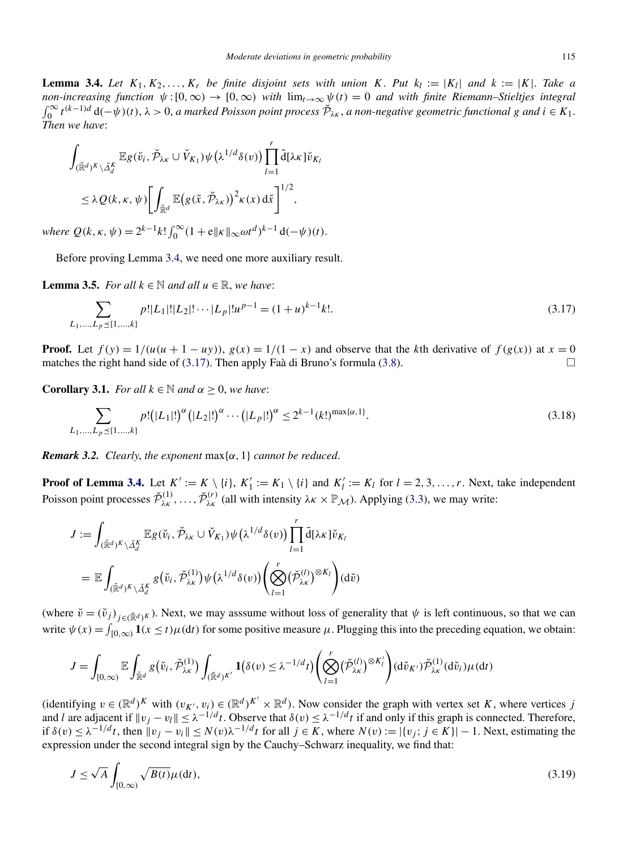<span id="page-26-0"></span>**Lemma 3.4.** Let  $K_1, K_2, \ldots, K_r$  be finite disjoint sets with union K. Put  $k_l := |K_l|$  and  $k := |K|$ . Take a *non-increasing function*  $\psi:[0,\infty) \to [0,\infty)$  *with*  $\lim_{t\to\infty} \psi(t) = 0$  *and with finite Riemann–Stieltjes integral*  $\int_0^\infty t^{(k-1)d} d(-\psi)(t)$ ,  $\lambda > 0$ , *a marked Poisson point process*  $\mathcal{P}_{\lambda k}$ , *a non-negative geometric functional g and*  $i \in K_1$ . *Then we have*:

$$
\int_{(\tilde{\mathbb{R}}^d)^K \backslash \tilde{\Delta}_d^K} \mathbb{E} g(\check{v}_i, \check{\mathcal{P}}_{\lambda \kappa} \cup \check{V}_{K_1}) \psi(\lambda^{1/d} \delta(v)) \prod_{l=1}^r \tilde{d}[\lambda \kappa] \check{v}_{K_l}
$$
  

$$
\leq \lambda Q(k, \kappa, \psi) \bigg[ \int_{\tilde{\mathbb{R}}^d} \mathbb{E} \big(g(\check{x}, \check{\mathcal{P}}_{\lambda \kappa})\big)^2 \kappa(x) \, \mathrm{d}\check{x} \bigg]^{1/2},
$$

*where*  $Q(k, \kappa, \psi) = 2^{k-1}k! \int_0^\infty (1 + e \|\kappa\|_\infty \omega t^d)^{k-1} d(-\psi)(t)$ .

Before proving Lemma 3.4, we need one more auxiliary result.

**Lemma 3.5.** *For all*  $k \in \mathbb{N}$  *and all*  $u \in \mathbb{R}$ *, we have:* 

$$
\sum_{L_1,\dots,L_p\leq\{1,\dots,k\}} p!|L_1|!|L_2|!\cdots|L_p|!u^{p-1} = (1+u)^{k-1}k!.
$$
\n(3.17)

**Proof.** Let  $f(y) = 1/(u(u + 1 - uy))$ ,  $g(x) = 1/(1 - x)$  and observe that the *k*th derivative of  $f(g(x))$  at  $x = 0$ matches the right hand side of  $(3.17)$ . Then apply Faà di Bruno's formula  $(3.8)$ .

**Corollary 3.1.** *For all*  $k \in \mathbb{N}$  *and*  $\alpha > 0$ *, we have:* 

$$
\sum_{L_1,\ldots,L_p\leq\{1,\ldots,k\}} p! \left(|L_1|!\right)^{\alpha} \left(|L_2|!\right)^{\alpha} \cdots \left(|L_p|!\right)^{\alpha} \leq 2^{k-1} (k!)^{\max\{\alpha,1\}}.
$$
\n(3.18)

*Remark 3.2. Clearly*, *the exponent* max{*α,* 1} *cannot be reduced*.

**Proof of Lemma 3.4.** Let  $K' := K \setminus \{i\}$ ,  $K'_1 := K_1 \setminus \{i\}$  and  $K'_i := K_i$  for  $l = 2, 3, \ldots, r$ . Next, take independent Poisson point processes  $\check{\mathcal{P}}_{\lambda\kappa}^{(1)},\ldots,\check{\mathcal{P}}_{\lambda\kappa}^{(r)}$  (all with intensity  $\lambda\kappa \times \mathbb{P}_{\mathcal{M}}$ ). Applying [\(3.3\)](#page-21-0), we may write:

$$
J := \int_{(\tilde{\mathbb{R}}^d)^K \setminus \tilde{\Delta}^K_d} \mathbb{E} g(\breve{v}_i, \breve{\mathcal{P}}_{\lambda \kappa} \cup \breve{V}_{K_1}) \psi(\lambda^{1/d} \delta(v)) \prod_{l=1}^r \tilde{d}[\lambda \kappa] \breve{v}_{K_l}
$$
  
= 
$$
\mathbb{E} \int_{(\tilde{\mathbb{R}}^d)^K \setminus \tilde{\Delta}^K_d} g(\breve{v}_i, \breve{\mathcal{P}}_{\lambda \kappa}^{(1)}) \psi(\lambda^{1/d} \delta(v)) \left( \bigotimes_{l=1}^r (\breve{\mathcal{P}}_{\lambda \kappa}^{(l)})^{\otimes K_l} \right) (d\breve{v})
$$

(where  $\tilde{v} = (\tilde{v}_j)_{j \in (\mathbb{R}^d)^K}$ ). Next, we may asssume without loss of generality that  $\psi$  is left continuous, so that we can write  $\psi(x) = \int_{[0,\infty)} \mathbf{1}(x \le t) \mu(\mathrm{d}t)$  for some positive measure  $\mu$ . Plugging this into the preceding equation, we obtain:

$$
J = \int_{[0,\infty)} \mathbb{E} \int_{\mathbb{R}^d} g(\check{v}_i, \check{\mathcal{P}}_{\lambda\kappa}^{(1)}) \int_{(\mathbb{R}^d)^{K'}} \mathbf{1}(\delta(v) \leq \lambda^{-1/d} t) \left( \bigotimes_{l=1}^r (\check{\mathcal{P}}_{\lambda\kappa}^{(l)})^{\otimes K'_l} \right) (\mathrm{d}\check{v}_{K'} ) \check{\mathcal{P}}_{\lambda\kappa}^{(1)} (\mathrm{d}\check{v}_i) \mu(\mathrm{d}t)
$$

(identifying  $v \in (\mathbb{R}^d)^K$  with  $(v_{K'}, v_i) \in (\mathbb{R}^d)^{K'} \times \mathbb{R}^d$ ). Now consider the graph with vertex set *K*, where vertices *j* and *l* are adjacent if  $||v_j - v_l|| \leq \lambda^{-1/d}t$ . Observe that  $\delta(v) \leq \lambda^{-1/d}t$  if and only if this graph is connected. Therefore, if  $\delta(v) \le \lambda^{-1/d} t$ , then  $||v_j - v_i|| \le N(v)\lambda^{-1/d} t$  for all  $j \in K$ , where  $N(v) := |\{v_j; j \in K\}|-1$ . Next, estimating the expression under the second integral sign by the Cauchy–Schwarz inequality, we find that:

$$
J \le \sqrt{A} \int_{[0,\infty)} \sqrt{B(t)} \mu(dt),\tag{3.19}
$$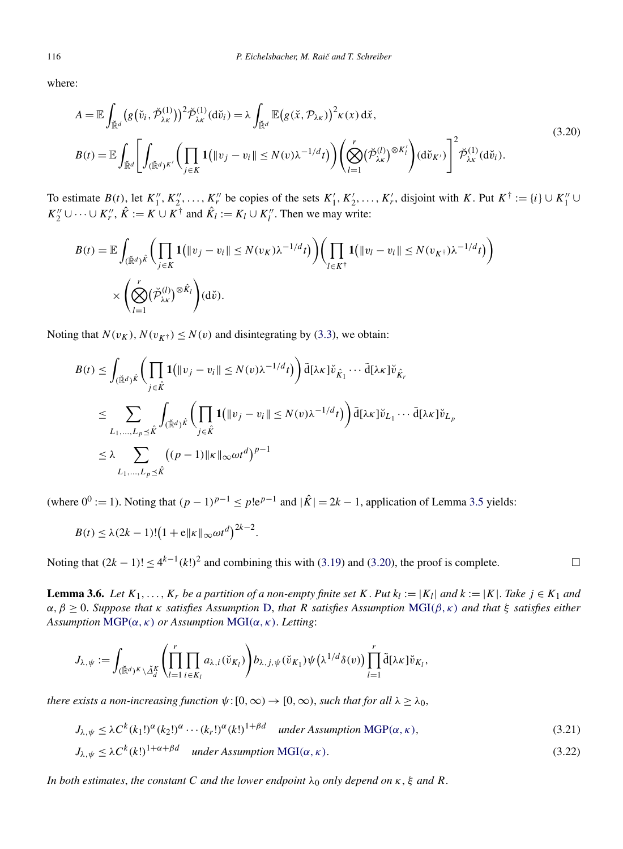<span id="page-27-0"></span>where:

$$
A = \mathbb{E} \int_{\tilde{\mathbb{R}}^d} (g(\tilde{v}_i, \tilde{\mathcal{P}}_{\lambda \kappa}^{(1)}))^2 \tilde{\mathcal{P}}_{\lambda \kappa}^{(1)} (\text{d}\tilde{v}_i) = \lambda \int_{\tilde{\mathbb{R}}^d} \mathbb{E} (g(\tilde{x}, \mathcal{P}_{\lambda \kappa}))^2 \kappa(x) \, \text{d}\tilde{x},
$$
  
\n
$$
B(t) = \mathbb{E} \int_{\tilde{\mathbb{R}}^d} \left[ \int_{(\tilde{\mathbb{R}}^d)^{K'}} \left( \prod_{j \in K} \mathbf{1}(|v_j - v_i| \le N(v)\lambda^{-1/d} t) \right) \left( \bigotimes_{l=1}^r (\tilde{\mathcal{P}}_{\lambda \kappa}^{(l)})^{\otimes K'_l} \right) (\text{d}\tilde{v}_{K'}) \right]^2 \tilde{\mathcal{P}}_{\lambda \kappa}^{(1)} (\text{d}\tilde{v}_i).
$$
\n(3.20)

To estimate  $B(t)$ , let  $K_1'', K_2'', \ldots, K_r''$  be copies of the sets  $K_1', K_2', \ldots, K_r'$ , disjoint with *K*. Put  $K^{\dagger} := \{i\} \cup K_1'' \cup$  $K''_2 \cup \cdots \cup K''_r$ ,  $\hat{K} := K \cup K^{\dagger}$  and  $\hat{K}_l := K_l \cup K''_l$ . Then we may write:

$$
B(t) = \mathbb{E} \int_{(\tilde{\mathbb{R}}^d)^{\tilde{K}}} \left( \prod_{j \in K} \mathbf{1}(\|v_j - v_i\| \le N(v_K) \lambda^{-1/d} t) \right) \left( \prod_{l \in K^{\dagger}} \mathbf{1}(\|v_l - v_i\| \le N(v_{K^{\dagger}}) \lambda^{-1/d} t) \right)
$$
  
\$\times \left( \bigotimes\_{l=1}^K (\tilde{\mathcal{P}}\_{\lambda \kappa}^{(l)})^{\otimes \hat{K}\_l} \right) (\mathrm{d}\check{v}).

Noting that  $N(v_K)$ ,  $N(v_{K^{\dagger}}) \leq N(v)$  and disintegrating by [\(3.3\)](#page-21-0), we obtain:

$$
B(t) \leq \int_{(\tilde{\mathbb{R}}^d)^{\hat{K}}} \left( \prod_{j \in \hat{K}} \mathbf{1}(|v_j - v_i| \leq N(v)\lambda^{-1/d} t) \right) \tilde{\mathbf{d}}[\lambda \kappa] \check{v}_{\hat{K}_1} \cdots \tilde{\mathbf{d}}[\lambda \kappa] \check{v}_{\hat{K}_r}
$$
  
\n
$$
\leq \sum_{L_1, ..., L_p \leq \hat{K}} \int_{(\tilde{\mathbb{R}}^d)^{\hat{K}}} \left( \prod_{j \in \hat{K}} \mathbf{1}(|v_j - v_i| \leq N(v)\lambda^{-1/d} t) \right) \tilde{\mathbf{d}}[\lambda \kappa] \check{v}_{L_1} \cdots \tilde{\mathbf{d}}[\lambda \kappa] \check{v}_{L_p}
$$
  
\n
$$
\leq \lambda \sum_{L_1, ..., L_p \leq \hat{K}} ((p-1) \|\kappa\|_{\infty} \omega t^d)^{p-1}
$$

(where  $0^0 := 1$ ). Noting that  $(p-1)^{p-1} \le p!e^{p-1}$  and  $|\hat{K}| = 2k - 1$ , application of Lemma [3.5](#page-26-0) yields:

$$
B(t) \leq \lambda (2k-1)! \big(1+e\|\kappa\|_{\infty}\omega t^d\big)^{2k-2}.
$$

Noting that  $(2k - 1)! \le 4^{k-1}(k!)^2$  and combining this with [\(3.19\)](#page-26-0) and (3.20), the proof is complete.

**Lemma 3.6.** Let  $K_1, \ldots, K_r$  be a partition of a non-empty finite set K. Put  $k_l := |K_l|$  and  $k := |K|$ . Take  $j \in K_1$  and *α,β* ≥ 0. *Suppose that κ satisfies Assumption* [D,](#page-4-0) *that R satisfies Assumption* MGI*[\(β,κ\)](#page-9-0) and that ξ satisfies either Assumption* MGP*[\(α,κ\)](#page-9-0) or Assumption* MGI*[\(α,κ\)](#page-9-0)*. *Letting*:

 $\Box$ 

$$
J_{\lambda,\psi} := \int_{(\breve{\mathbb{R}}^d)^K \setminus \breve{\Delta}^K_d} \left( \prod_{l=1}^r \prod_{i \in K_l} a_{\lambda,i}(\breve{v}_{K_l}) \right) b_{\lambda,j,\psi}(\breve{v}_{K_1}) \psi(\lambda^{1/d} \delta(v)) \prod_{l=1}^r \tilde{d}[\lambda \kappa] \breve{v}_{K_l},
$$

*there exists a non-increasing function*  $\psi$ : [0*,* ∞*)*  $\rightarrow$  [0*,* ∞*), such that for all*  $\lambda \ge \lambda_0$ *,* 

$$
J_{\lambda,\psi} \leq \lambda C^{k}(k_{1}!)^{\alpha}(k_{2}!)^{\alpha} \cdots (k_{r}!)^{\alpha}(k!)^{1+\beta d} \quad under Assumption \text{MGP}(\alpha,\kappa), \tag{3.21}
$$

$$
J_{\lambda,\psi} \leq \lambda C^{k}(k!)^{1+\alpha+\beta d} \quad under Assumption MGI(\alpha,\kappa). \tag{3.22}
$$

*In both estimates*, *the constant C and the lower endpoint λ*<sup>0</sup> *only depend on κ*, *ξ and R*.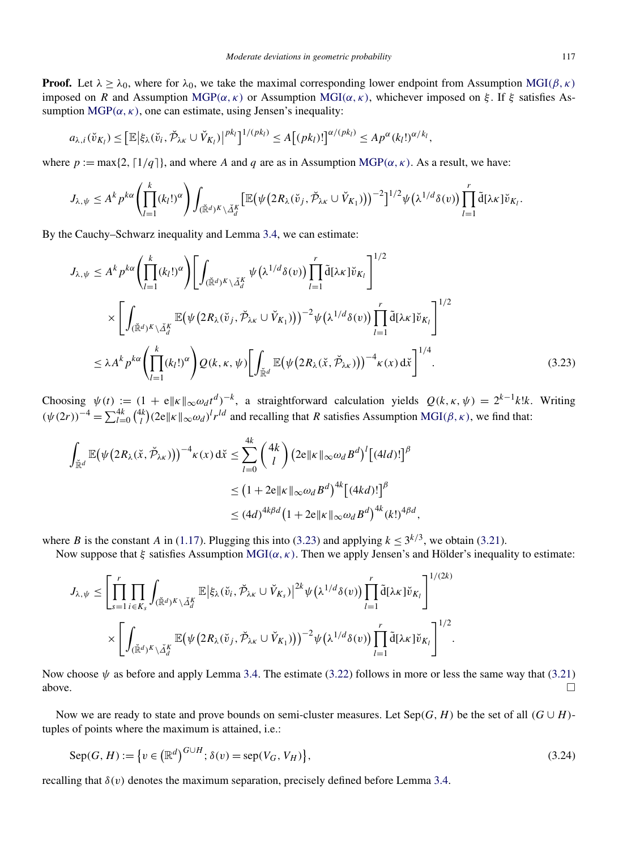**Proof.** Let  $\lambda \geq \lambda_0$ , where for  $\lambda_0$ , we take the maximal corresponding lower endpoint from Assumption MGI( $\beta, \kappa$ ) imposed on *R* and Assumption MGP*[\(α,κ\)](#page-9-0)* or Assumption MGI*[\(α,κ\)](#page-9-0)*, whichever imposed on *ξ* . If *ξ* satisfies Assumption  $\text{MGP}(\alpha, \kappa)$ , one can estimate, using Jensen's inequality:

$$
a_{\lambda,i}(\breve{v}_{K_l}) \leq \left[\mathbb{E}\left|\xi_{\lambda}(\breve{v}_i, \breve{\mathcal{P}}_{\lambda \kappa} \cup \breve{V}_{K_l})\right|^{pk_l}\right]^{1/(pk_l)} \leq A\left[(pk_l)!\right]^{\alpha/(pk_l)} \leq Ap^{\alpha}(k_l!)^{\alpha/k_l},
$$

where  $p := \max\{2, \lceil 1/q \rceil\}$ , and where A and q are as in Assumption MGP( $\alpha, \kappa$ ). As a result, we have:

$$
J_{\lambda,\psi} \leq A^{k} p^{k\alpha} \left( \prod_{l=1}^{k} (k_{l}!)^{\alpha} \right) \int_{(\mathbb{R}^{d})^{K} \setminus \check{A}_{d}^{K}} \left[ \mathbb{E} \big( \psi \big( 2R_{\lambda}(\check{v}_{j}, \check{\mathcal{P}}_{\lambda \kappa} \cup \check{V}_{K_{1}}) \big) \big)^{-2} \right]^{1/2} \psi \big( \lambda^{1/d} \delta(v) \big) \prod_{l=1}^{r} \tilde{\mathbf{d}} [\lambda \kappa] \check{v}_{K_{l}}.
$$

By the Cauchy–Schwarz inequality and Lemma [3.4,](#page-26-0) we can estimate:

$$
J_{\lambda,\psi} \leq A^{k} p^{k\alpha} \left( \prod_{l=1}^{k} (k_{l}!)^{\alpha} \right) \left[ \int_{(\tilde{\mathbb{R}}^{d})^{K} \setminus \tilde{\Delta}_{d}^{K}} \psi(\lambda^{1/d} \delta(v)) \prod_{l=1}^{r} \tilde{d}[\lambda \kappa] \tilde{v}_{K_{l}} \right]^{1/2} \times \left[ \int_{(\tilde{\mathbb{R}}^{d})^{K} \setminus \tilde{\Delta}_{d}^{K}} \mathbb{E}(\psi(2R_{\lambda}(\tilde{v}_{j}, \tilde{\mathcal{P}}_{\lambda \kappa} \cup \check{V}_{K_{1}})))^{-2} \psi(\lambda^{1/d} \delta(v)) \prod_{l=1}^{r} \tilde{d}[\lambda \kappa] \tilde{v}_{K_{l}} \right]^{1/2} \leq \lambda A^{k} p^{k\alpha} \left( \prod_{l=1}^{k} (k_{l}!)^{\alpha} \right) Q(k, \kappa, \psi) \left[ \int_{\tilde{\mathbb{R}}^{d}} \mathbb{E}(\psi(2R_{\lambda}(\tilde{x}, \tilde{\mathcal{P}}_{\lambda \kappa})))^{-4} \kappa(x) d\tilde{x} \right]^{1/4} .
$$

Choosing  $\psi(t) := (1 + e||\kappa||_{\infty} \omega_d t^d)^{-k}$ , a straightforward calculation yields  $Q(k, \kappa, \psi) = 2^{k-1}k!k$ . Writing  $(\psi(2r))^{-4} = \sum_{l=0}^{4k} {4k \choose l} (2e ||K||_{\infty} \omega_d)^l r^{ld}$  and recalling that *R* satisfies Assumption MGI( $\beta, \kappa$ ), we find that:

$$
\int_{\mathbb{R}^d} \mathbb{E} \big( \psi \big( 2R_\lambda(\check{x}, \check{\mathcal{P}}_{\lambda \kappa}) \big) \big)^{-4} \kappa(x) \, \mathrm{d}\check{x} \le \sum_{l=0}^{4k} \binom{4k}{l} \big( 2e \| \kappa \|_{\infty} \omega_d B^d \big)^l \big[ (4ld)! \big]^{\beta}
$$
  

$$
\le \big( 1 + 2e \| \kappa \|_{\infty} \omega_d B^d \big)^{4k} \big[ (4kd)! \big]^{\beta}
$$
  

$$
\le (4d)^{4k\beta d} \big( 1 + 2e \| \kappa \|_{\infty} \omega_d B^d \big)^{4k} (k!)^{4\beta d},
$$

where *B* is the constant *A* in [\(1.17\)](#page-9-0). Plugging this into (3.23) and applying  $k < 3^{k/3}$ , we obtain [\(3.21\)](#page-27-0).

Now suppose that *ξ* satisfies Assumption MGI*[\(α,κ\)](#page-9-0)*. Then we apply Jensen's and Hölder's inequality to estimate:

$$
J_{\lambda,\psi} \leq \left[\prod_{s=1}^r \prod_{i\in K_s} \int_{(\tilde{\mathbb{R}}^d)^K \setminus \tilde{\Delta}_d^K} \mathbb{E} \left|\xi_{\lambda}(\check{v}_i, \check{\mathcal{P}}_{\lambda\kappa} \cup \check{V}_{K_s})\right|^{2k} \psi(\lambda^{1/d}\delta(v)) \prod_{l=1}^r \tilde{d}[\lambda\kappa] \check{v}_{K_l}\right]^{1/(2k)} \times \left[\int_{(\tilde{\mathbb{R}}^d)^K \setminus \tilde{\Delta}_d^K} \mathbb{E} \big(\psi(2R_{\lambda}(\check{v}_j, \check{\mathcal{P}}_{\lambda\kappa} \cup \check{V}_{K_1}))\big)^{-2} \psi(\lambda^{1/d}\delta(v)) \prod_{l=1}^r \tilde{d}[\lambda\kappa] \check{v}_{K_l}\right]^{1/2}.
$$

Now choose  $\psi$  as before and apply Lemma [3.4.](#page-26-0) The estimate [\(3.22\)](#page-27-0) follows in more or less the same way that [\(3.21\)](#page-27-0) above.  $\Box$ 

Now we are ready to state and prove bounds on semi-cluster measures. Let  $Sep(G, H)$  be the set of all  $(G \cup H)$ tuples of points where the maximum is attained, i.e.:

$$
\operatorname{Sep}(G, H) := \left\{ v \in \left(\mathbb{R}^d\right)^{G \cup H}; \delta(v) = \operatorname{sep}(V_G, V_H) \right\},\tag{3.24}
$$

recalling that  $\delta(v)$  denotes the maximum separation, precisely defined before Lemma [3.4.](#page-26-0)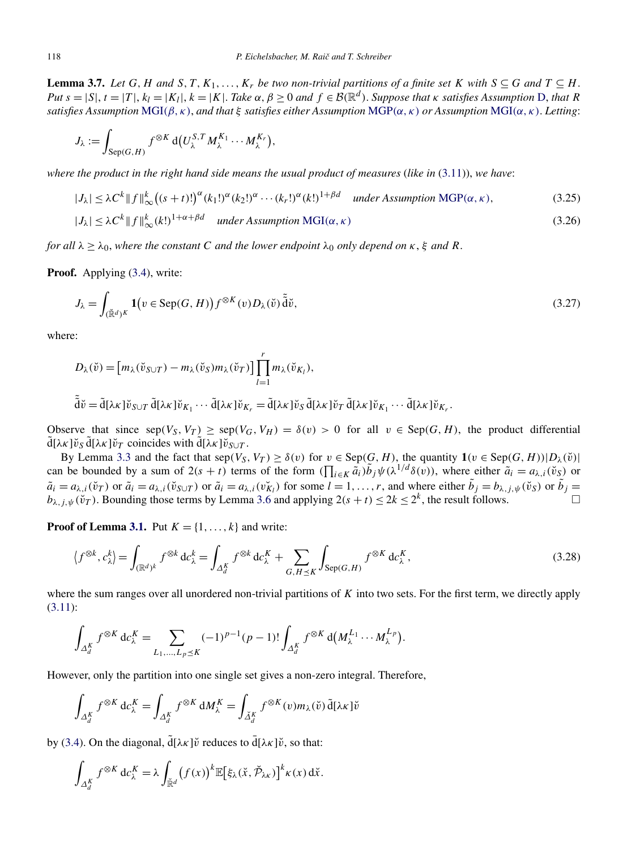<span id="page-29-0"></span>**Lemma 3.7.** Let G, H and S, T,  $K_1, \ldots, K_r$  be two non-trivial partitions of a finite set K with  $S \subseteq G$  and  $T \subseteq H$ . Put  $s = |S|$ ,  $t = |T|$ ,  $k_l = |K_l|$ ,  $k = |K|$ . Take  $\alpha, \beta \ge 0$  and  $f \in \mathcal{B}(\mathbb{R}^d)$ . Suppose that  $\kappa$  satisfies Assumption [D,](#page-4-0) that R *satisfies Assumption* MGI*[\(β,κ\)](#page-9-0)*, *and that ξ satisfies either Assumption* MGP*[\(α,κ\)](#page-9-0) or Assumption* MGI*[\(α,κ\)](#page-9-0)*. *Letting*:

$$
J_{\lambda} := \int_{\operatorname{Sep}(G,H)} f^{\otimes K} \, \mathrm{d}\big(U_{\lambda}^{S,T} M_{\lambda}^{K_1} \cdots M_{\lambda}^{K_r}\big),
$$

*where the product in the right hand side means the usual product of measures* (*like in* [\(3.11\)](#page-23-0)), *we have*:

$$
|J_{\lambda}| \leq \lambda C^{k} ||f||_{\infty}^{k} ((s+t)!)^{\alpha} (k_{1}!)^{\alpha} (k_{2}!)^{\alpha} \cdots (k_{r}!)^{\alpha} (k!)^{1+\beta d} under Assumption MGP(\alpha, \kappa),
$$
\n(3.25)\n
$$
|J_{\lambda}| \leq \lambda C^{k} ||f||_{\infty}^{k} (k!)^{1+\alpha+\beta d} under Assumption MGI(\alpha, \kappa)
$$
\n(3.26)

*for all*  $\lambda \geq \lambda_0$ , *where the constant C and the lower endpoint*  $\lambda_0$  *only depend on*  $\kappa$ ,  $\xi$  *and R*.

Proof. Applying [\(3.4\)](#page-22-0), write:

$$
J_{\lambda} = \int_{(\mathbb{R}^d)^K} \mathbf{1}(v \in \text{Sep}(G, H)) f^{\otimes K}(v) D_{\lambda}(\check{v}) \tilde{\check{d}} \check{v},\tag{3.27}
$$

where:

$$
D_{\lambda}(\breve{v}) = [m_{\lambda}(\breve{v}_{S\cup T}) - m_{\lambda}(\breve{v}_{S})m_{\lambda}(\breve{v}_{T})] \prod_{l=1}^{r} m_{\lambda}(\breve{v}_{K_{l}}),
$$
  
\n
$$
\tilde{\breve{\mathbf{d}}} \breve{v} = \tilde{\mathbf{d}}[\lambda \kappa] \breve{v}_{S\cup T} \tilde{\mathbf{d}}[\lambda \kappa] \breve{v}_{K_{1}} \cdots \tilde{\mathbf{d}}[\lambda \kappa] \breve{v}_{K_{r}} = \tilde{\mathbf{d}}[\lambda \kappa] \breve{v}_{S} \tilde{\mathbf{d}}[\lambda \kappa] \breve{v}_{T} \tilde{\mathbf{d}}[\lambda \kappa] \breve{v}_{K_{1}} \cdots \tilde{\mathbf{d}}[\lambda \kappa] \breve{v}_{K_{r}}.
$$

Observe that since  $\text{sep}(V_S, V_T) \geq \text{sep}(V_G, V_H) = \delta(v) > 0$  for all  $v \in \text{Sep}(G, H)$ , the product differential  $d[\lambda \kappa] \check{v}_S d[\lambda \kappa] \check{v}_T$  coincides with  $d[\lambda \kappa] \check{v}_{S \cup T}$ .

By Lemma [3.3](#page-24-0) and the fact that  $\text{sep}(V_S, V_T) \ge \delta(v)$  for  $v \in \text{Sep}(G, H)$ , the quantity  $\mathbf{1}(v \in \text{Sep}(G, H)) | D_\lambda(\delta v) |$ can be bounded by a sum of  $2(s + t)$  terms of the form  $(\prod_{i \in K} \tilde{a}_i) \tilde{b}_j \psi(\lambda^{1/d} \delta(v))$ , where either  $\tilde{a}_i = a_{\lambda,i}(\tilde{v}_s)$  or  $\tilde{a}_i = a_{\lambda,i}(\tilde{v}_T)$  or  $\tilde{a}_i = a_{\lambda,i}(\tilde{v}_{S\cup T})$  or  $\tilde{a}_i = a_{\lambda,i}(\tilde{v}_{K_i})$  for some  $l = 1, ..., r$ , and where either  $\tilde{b}_j = b_{\lambda,j,\psi}(\tilde{v}_S)$  or  $\tilde{b}_j =$  $b_{\lambda,j,\psi}(\check{\nu}_T)$ . Bounding those terms by Lemma [3.6](#page-27-0) and applying  $2(s + t) \leq 2k \leq 2^k$ , the result follows.

**Proof of Lemma [3.1.](#page-23-0)** Put  $K = \{1, \ldots, k\}$  and write:

$$
\left\langle f^{\otimes k}, c_{\lambda}^{k} \right\rangle = \int_{(\mathbb{R}^{d})^{k}} f^{\otimes k} d c_{\lambda}^{k} = \int_{\Delta_{d}^{K}} f^{\otimes k} d c_{\lambda}^{K} + \sum_{G, H \preceq K} \int_{\text{Sep}(G,H)} f^{\otimes K} d c_{\lambda}^{K}, \tag{3.28}
$$

where the sum ranges over all unordered non-trivial partitions of *K* into two sets. For the first term, we directly apply [\(3.11\)](#page-23-0):

$$
\int_{\Delta_d^K} f^{\otimes K} d c_{\lambda}^K = \sum_{L_1,\ldots,L_p\leq K} (-1)^{p-1} (p-1)! \int_{\Delta_d^K} f^{\otimes K} d (M_{\lambda}^{L_1}\cdots M_{\lambda}^{L_p}).
$$

However, only the partition into one single set gives a non-zero integral. Therefore,

$$
\int_{\Delta_d^K} f^{\otimes K} \, \mathrm{d}c_{\lambda}^K = \int_{\Delta_d^K} f^{\otimes K} \, \mathrm{d}M_{\lambda}^K = \int_{\breve{\Delta}_d^K} f^{\otimes K}(v) m_{\lambda}(\breve{v}) \, \tilde{\mathrm{d}}[\lambda_K] \breve{v}
$$

by [\(3.4\)](#page-22-0). On the diagonal,  $\tilde{d}[\lambda \kappa] \tilde{v}$  reduces to  $\tilde{d}[\lambda \kappa] \tilde{v}$ , so that:

$$
\int_{\Delta_d^K} f^{\otimes K} \, \mathrm{d}c_{\lambda}^K = \lambda \int_{\mathbb{R}^d} (f(x))^k \mathbb{E} \big[ \xi_{\lambda}(\check{x}, \check{\mathcal{P}}_{\lambda \kappa}) \big]^k \kappa(x) \, \mathrm{d}\check{x}.
$$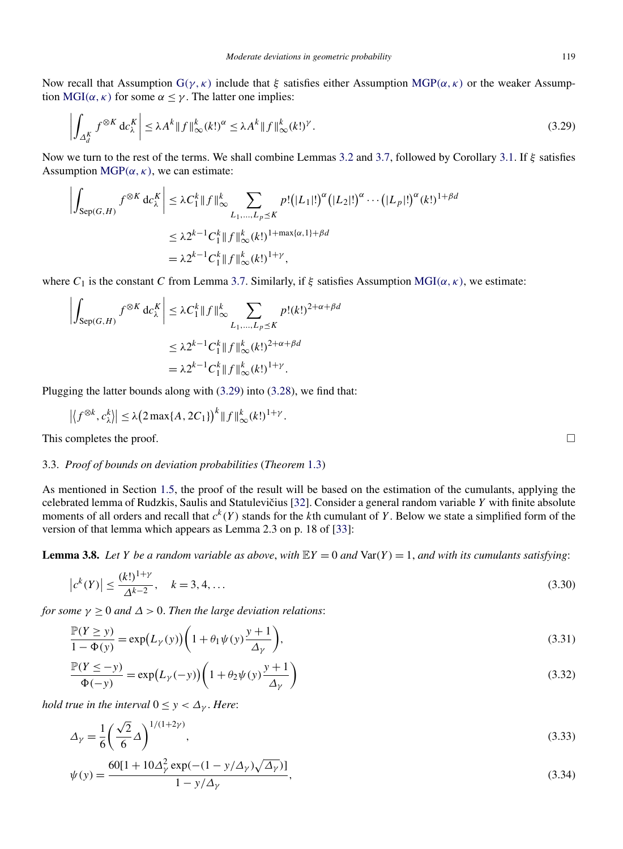<span id="page-30-0"></span>Now recall that Assumption G*[\(γ,κ\)](#page-10-0)* include that *ξ* satisfies either Assumption MGP*[\(α,κ\)](#page-9-0)* or the weaker Assumption  $MGI(\alpha, \kappa)$  for some  $\alpha \leq \gamma$ . The latter one implies:

$$
\left| \int_{\Delta_d^K} f^{\otimes K} \, \mathrm{d}c_{\lambda}^K \right| \le \lambda A^k \|f\|_{\infty}^k (k!)^{\alpha} \le \lambda A^k \|f\|_{\infty}^k (k!)^{\gamma}.
$$
\n
$$
(3.29)
$$

Now we turn to the rest of the terms. We shall combine Lemmas [3.2](#page-23-0) and [3.7,](#page-29-0) followed by Corollary [3.1.](#page-26-0) If *ξ* satisfies Assumption  $MGP(\alpha, \kappa)$ , we can estimate:

$$
\left| \int_{\text{Sep}(G,H)} f^{\otimes K} d c_{\lambda}^{K} \right| \leq \lambda C_{1}^{k} \| f \|_{\infty}^{k} \sum_{L_{1},...,L_{p} \leq K} p! (|L_{1}|!)^{\alpha} (|L_{2}|!)^{\alpha} \cdots (|L_{p}|!)^{\alpha} (k!)^{1+\beta d}
$$
  

$$
\leq \lambda 2^{k-1} C_{1}^{k} \| f \|_{\infty}^{k} (k!)^{1+\max{\{\alpha,1\}}+\beta d}
$$
  

$$
= \lambda 2^{k-1} C_{1}^{k} \| f \|_{\infty}^{k} (k!)^{1+\gamma},
$$

where  $C_1$  is the constant *C* from Lemma [3.7.](#page-29-0) Similarly, if  $\xi$  satisfies Assumption MGI( $\alpha, \kappa$ ), we estimate:

$$
\left| \int_{\text{Sep}(G,H)} f^{\otimes K} \, \mathrm{d}c_{\lambda}^{K} \right| \leq \lambda C_{1}^{k} \|f\|_{\infty}^{k} \sum_{L_{1},...,L_{p} \leq K} p!(k!)^{2+\alpha+\beta d}
$$

$$
\leq \lambda 2^{k-1} C_{1}^{k} \|f\|_{\infty}^{k} (k!)^{2+\alpha+\beta d}
$$

$$
= \lambda 2^{k-1} C_{1}^{k} \|f\|_{\infty}^{k} (k!)^{1+\gamma}.
$$

Plugging the latter bounds along with (3.29) into [\(3.28\)](#page-29-0), we find that:

$$
\left|\left\langle f^{\otimes k}, c_{\lambda}^{k}\right\rangle\right| \leq \lambda \big(2 \max\{A, 2C_1\}\big)^k \|f\|_{\infty}^k (k!)^{1+\gamma}.
$$

This completes the proof.  $\Box$ 

## 3.3. *Proof of bounds on deviation probabilities* (*Theorem* [1.3\)](#page-10-0)

As mentioned in Section [1.5,](#page-9-0) the proof of the result will be based on the estimation of the cumulants, applying the celebrated lemma of Rudzkis, Saulis and Statulevičius [[32\]](#page-39-0). Consider a general random variable *Y* with finite absolute moments of all orders and recall that  $c^k(Y)$  stands for the *k*th cumulant of *Y*. Below we state a simplified form of the version of that lemma which appears as Lemma 2.3 on p. 18 of [\[33\]](#page-39-0):

**Lemma 3.8.** Let *Y* be a random variable as above, with  $\mathbb{E}Y = 0$  and  $\text{Var}(Y) = 1$ , and with its cumulants satisfying:

$$
|c^{k}(Y)| \le \frac{(k!)^{1+\gamma}}{\Delta^{k-2}}, \quad k = 3, 4, \dots
$$
\n(3.30)

*for some*  $\gamma \geq 0$  *and*  $\Delta > 0$ *. Then the large deviation relations:* 

$$
\frac{\mathbb{P}(Y \ge y)}{1 - \Phi(y)} = \exp\left(L_{\gamma}(y)\right) \left(1 + \theta_1 \psi(y) \frac{y+1}{\Delta_{\gamma}}\right),\tag{3.31}
$$

$$
\frac{\mathbb{P}(Y \le -y)}{\Phi(-y)} = \exp\left(L_{\gamma}(-y)\right) \left(1 + \theta_2 \psi(y) \frac{y+1}{\Delta_{\gamma}}\right)
$$
\n(3.32)

*hold true in the interval*  $0 \le y < \Delta_{\gamma}$ . *Here:* 

$$
\Delta_{\gamma} = \frac{1}{6} \left( \frac{\sqrt{2}}{6} \Delta \right)^{1/(1+2\gamma)},\tag{3.33}
$$

$$
\psi(y) = \frac{60[1 + 10\Delta_y^2 \exp(-(1 - y/\Delta_y)\sqrt{\Delta_y})]}{1 - y/\Delta_y},
$$
\n(3.34)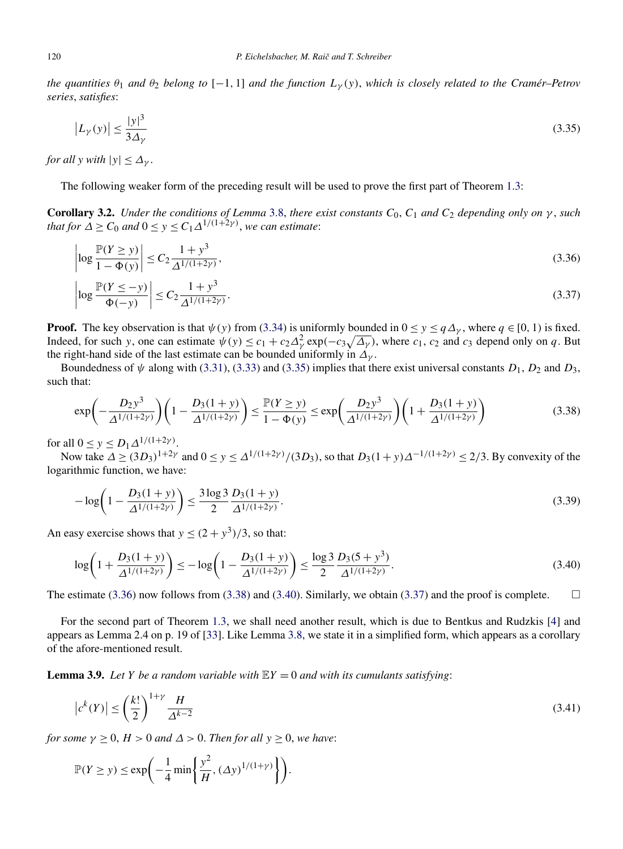<span id="page-31-0"></span>*the quantities*  $\theta_1$  *and*  $\theta_2$  *belong to* [-1, 1] *and the function*  $L_y(y)$ *, which is closely related to the Cramér–Petrov series*, *satisfies*:

$$
|L_{\gamma}(y)| \le \frac{|y|^3}{3\Delta_{\gamma}}
$$
\n(3.35)

*for all y with*  $|y| \leq \Delta_{\gamma}$ .

The following weaker form of the preceding result will be used to prove the first part of Theorem [1.3:](#page-10-0)

**Corollary 3.2.** *Under the conditions of Lemma* [3.8,](#page-30-0) *there exist constants*  $C_0$ ,  $C_1$  *and*  $C_2$  *depending only on*  $\gamma$ *, such that for*  $\Delta \ge C_0$  *and*  $0 \le y \le C_1 \Delta^{1/(1+2\gamma)}$ , *we can estimate*:

$$
\left| \log \frac{\mathbb{P}(Y \ge y)}{1 - \Phi(y)} \right| \le C_2 \frac{1 + y^3}{\Delta^{1/(1 + 2\gamma)}},\tag{3.36}
$$

$$
\left| \log \frac{\mathbb{P}(Y \le -y)}{\Phi(-y)} \right| \le C_2 \frac{1+y^3}{\Delta^{1/(1+2\gamma)}}.
$$
\n(3.37)

**Proof.** The key observation is that  $\psi(y)$  from [\(3.34\)](#page-30-0) is uniformly bounded in  $0 \le y \le q\Delta_y$ , where  $q \in [0, 1)$  is fixed. Indeed, for such *y*, one can estimate  $\psi(y) \le c_1 + c_2 \Delta_y^2 \exp(-c_3 \sqrt{\Delta_y})$ , where  $c_1$ ,  $c_2$  and  $c_3$  depend only on *q*. But the right-hand side of the last estimate can be bounded uniformly in  $\Delta_{\gamma}$ .

Boundedness of  $\psi$  along with [\(3.31\)](#page-30-0), [\(3.33\)](#page-30-0) and (3.35) implies that there exist universal constants  $D_1$ ,  $D_2$  and  $D_3$ , such that:

$$
\exp\left(-\frac{D_2y^3}{\Delta^{1/(1+2\gamma)}}\right)\left(1-\frac{D_3(1+y)}{\Delta^{1/(1+2\gamma)}}\right) \le \frac{\mathbb{P}(Y \ge y)}{1-\Phi(y)} \le \exp\left(\frac{D_2y^3}{\Delta^{1/(1+2\gamma)}}\right)\left(1+\frac{D_3(1+y)}{\Delta^{1/(1+2\gamma)}}\right) \tag{3.38}
$$

for all  $0 < y < D_1 \Delta^{1/(1+2\gamma)}$ .

Now take  $\Delta \ge (3D_3)^{1+2\gamma}$  and  $0 \le y \le \Delta^{1/(1+2\gamma)}/(3D_3)$ , so that  $D_3(1+y)\Delta^{-1/(1+2\gamma)} \le 2/3$ . By convexity of the logarithmic function, we have:

$$
-\log\left(1 - \frac{D_3(1+y)}{\Delta^{1/(1+2\gamma)}}\right) \le \frac{3\log 3}{2} \frac{D_3(1+y)}{\Delta^{1/(1+2\gamma)}}.
$$
\n(3.39)

An easy exercise shows that  $y \leq (2 + y^3)/3$ , so that:

$$
\log\left(1+\frac{D_3(1+y)}{\Delta^{1/(1+2\gamma)}}\right) \le -\log\left(1-\frac{D_3(1+y)}{\Delta^{1/(1+2\gamma)}}\right) \le \frac{\log 3}{2}\frac{D_3(5+y^3)}{\Delta^{1/(1+2\gamma)}}.\tag{3.40}
$$

The estimate (3.36) now follows from (3.38) and (3.40). Similarly, we obtain (3.37) and the proof is complete.  $\Box$ 

For the second part of Theorem [1.3,](#page-10-0) we shall need another result, which is due to Bentkus and Rudzkis [\[4\]](#page-39-0) and appears as Lemma 2.4 on p. 19 of [\[33\]](#page-39-0). Like Lemma [3.8,](#page-30-0) we state it in a simplified form, which appears as a corollary of the afore-mentioned result.

**Lemma 3.9.** *Let Y be a random variable with*  $EY = 0$  *and with its cumulants satisfying*:

$$
\left|c^k(Y)\right| \le \left(\frac{k!}{2}\right)^{1+\gamma} \frac{H}{\Delta^{k-2}}\tag{3.41}
$$

*for some*  $\gamma \geq 0$ ,  $H > 0$  *and*  $\Delta > 0$ . *Then for all*  $\gamma \geq 0$ , *we have:* 

$$
\mathbb{P}(Y \ge y) \le \exp\left(-\frac{1}{4}\min\left\{\frac{y^2}{H}, (\Delta y)^{1/(1+\gamma)}\right\}\right).
$$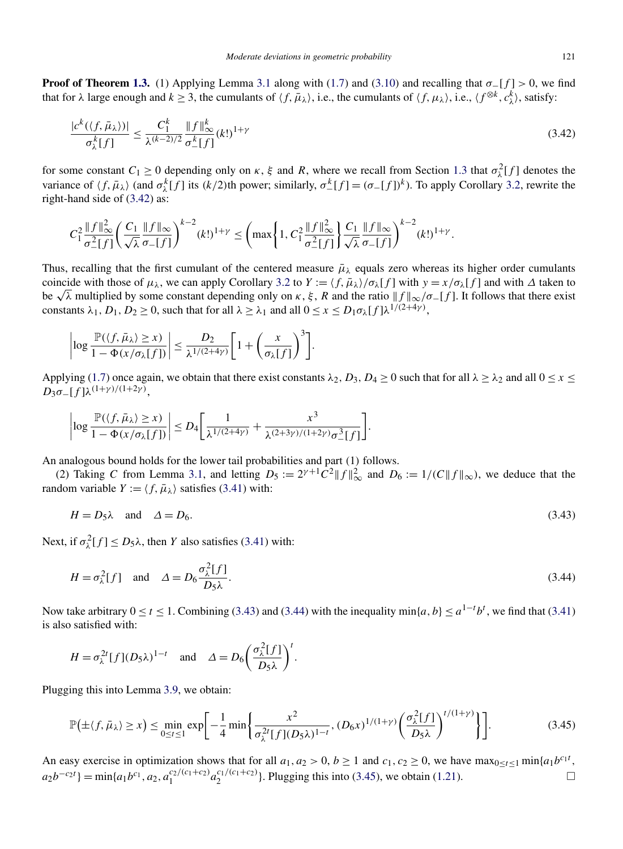**Proof of Theorem [1.3.](#page-10-0)** (1) Applying Lemma [3.1](#page-23-0) along with [\(1.7\)](#page-5-0) and [\(3.10\)](#page-23-0) and recalling that  $\sigma$ −[*f*] > 0, we find that for  $\lambda$  large enough and  $k \ge 3$ , the cumulants of  $\langle f, \bar{\mu}_{\lambda} \rangle$ , i.e., the cumulants of  $\langle f, \mu_{\lambda} \rangle$ , i.e.,  $\langle f^{\otimes k}, c_{\lambda}^{k} \rangle$ , satisfy:

$$
\frac{|c^k(\langle f, \bar{\mu}_\lambda \rangle)|}{\sigma_\lambda^k[f]} \le \frac{C_1^k}{\lambda^{(k-2)/2}} \frac{\|f\|_{\infty}^k}{\sigma_{-k}^k[f]} (k!)^{1+\gamma} \tag{3.42}
$$

for some constant  $C_1 \ge 0$  depending only on  $\kappa$ ,  $\xi$  and  $R$ , where we recall from Section [1.3](#page-4-0) that  $\sigma_{\lambda}^2[f]$  denotes the variance of  $\langle f, \bar{\mu}_\lambda \rangle$  (and  $\sigma_\lambda^k[f]$  its  $(k/2)$ th power; similarly,  $\sigma_-^k[f] = (\sigma_-[f])^k$ ). To apply Corollary [3.2,](#page-31-0) rewrite the right-hand side of (3.42) as:

$$
C_1^2 \frac{\|f\|_{\infty}^2}{\sigma_-^2[f]} \left(\frac{C_1}{\sqrt{\lambda}} \frac{\|f\|_{\infty}}{\sigma_- [f]} \right)^{k-2} (k!)^{1+\gamma} \le \left( \max \left\{ 1, C_1^2 \frac{\|f\|_{\infty}^2}{\sigma_-^2[f]} \right\} \frac{C_1}{\sqrt{\lambda}} \frac{\|f\|_{\infty}}{\sigma_- [f]} \right)^{k-2} (k!)^{1+\gamma}.
$$

Thus, recalling that the first cumulant of the centered measure  $\bar{\mu}_{\lambda}$  equals zero whereas its higher order cumulants coincide with those of  $\mu_{\lambda}$ , we can apply Corollary [3.2](#page-31-0) to  $Y := \langle f, \bar{\mu}_{\lambda} \rangle / \sigma_{\lambda}[f]$  with  $y = x / \sigma_{\lambda}[f]$  and with  $\Delta$  taken to be  $\sqrt{\lambda}$  multiplied by some constant depending only on  $\kappa$ ,  $\xi$ ,  $R$  and the ratio  $||f||_{\infty}/\sigma$  [f]. It follows that there exist constants  $\lambda_1, D_1, D_2 \ge 0$ , such that for all  $\lambda \ge \lambda_1$  and all  $0 \le x \le D_1 \sigma_{\lambda}[f] \lambda^{1/(2+4\gamma)}$ ,

$$
\left|\log\frac{\mathbb{P}(\langle f,\bar{\mu}_{\lambda}\rangle\geq x)}{1-\Phi(x/\sigma_{\lambda}[f])}\right|\leq\frac{D_{2}}{\lambda^{1/(2+4\gamma)}}\bigg[1+\bigg(\frac{x}{\sigma_{\lambda}[f]}\bigg)^{3}\bigg].
$$

Applying [\(1.7\)](#page-5-0) once again, we obtain that there exist constants  $\lambda_2$ ,  $D_3$ ,  $D_4 \ge 0$  such that for all  $\lambda \ge \lambda_2$  and all  $0 \le x \le$ *D*<sub>3</sub> $\sigma$ <sup>-</sup>[*f*] $λ$ <sup>(1+γ)/(1+2γ)</sup>,

$$
\left|\log\frac{\mathbb{P}(\langle f,\bar{\mu}_{\lambda}\rangle\geq x)}{1-\Phi(x/\sigma_{\lambda}[f])}\right|\leq D_{4}\left[\frac{1}{\lambda^{1/(2+4\gamma)}}+\frac{x^{3}}{\lambda^{(2+3\gamma)/(1+2\gamma)}\sigma_{-}^{3}[f]}\right].
$$

An analogous bound holds for the lower tail probabilities and part *(*1*)* follows.

(2) Taking *C* from Lemma [3.1,](#page-23-0) and letting  $D_5 := 2^{\gamma+1}C^2 ||f||_{\infty}^2$  and  $D_6 := 1/(C||f||_{\infty})$ , we deduce that the random variable  $Y := \langle f, \bar{\mu}_{\lambda} \rangle$  satisfies [\(3.41\)](#page-31-0) with:

$$
H = D_5 \lambda \quad \text{and} \quad \Delta = D_6. \tag{3.43}
$$

Next, if  $\sigma_{\lambda}^2[f] \leq D_5\lambda$ , then *Y* also satisfies [\(3.41\)](#page-31-0) with:

$$
H = \sigma_{\lambda}^2[f] \quad \text{and} \quad \Delta = D_6 \frac{\sigma_{\lambda}^2[f]}{D_5 \lambda}.
$$

Now take arbitrary  $0 \le t \le 1$ . Combining (3.43) and (3.44) with the inequality min{*a*, *b*}  $\le a^{1-t}b^t$ , we find that [\(3.41\)](#page-31-0) is also satisfied with:

$$
H = \sigma_{\lambda}^{2t} [f](D_5 \lambda)^{1-t} \quad \text{and} \quad \Delta = D_6 \bigg( \frac{\sigma_{\lambda}^2 [f]}{D_5 \lambda} \bigg)^t.
$$

Plugging this into Lemma [3.9,](#page-31-0) we obtain:

$$
\mathbb{P}\left(\pm\langle f,\bar{\mu}_{\lambda}\rangle\geq x\right)\leq \min_{0\leq t\leq 1}\exp\bigg[-\frac{1}{4}\min\bigg\{\frac{x^2}{\sigma_{\lambda}^{2t}[f](D_5\lambda)^{1-t}},\,(D_6x)^{1/(1+\gamma)}\bigg(\frac{\sigma_{\lambda}^2[f]}{D_5\lambda}\bigg)^{t/(1+\gamma)}\bigg\}\bigg].\tag{3.45}
$$

An easy exercise in optimization shows that for all  $a_1, a_2 > 0, b \ge 1$  and  $c_1, c_2 \ge 0$ , we have  $\max_{0 \le t \le 1} \min\{a_1 b^{c_1 t}, a_2 b^{c_2 t}\}$  $a_2b^{-c_2t}$  = min{ $a_1b^{c_1}$ ,  $a_2$ ,  $a_1^{c_2/(c_1+c_2)}a_2^{c_1/(c_1+c_2)}$ }. Plugging this into (3.45), we obtain [\(1.21\)](#page-10-0).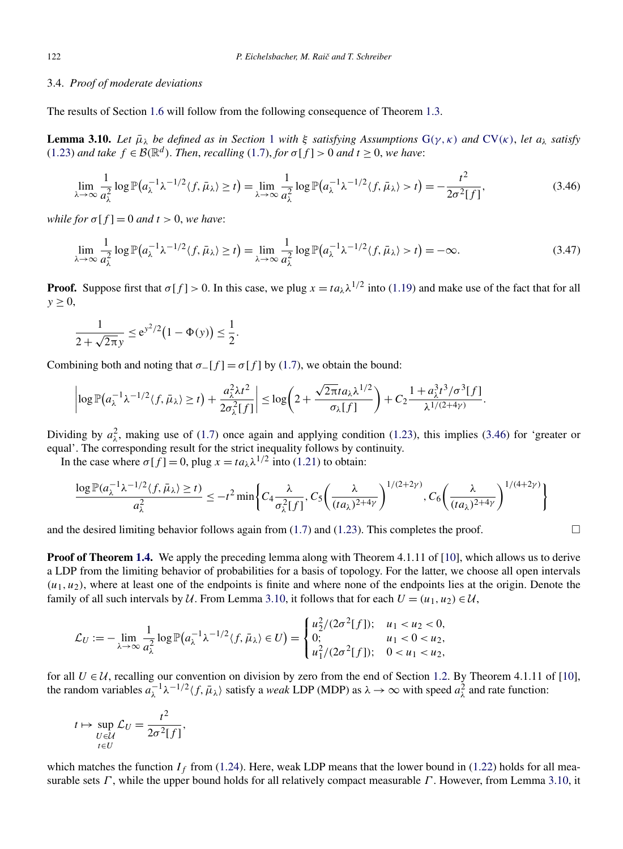### <span id="page-33-0"></span>3.4. *Proof of moderate deviations*

The results of Section [1.6](#page-11-0) will follow from the following consequence of Theorem [1.3.](#page-10-0)

**Lemma 3.[1](#page-0-0)0.** *Let*  $\bar{\mu}_{\lambda}$  *be defined as in Section* 1 *with*  $\xi$  *satisfying Assumptions*  $G(\gamma, \kappa)$  *and*  $CV(\kappa)$  $CV(\kappa)$ *, let*  $a_{\lambda}$  *satisfy* [\(1.23\)](#page-11-0) and take  $f \in \mathcal{B}(\mathbb{R}^d)$ . Then, recalling [\(1.7\)](#page-5-0), for  $\sigma[f] > 0$  and  $t > 0$ , we have:

$$
\lim_{\lambda \to \infty} \frac{1}{a_{\lambda}^2} \log \mathbb{P}(a_{\lambda}^{-1} \lambda^{-1/2} \langle f, \bar{\mu}_{\lambda} \rangle \ge t) = \lim_{\lambda \to \infty} \frac{1}{a_{\lambda}^2} \log \mathbb{P}(a_{\lambda}^{-1} \lambda^{-1/2} \langle f, \bar{\mu}_{\lambda} \rangle > t) = -\frac{t^2}{2\sigma^2[f]},
$$
\n(3.46)

*while for*  $\sigma[f] = 0$  *and*  $t > 0$ *, we have:* 

$$
\lim_{\lambda \to \infty} \frac{1}{a_{\lambda}^2} \log \mathbb{P}(a_{\lambda}^{-1} \lambda^{-1/2} \langle f, \bar{\mu}_{\lambda} \rangle \ge t) = \lim_{\lambda \to \infty} \frac{1}{a_{\lambda}^2} \log \mathbb{P}(a_{\lambda}^{-1} \lambda^{-1/2} \langle f, \bar{\mu}_{\lambda} \rangle > t) = -\infty.
$$
 (3.47)

**Proof.** Suppose first that  $\sigma[f] > 0$ . In this case, we plug  $x = ta_1 \lambda^{1/2}$  into [\(1.19\)](#page-10-0) and make use of the fact that for all  $y \geq 0$ ,

$$
\frac{1}{2+\sqrt{2\pi}y} \le e^{y^2/2} (1-\Phi(y)) \le \frac{1}{2}.
$$

Combining both and noting that  $\sigma$ <sub>−</sub>[*f*] =  $\sigma$ [*f*] by [\(1.7\)](#page-5-0), we obtain the bound:

$$
\left|\log \mathbb{P}(a_{\lambda}^{-1}\lambda^{-1/2}\langle f,\bar{\mu}_{\lambda}\rangle \geq t) + \frac{a_{\lambda}^{2}\lambda t^{2}}{2\sigma_{\lambda}^{2}[f]} \right| \leq \log\left(2 + \frac{\sqrt{2\pi}ta_{\lambda}\lambda^{1/2}}{\sigma_{\lambda}[f]} \right) + C_{2} \frac{1 + a_{\lambda}^{3}t^{3}/\sigma^{3}[f]}{\lambda^{1/(2+4\gamma)}}.
$$

Dividing by  $a_{\lambda}^2$ , making use of [\(1.7\)](#page-5-0) once again and applying condition [\(1.23\)](#page-11-0), this implies (3.46) for 'greater or equal'. The corresponding result for the strict inequality follows by continuity.

In the case where  $\sigma[f] = 0$ , plug  $x = ta_{\lambda} \lambda^{1/2}$  into [\(1.21\)](#page-10-0) to obtain:

$$
\frac{\log \mathbb{P}(a_{\lambda}^{-1}\lambda^{-1/2}\langle f, \bar{\mu}_{\lambda}\rangle \ge t)}{a_{\lambda}^{2}} \le -t^{2} \min\bigg\{C_{4} \frac{\lambda}{\sigma_{\lambda}^{2}[f]}, C_{5} \bigg(\frac{\lambda}{(ta_{\lambda})^{2+4\gamma}}\bigg)^{1/(2+2\gamma)}, C_{6} \bigg(\frac{\lambda}{(ta_{\lambda})^{2+4\gamma}}\bigg)^{1/(4+2\gamma)}\bigg\}
$$

 $\Box$ 

and the desired limiting behavior follows again from  $(1.7)$  and  $(1.23)$ . This completes the proof.

**Proof of Theorem [1.4.](#page-11-0)** We apply the preceding lemma along with Theorem 4.1.11 of [\[10\]](#page-39-0), which allows us to derive a LDP from the limiting behavior of probabilities for a basis of topology. For the latter, we choose all open intervals  $(u_1, u_2)$ , where at least one of the endpoints is finite and where none of the endpoints lies at the origin. Denote the family of all such intervals by U. From Lemma 3.10, it follows that for each  $U = (u_1, u_2) \in U$ ,

$$
\mathcal{L}_U := -\lim_{\lambda \to \infty} \frac{1}{a_{\lambda}^2} \log \mathbb{P}(a_{\lambda}^{-1} \lambda^{-1/2} \langle f, \bar{\mu}_{\lambda} \rangle \in U) = \begin{cases} u_2^2 / (2\sigma^2[f]); & u_1 < u_2 < 0, \\ 0; & u_1 < 0 < u_2, \\ u_1^2 / (2\sigma^2[f]); & 0 < u_1 < u_2, \end{cases}
$$

for all  $U \in \mathcal{U}$ , recalling our convention on division by zero from the end of Section [1.2.](#page-1-0) By Theorem 4.1.11 of [\[10\]](#page-39-0), the random variables  $a_{\lambda}^{-1}\lambda^{-1/2}\langle f, \bar{\mu}_{\lambda} \rangle$  satisfy a *weak* LDP (MDP) as  $\lambda \to \infty$  with speed  $a_{\lambda}^2$  and rate function:

$$
t \mapsto \sup_{\substack{U \in \mathcal{U} \\ t \in U}} \mathcal{L}_U = \frac{t^2}{2\sigma^2[f]},
$$

which matches the function  $I_f$  from [\(1.24\)](#page-11-0). Here, weak LDP means that the lower bound in [\(1.22\)](#page-11-0) holds for all measurable sets *Γ* , while the upper bound holds for all relatively compact measurable *Γ* . However, from Lemma 3.10, it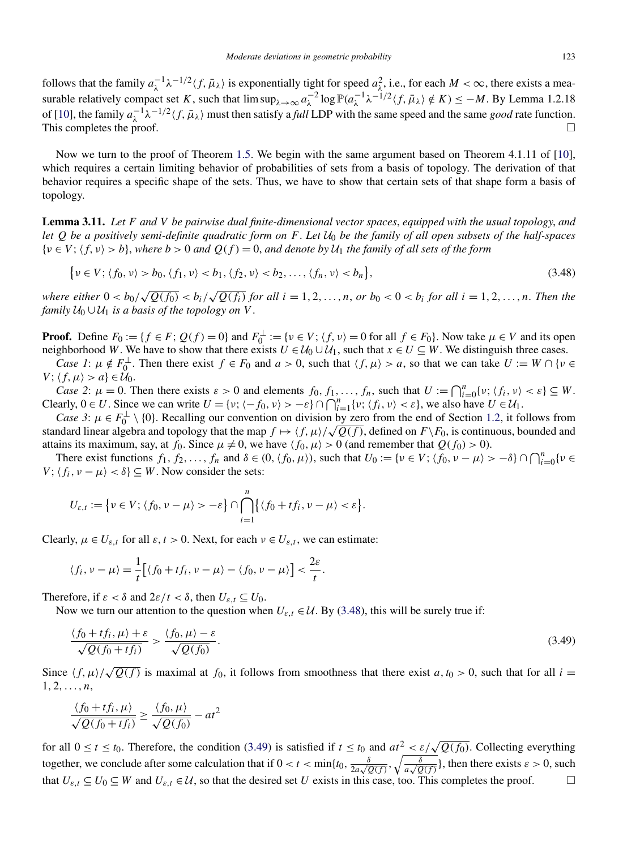<span id="page-34-0"></span>follows that the family  $a_{\lambda}^{-1}\lambda^{-1/2}\langle f, \bar{\mu}_{\lambda} \rangle$  is exponentially tight for speed  $a_{\lambda}^{2}$ , i.e., for each  $M < \infty$ , there exists a measurable relatively compact set *K*, such that  $\limsup_{\lambda \to \infty} a_{\lambda}^{-2} \log \mathbb{P}(a_{\lambda}^{-1} \lambda^{-1/2} \langle f, \bar{\mu}_{\lambda} \rangle \notin K) \le -M$ . By Lemma 1.2.18 of [\[10\]](#page-39-0), the family  $a_\lambda^{-1} \lambda^{-1/2} \langle f, \bar{\mu}_\lambda \rangle$  must then satisfy a *full* LDP with the same speed and the same *good* rate function. This completes the proof.

Now we turn to the proof of Theorem [1.5.](#page-12-0) We begin with the same argument based on Theorem 4.1.11 of [\[10\]](#page-39-0), which requires a certain limiting behavior of probabilities of sets from a basis of topology. The derivation of that behavior requires a specific shape of the sets. Thus, we have to show that certain sets of that shape form a basis of topology.

**Lemma 3.11.** *Let F and V be pairwise dual finite-dimensional vector spaces*, *equipped with the usual topology*, *and let Q be a positively semi-definite quadratic form on F*. *Let* U<sup>0</sup> *be the family of all open subsets of the half-spaces*  $\{v \in V; \langle f, v \rangle > b\}$ , where  $b > 0$  and  $Q(f) = 0$ , and denote by  $\mathcal{U}_1$  the family of all sets of the form

$$
\{v \in V; \langle f_0, v \rangle > b_0, \langle f_1, v \rangle < b_1, \langle f_2, v \rangle < b_2, \dots, \langle f_n, v \rangle < b_n\},\tag{3.48}
$$

where either  $0 < b_0/\sqrt{Q(f_0)} < b_i/\sqrt{Q(f_i)}$  for all  $i = 1, 2, ..., n$ , or  $b_0 < 0 < b_i$  for all  $i = 1, 2, ..., n$ . Then the *family*  $U_0 \cup U_1$  *is a basis of the topology on V*.

**Proof.** Define  $F_0 := \{f \in F : Q(f) = 0\}$  and  $F_0^{\perp} := \{v \in V : \langle f, v \rangle = 0 \text{ for all } f \in F_0\}$ . Now take  $\mu \in V$  and its open neighborhood *W*. We have to show that there exists  $U \in U_0 \cup U_1$ , such that  $x \in U \subseteq W$ . We distinguish three cases.

*Case 1*:  $\mu \notin F_0^{\perp}$ . Then there exist  $f \in F_0$  and  $a > 0$ , such that  $\langle f, \mu \rangle > a$ , so that we can take  $U := W \cap \{v \in F_0\}$  $V$ ;  $\langle f, \mu \rangle > a$ }  $\in \mathcal{U}_0$ .

*Case 2*:  $\mu = 0$ . Then there exists  $\varepsilon > 0$  and elements  $f_0, f_1, ..., f_n$ , such that  $U := \bigcap_{i=0}^n \{v; \langle f_i, v \rangle < \varepsilon\} \subseteq W$ . Clearly,  $0 \in U$ . Since we can write  $U = \{v; \langle -f_0, v \rangle > -\varepsilon\} \cap \bigcap_{i=1}^n \{v; \langle f_i, v \rangle < \varepsilon\}$ , we also have  $U \in U_1$ .

*Case 3*:  $\mu \in F_0^{\perp} \setminus \{0\}$ . Recalling our convention on division by zero from the end of Section [1.2,](#page-1-0) it follows from Case 5:  $\mu \in F_0^{\frown} \setminus \{0\}$ . Recalling our convention on division by zero from the end of Section 1.2, it follows from standard linear algebra and topology that the map  $f \mapsto \langle f, \mu \rangle / \sqrt{Q(f)}$ , defined on  $F \setminus F_0$ , is c attains its maximum, say, at  $f_0$ . Since  $\mu \neq 0$ , we have  $\langle f_0, \mu \rangle > 0$  (and remember that  $Q(f_0) > 0$ ).

There exist functions  $f_1, f_2, ..., f_n$  and  $\delta \in (0, \langle f_0, \mu \rangle)$ , such that  $U_0 := \{v \in V; \langle f_0, v - \mu \rangle > -\delta\} \cap \bigcap_{i=0}^n \{v \in V\}$  $V$ ;  $\langle f_i, v - \mu \rangle < \delta$   $\subseteq$  *W*. Now consider the sets:

$$
U_{\varepsilon,t} := \left\{ \nu \in V; \langle f_0, \nu - \mu \rangle > -\varepsilon \right\} \cap \bigcap_{i=1}^n \left\{ \langle f_0 + tf_i, \nu - \mu \rangle < \varepsilon \right\}.
$$

Clearly,  $\mu \in U_{\varepsilon,t}$  for all  $\varepsilon, t > 0$ . Next, for each  $\nu \in U_{\varepsilon,t}$ , we can estimate:

$$
\langle f_i, v - \mu \rangle = \frac{1}{t} \Big[ \langle f_0 + t f_i, v - \mu \rangle - \langle f_0, v - \mu \rangle \Big] < \frac{2\varepsilon}{t}.
$$

Therefore, if  $\varepsilon < \delta$  and  $2\varepsilon/t < \delta$ , then  $U_{\varepsilon,t} \subseteq U_0$ .

Now we turn our attention to the question when  $U_{\varepsilon,t} \in \mathcal{U}$ . By (3.48), this will be surely true if:

$$
\frac{\langle f_0 + tf_i, \mu \rangle + \varepsilon}{\sqrt{Q(f_0 + tf_i)}} > \frac{\langle f_0, \mu \rangle - \varepsilon}{\sqrt{Q(f_0)}}.
$$
\n(3.49)

Since  $\langle f, \mu \rangle / \sqrt{Q(f)}$  is maximal at  $f_0$ , it follows from smoothness that there exist  $a, t_0 > 0$ , such that for all  $i =$ 1*,* 2*,...,n*,

$$
\frac{\langle f_0 + tf_i, \mu \rangle}{\sqrt{Q(f_0 + tf_i)}} \ge \frac{\langle f_0, \mu \rangle}{\sqrt{Q(f_0)}} - at^2
$$

for all  $0 \le t \le t_0$ . Therefore, the condition (3.49) is satisfied if  $t \le t_0$  and  $at^2 < \varepsilon/\sqrt{Q(f_0)}$ . Collecting everything together, we conclude after some calculation that if  $0 < t < \min\{t_0, \frac{\delta}{2a\sqrt{Q(f)}}, \sqrt{\frac{\delta}{a\sqrt{Q(f)}}}\}\)$ , then there exists  $\varepsilon > 0$ , such that  $U_{\varepsilon,t} \subseteq U_0 \subseteq W$  and  $U_{\varepsilon,t} \in \mathcal{U}$ , so that the desired set *U* exists in this case, too. This completes the proof.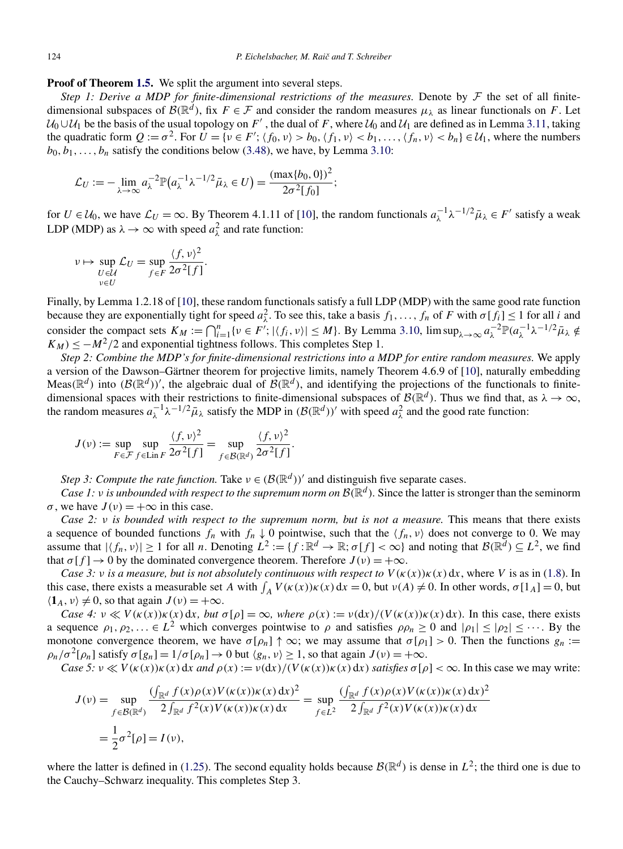**Proof of Theorem [1.5.](#page-12-0)** We split the argument into several steps.

*Step 1: Derive a MDP for finite-dimensional restrictions of the measures.* Denote by  $F$  the set of all finitedimensional subspaces of  $\mathcal{B}(\mathbb{R}^d)$ , fix  $F \in \mathcal{F}$  and consider the random measures  $\mu_\lambda$  as linear functionals on *F*. Let  $U_0 \cup U_1$  be the basis of the usual topology on *F'*, the dual of *F*, where  $U_0$  and  $U_1$  are defined as in Lemma [3.11,](#page-34-0) taking the quadratic form  $Q := \sigma^2$ . For  $U = \{v \in F'; \langle f_0, v \rangle > b_0, \langle f_1, v \rangle < b_1, \dots, \langle f_n, v \rangle < b_n\} \in \mathcal{U}_1$ , where the numbers  $b_0, b_1, \ldots, b_n$  satisfy the conditions below [\(3.48\)](#page-34-0), we have, by Lemma [3.10:](#page-33-0)

$$
\mathcal{L}_U := -\lim_{\lambda \to \infty} a_{\lambda}^{-2} \mathbb{P}(a_{\lambda}^{-1} \lambda^{-1/2} \bar{\mu}_{\lambda} \in U) = \frac{(\max\{b_0, 0\})^2}{2\sigma^2 [f_0]};
$$

for  $U \in \mathcal{U}_0$ , we have  $\mathcal{L}_U = \infty$ . By Theorem 4.1.11 of [\[10\]](#page-39-0), the random functionals  $a_{\lambda}^{-1} \lambda^{-1/2} \bar{\mu}_{\lambda} \in F'$  satisfy a weak LDP (MDP) as  $\lambda \to \infty$  with speed  $a_{\lambda}^2$  and rate function:

$$
\nu \mapsto \sup_{\substack{U \in \mathcal{U} \\ \nu \in U}} \mathcal{L}_U = \sup_{f \in F} \frac{\langle f, \nu \rangle^2}{2\sigma^2[f]}.
$$

Finally, by Lemma 1.2.18 of [\[10\]](#page-39-0), these random functionals satisfy a full LDP (MDP) with the same good rate function because they are exponentially tight for speed  $a_\lambda^2$ . To see this, take a basis  $f_1, \ldots, f_n$  of *F* with  $\sigma[f_i] \leq 1$  for all *i* and consider the compact sets  $K_M := \bigcap_{i=1}^n \{v \in F'; |\langle f_i, v \rangle| \leq M\}$ . By Lemma [3.10,](#page-33-0)  $\limsup_{\lambda \to \infty} a_{\lambda}^{-2} \mathbb{P}(a_{\lambda}^{-1} \lambda^{-1/2} \bar{\mu}_{\lambda} \notin$  $K_M$ )  $\leq -M^2/2$  and exponential tightness follows. This completes Step 1.

*Step 2: Combine the MDP's for finite-dimensional restrictions into a MDP for entire random measures.* We apply a version of the Dawson–Gärtner theorem for projective limits, namely Theorem 4.6.9 of [\[10\]](#page-39-0), naturally embedding Meas( $\mathbb{R}^d$ ) into  $(\mathcal{B}(\mathbb{R}^d))'$ , the algebraic dual of  $\mathcal{B}(\mathbb{R}^d)$ , and identifying the projections of the functionals to finitedimensional spaces with their restrictions to finite-dimensional subspaces of  $\mathcal{B}(\mathbb{R}^d)$ . Thus we find that, as  $\lambda \to \infty$ , the random measures  $a_{\lambda}^{-1} \lambda^{-1/2} \bar{\mu}_{\lambda}$  satisfy the MDP in  $(\mathcal{B}(\mathbb{R}^d))'$  with speed  $a_{\lambda}^2$  and the good rate function:

$$
J(\nu) := \sup_{F \in \mathcal{F}} \sup_{f \in \text{Lin } F} \frac{\langle f, \nu \rangle^2}{2\sigma^2[f]} = \sup_{f \in \mathcal{B}(\mathbb{R}^d)} \frac{\langle f, \nu \rangle^2}{2\sigma^2[f]}.
$$

*Step 3: Compute the rate function.* Take  $v \in (B(\mathbb{R}^d))^{\prime}$  and distinguish five separate cases.

*Case 1: v is unbounded with respect to the supremum norm on*  $\mathcal{B}(\mathbb{R}^d)$ . Since the latter is stronger than the seminorm  $\sigma$ , we have  $J(\nu) = +\infty$  in this case.

*Case 2: ν is bounded with respect to the supremum norm, but is not a measure.* This means that there exists a sequence of bounded functions  $f_n$  with  $f_n \downarrow 0$  pointwise, such that the  $\langle f_n, v \rangle$  does not converge to 0. We may assume that  $|\langle f_n, v \rangle| \ge 1$  for all *n*. Denoting  $L^2 := \{f : \mathbb{R}^d \to \mathbb{R}; \sigma | f| < \infty\}$  and noting that  $\mathcal{B}(\mathbb{R}^d) \subseteq L^2$ , we find that  $\sigma[f] \to 0$  by the dominated convergence theorem. Therefore  $J(\nu) = +\infty$ .

*Case 3: v is a measure, but is not absolutely continuous with respect to*  $V(\kappa(x))\kappa(x) dx$ , where *V* is as in [\(1.8\)](#page-5-0). In this case, there exists a measurable set *A* with  $\int_A V(\kappa(x))\kappa(x) dx = 0$ , but  $\nu(A) \neq 0$ . In other words,  $\sigma[1_A] = 0$ , but  $\langle 1_A, v \rangle \neq 0$ , so that again  $J(v) = +\infty$ .

*Case 4:*  $\nu \ll V(\kappa(x))\kappa(x) dx$ *, but*  $\sigma[\rho] = \infty$ *, where*  $\rho(x) := \nu(\frac{dx}{V(\kappa(x))}\kappa(x) dx$ *.* In this case, there exists a sequence  $\rho_1, \rho_2, \ldots \in L^2$  which converges pointwise to  $\rho$  and satisfies  $\rho \rho_n \geq 0$  and  $|\rho_1| \leq |\rho_2| \leq \cdots$ . By the monotone convergence theorem, we have  $\sigma[\rho_n] \uparrow \infty$ ; we may assume that  $\sigma[\rho_1] > 0$ . Then the functions  $g_n :=$  $\rho_n/\sigma^2[\rho_n]$  satisfy  $\sigma[g_n] = 1/\sigma[\rho_n] \to 0$  but  $\langle g_n, v \rangle \ge 1$ , so that again  $J(v) = +\infty$ .

*Case 5:*  $v \ll V(\kappa(x))\kappa(x)$  dx *and*  $\rho(x) := v(\frac{dx}{V(\kappa(x))}\kappa(x) dx)$  *satisfies*  $\sigma[\rho] < \infty$ . In this case we may write:

$$
J(\nu) = \sup_{f \in \mathcal{B}(\mathbb{R}^d)} \frac{(\int_{\mathbb{R}^d} f(x)\rho(x)V(\kappa(x))\kappa(x) dx)^2}{2\int_{\mathbb{R}^d} f^2(x)V(\kappa(x))\kappa(x) dx} = \sup_{f \in L^2} \frac{(\int_{\mathbb{R}^d} f(x)\rho(x)V(\kappa(x))\kappa(x) dx)^2}{2\int_{\mathbb{R}^d} f^2(x)V(\kappa(x))\kappa(x) dx}
$$
  
=  $\frac{1}{2}\sigma^2[\rho] = I(\nu),$ 

where the latter is defined in [\(1.25\)](#page-12-0). The second equality holds because  $\mathcal{B}(\mathbb{R}^d)$  is dense in  $L^2$ ; the third one is due to the Cauchy–Schwarz inequality. This completes Step 3.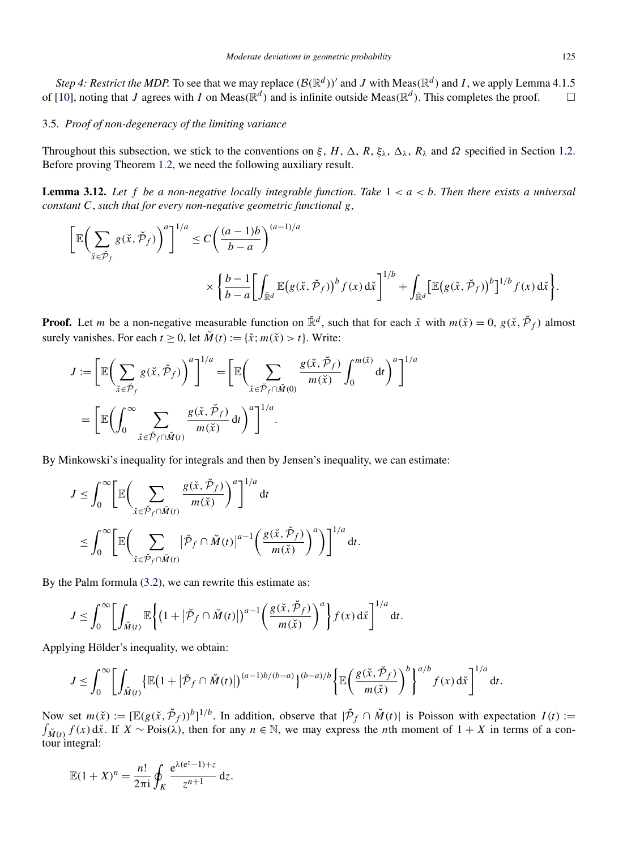<span id="page-36-0"></span>*Step 4: Restrict the MDP.* To see that we may replace  $(B(\mathbb{R}^d))'$  and *J* with Meas $(\mathbb{R}^d)$  and *I*, we apply Lemma 4.1.5 [10], noting that *J* agrees with *I* on Meas $(\mathbb{R}^d)$  and is infinite outside Meas $(\mathbb{R}^$ of [\[10\]](#page-39-0), noting that *J* agrees with *I* on Meas( $\mathbb{R}^d$ ) and is infinite outside Meas( $\mathbb{R}^d$ ). This completes the proof.

## 3.5. *Proof of non-degeneracy of the limiting variance*

Throughout this subsection, we stick to the conventions on  $\xi$ ,  $H$ ,  $\Delta$ ,  $R$ ,  $\xi_{\lambda}$ ,  $\Delta_{\lambda}$ ,  $R_{\lambda}$  and  $\Omega$  specified in Section [1.2.](#page-8-0) Before proving Theorem [1.2,](#page-8-0) we need the following auxiliary result.

**Lemma 3.12.** Let f be a non-negative locally integrable function. Take  $1 < a < b$ . Then there exists a universal *constant C*, *such that for every non-negative geometric functional g*,

$$
\left[\mathbb{E}\bigg(\sum_{\check{x}\in\check{\mathcal{P}}_f}g(\check{x},\check{\mathcal{P}}_f)\bigg)^a\right]^{1/a} \le C\bigg(\frac{(a-1)b}{b-a}\bigg)^{(a-1)/a} \times \bigg\{\frac{b-1}{b-a}\bigg[\int_{\check{\mathbb{R}}^d}\mathbb{E}\big(g(\check{x},\check{\mathcal{P}}_f)\big)^b f(x)\,d\check{x}\bigg]^{1/b} + \int_{\check{\mathbb{R}}^d}\big[\mathbb{E}\big(g(\check{x},\check{\mathcal{P}}_f)\big)^b\big]^{1/b} f(x)\,d\check{x}\bigg\}.
$$

**Proof.** Let *m* be a non-negative measurable function on  $\mathbb{R}^d$ , such that for each  $\ddot{x}$  with  $m(\ddot{x}) = 0$ ,  $g(\ddot{x}, \ddot{p}_f)$  almost surely vanishes. For each  $t > 0$ , let  $\check{M}(t) := {\{\check{x}; m(\check{x}) > t\}}$ . Write:

$$
J := \left[ \mathbb{E} \left( \sum_{\check{x} \in \check{\mathcal{P}}_f} g(\check{x}, \check{\mathcal{P}}_f) \right)^a \right]^{1/a} = \left[ \mathbb{E} \left( \sum_{\check{x} \in \check{\mathcal{P}}_f \cap \check{M}(0)} \frac{g(\check{x}, \check{\mathcal{P}}_f)}{m(\check{x})} \int_0^{m(\check{x})} dt \right)^a \right]^{1/a}
$$

$$
= \left[ \mathbb{E} \left( \int_0^{\infty} \sum_{\check{x} \in \check{\mathcal{P}}_f \cap \check{M}(t)} \frac{g(\check{x}, \check{\mathcal{P}}_f)}{m(\check{x})} dt \right)^a \right]^{1/a}.
$$

By Minkowski's inequality for integrals and then by Jensen's inequality, we can estimate:

$$
J \leq \int_0^\infty \left[ \mathbb{E} \left( \sum_{\substack{\tilde{x} \in \tilde{\mathcal{P}}_f \cap \tilde{M}(t) \\ \tilde{x} \in \tilde{\mathcal{P}}_f \cap \tilde{M}(t)}} \frac{g(\tilde{x}, \tilde{\mathcal{P}}_f)}{m(\tilde{x})} \right)^a \right]^{1/a} dt
$$
  

$$
\leq \int_0^\infty \left[ \mathbb{E} \left( \sum_{\tilde{x} \in \tilde{\mathcal{P}}_f \cap \tilde{M}(t)} |\tilde{\mathcal{P}}_f \cap \tilde{M}(t)|^{a-1} \left( \frac{g(\tilde{x}, \tilde{\mathcal{P}}_f)}{m(\tilde{x})} \right)^a \right) \right]^{1/a} dt.
$$

By the Palm formula [\(3.2\)](#page-21-0), we can rewrite this estimate as:

$$
J \leq \int_0^\infty \left[ \int_{\breve{M}(t)} \mathbb{E}\left\{ \left(1 + \left|\breve{\mathcal{P}}_f \cap \breve{M}(t)\right|\right)^{a-1} \left(\frac{g(\breve{x}, \breve{\mathcal{P}}_f)}{m(\breve{x})}\right)^a \right\} f(x) \, \mathrm{d}\breve{x} \right]^{1/a} \, \mathrm{d}t.
$$

Applying Hölder's inequality, we obtain:

$$
J \leq \int_0^\infty \left[ \int_{\breve{M}(t)} \left\{ \mathbb{E} \left( 1 + \left| \breve{\mathcal{P}}_f \cap \breve{M}(t) \right| \right)^{(a-1)b/(b-a)} \right\}^{(b-a)/b} \left\{ \mathbb{E} \left( \frac{g(\breve{x}, \breve{\mathcal{P}}_f)}{m(\breve{x})} \right)^b \right\}^{a/b} f(x) \, \mathrm{d}\breve{x} \right]^{1/a} \, \mathrm{d}t.
$$

Now set  $m(\tilde{x}) := [\mathbb{E}(g(\tilde{x}, \tilde{P}_f))^b]^{1/b}$ . In addition, observe that  $|\tilde{P}_f \cap \tilde{M}(t)|$  is Poisson with expectation  $I(t) :=$ Now set  $m(\tilde{x}) := [\mathbb{E}(g(\tilde{x}, \tilde{\mathcal{P}}_f))^b]^{1/b}$ . In addition, observe that  $|\tilde{\mathcal{P}}_f \cap \tilde{M}(t)|$  is Poisson with expectation  $I(t) := \int_{\tilde{M}(t)} f(x) dx$ . If  $X \sim \text{Pois}(\lambda)$ , then for any  $n \in \mathbb{N}$ , we may express the *n*th m tour integral:

$$
\mathbb{E}(1+X)^n = \frac{n!}{2\pi i} \oint_K \frac{e^{\lambda(e^z-1)+z}}{z^{n+1}} dz.
$$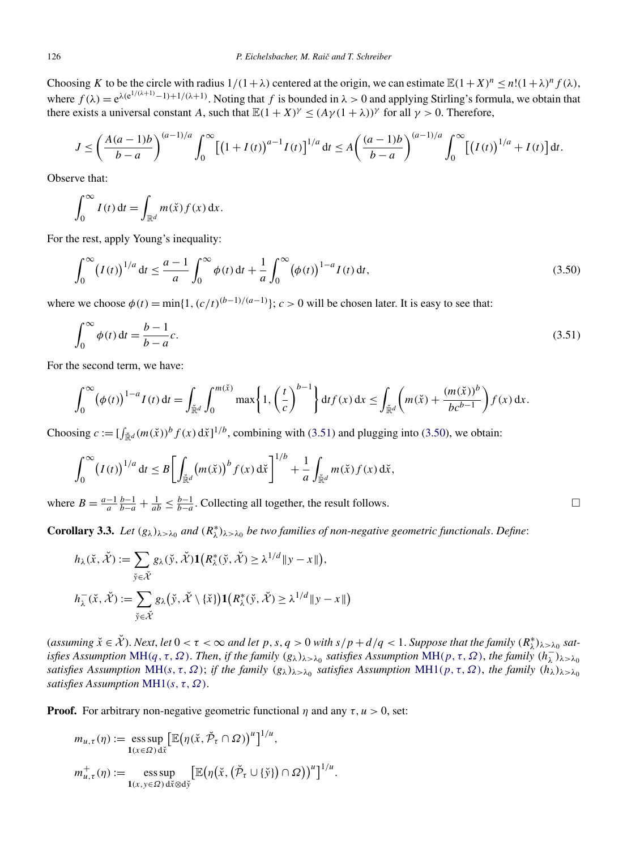<span id="page-37-0"></span>Choosing *K* to be the circle with radius  $1/(1+\lambda)$  centered at the origin, we can estimate  $\mathbb{E}(1+X)^n \leq n!(1+\lambda)^n f(\lambda)$ , where  $f(\lambda) = e^{\lambda(e^{1/(\lambda+1)}-1)+1/(\lambda+1)}$ . Noting that *f* is bounded in  $\lambda > 0$  and applying Stirling's formula, we obtain that there exists a universal constant *A*, such that  $\mathbb{E}(1+X)^{\gamma} \leq (A\gamma(1+\lambda))^{\gamma}$  for all  $\gamma > 0$ . Therefore,

$$
J \leq \left(\frac{A(a-1)b}{b-a}\right)^{(a-1)/a} \int_0^{\infty} \left[ \left(1+I(t)\right)^{a-1} I(t) \right]^{1/a} \mathrm{d}t \leq A \left(\frac{(a-1)b}{b-a}\right)^{(a-1)/a} \int_0^{\infty} \left[ \left(I(t)\right)^{1/a} + I(t) \right] \mathrm{d}t.
$$

Observe that:

$$
\int_0^\infty I(t) \, \mathrm{d}t = \int_{\mathbb{R}^d} m(\check{x}) f(x) \, \mathrm{d}x.
$$

For the rest, apply Young's inequality:

$$
\int_0^{\infty} (I(t))^{1/a} dt \le \frac{a-1}{a} \int_0^{\infty} \phi(t) dt + \frac{1}{a} \int_0^{\infty} (\phi(t))^{1-a} I(t) dt,
$$
\n(3.50)

where we choose  $\phi(t) = \min\{1, (c/t)^{(b-1)/(a-1)}\}$ ;  $c > 0$  will be chosen later. It is easy to see that:

$$
\int_0^\infty \phi(t) dt = \frac{b-1}{b-a}c.
$$
\n(3.51)

For the second term, we have:

$$
\int_0^\infty (\phi(t))^{1-a} I(t) dt = \int_{\mathbb{R}^d} \int_0^{m(\tilde{x})} \max\left\{1, \left(\frac{t}{c}\right)^{b-1}\right\} dt f(x) dx \le \int_{\mathbb{R}^d} \left(m(\tilde{x}) + \frac{(m(\tilde{x}))^b}{bc^{b-1}}\right) f(x) dx.
$$

Choosing  $c := [\int_{\mathbb{R}^d} (m(\tilde{x}))^b f(x) d\tilde{x}]^{1/b}$ , combining with (3.51) and plugging into (3.50), we obtain:

$$
\int_0^\infty (I(t))^{1/a} dt \leq B \bigg[ \int_{\mathbb{R}^d} (m(\check{x}))^b f(x) d\check{x} \bigg]^{1/b} + \frac{1}{a} \int_{\mathbb{R}^d} m(\check{x}) f(x) d\check{x},
$$

where  $B = \frac{a-1}{a} \frac{b-1}{b-a} + \frac{1}{ab} \le \frac{b-1}{b-a}$ . Collecting all together, the result follows. □

**Corollary 3.3.** *Let*  $(g_\lambda)_{\lambda>\lambda_0}$  *and*  $(R_\lambda^*)_{\lambda>\lambda_0}$  *be two families of non-negative geometric functionals. Define:* 

$$
h_{\lambda}(\check{x}, \check{\mathcal{X}}) := \sum_{\check{y} \in \check{\mathcal{X}}} g_{\lambda}(\check{y}, \check{\mathcal{X}}) \mathbf{1}\big(R_{\lambda}^*(\check{y}, \check{\mathcal{X}}) \geq \lambda^{1/d} \|y - x\|\big),
$$
  

$$
h_{\lambda}^-(\check{x}, \check{\mathcal{X}}) := \sum_{\check{y} \in \check{\mathcal{X}}} g_{\lambda}\big(\check{y}, \check{\mathcal{X}} \setminus \{\check{x}\}\big) \mathbf{1}\big(R_{\lambda}^*(\check{y}, \check{\mathcal{X}}) \geq \lambda^{1/d} \|y - x\|\big)
$$

 $(assuming \; \check{x} \in \check{X})$ . *Next*, *let*  $0 < \tau < \infty$  and *let*  $p$ ,  $s$ ,  $q > 0$  with  $s/p + d/q < 1$ . Suppose that the family  $(R^*_{\lambda})_{\lambda > \lambda_0}$  sat*isfies Assumption* MH( $q, \tau, \Omega$ ). *Then, if the family*  $(g_\lambda)_{\lambda > \lambda_0}$  *satisfies Assumption* MH( $p, \tau, \Omega$ )*, the family*  $(h_\lambda^-)_{\lambda > \lambda_0}$ *satisfies Assumption* MH(s,  $\tau$ ,  $\Omega$ ); *if the family* ( $g_{\lambda}$ )<sub> $\lambda > \lambda_0$ </sub> *satisfies Assumption* MH1( $p$ ,  $\tau$ ,  $\Omega$ ), *the family*  $(h_{\lambda})_{\lambda > \lambda_0}$ *satisfies Assumption* MH1*[\(s,τ,Ω\)](#page-8-0)*.

**Proof.** For arbitrary non-negative geometric functional  $\eta$  and any  $\tau$ ,  $u > 0$ , set:

$$
m_{u,\tau}(\eta) := \operatorname*{ess\,sup}_{\mathbf{1}(x \in \Omega) \, \mathrm{d}\check{x}} \left[ \mathbb{E} \big( \eta(\check{x}, \check{\mathcal{P}}_{\tau} \cap \Omega) \big)^{u} \right]^{1/u},
$$
  

$$
m_{u,\tau}^{+}(\eta) := \operatorname*{ess\,sup}_{\mathbf{1}(x,y \in \Omega) \, \mathrm{d}\check{x} \otimes \mathrm{d}\check{y}} \left[ \mathbb{E} \big( \eta\big(\check{x}, \big(\check{\mathcal{P}}_{\tau} \cup \{\check{y}\}\big) \cap \Omega\big) \big)^{u} \right]^{1/u}.
$$

 $\Box$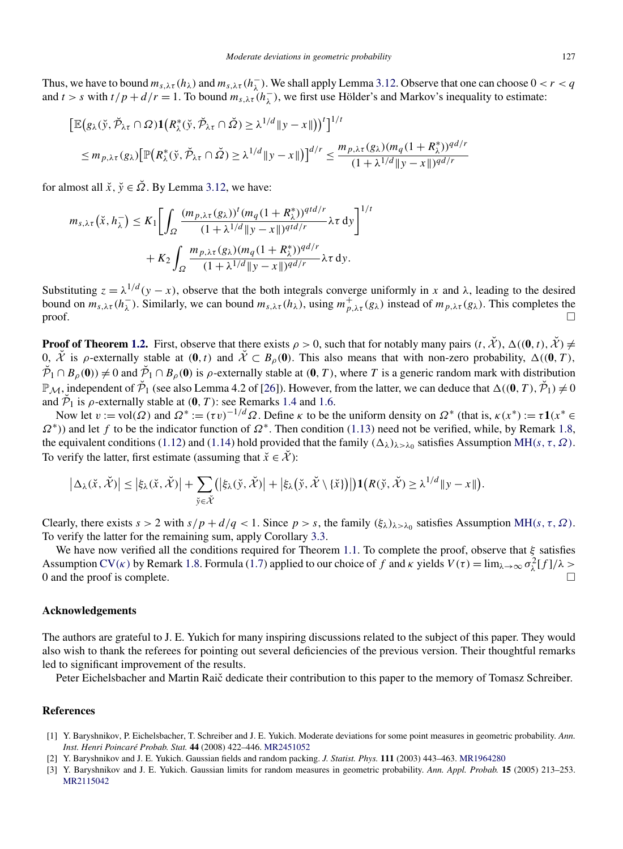<span id="page-38-0"></span>Thus, we have to bound  $m_{s,\lambda\tau}(h_\lambda)$  and  $m_{s,\lambda\tau}(h_\lambda^-)$ . We shall apply Lemma [3.12.](#page-36-0) Observe that one can choose  $0 < r < q$ and  $t > s$  with  $t/p + d/r = 1$ . To bound  $m_{s,\lambda\tau}(h_{\lambda}^-)$ , we first use Hölder's and Markov's inequality to estimate:

$$
\begin{aligned} \left[ \mathbb{E} \left( g_{\lambda}(\breve{y}, \breve{\mathcal{P}}_{\lambda \tau} \cap \varOmega) \mathbf{1} \left( R_{\lambda}^*(\breve{y}, \breve{\mathcal{P}}_{\lambda \tau} \cap \breve{\varOmega}) \ge \lambda^{1/d} \| y - x \| \right) \right)^t \right]^{1/t} \\ \leq & m_{p, \lambda \tau}(g_{\lambda}) \big[ \mathbb{P} \left( R_{\lambda}^*(\breve{y}, \breve{\mathcal{P}}_{\lambda \tau} \cap \breve{\varOmega}) \ge \lambda^{1/d} \| y - x \| \right) \big]^{d/r} \le \frac{m_{p, \lambda \tau}(g_{\lambda}) (m_q(1 + R_{\lambda}^*))^{qd/r}}{(1 + \lambda^{1/d} \| y - x \|)^{qd/r}} \end{aligned}
$$

for almost all  $\tilde{x}$ ,  $\tilde{y} \in \tilde{\Omega}$ . By Lemma [3.12,](#page-36-0) we have:

$$
m_{s,\lambda\tau}(\check{x}, h_{\lambda}^{-}) \leq K_{1} \Biggl[ \int_{\Omega} \frac{(m_{p,\lambda\tau}(g_{\lambda}))^{t} (m_{q}(1 + R_{\lambda}^{*}))^{qtd/r}}{(1 + \lambda^{1/d} || y - x ||)^{qtd/r}} \lambda\tau \, dy \Biggr]^{1/t}
$$

$$
+ K_{2} \int_{\Omega} \frac{m_{p,\lambda\tau}(g_{\lambda})(m_{q}(1 + R_{\lambda}^{*}))^{qd/r}}{(1 + \lambda^{1/d} || y - x ||)^{qd/r}} \lambda\tau \, dy.
$$

Substituting  $z = \lambda^{1/d} (y - x)$ , observe that the both integrals converge uniformly in *x* and  $\lambda$ , leading to the desired bound on  $m_{s,\lambda\tau}$   $(h_{\lambda}^-)$ . Similarly, we can bound  $m_{s,\lambda\tau}$   $(h_{\lambda})$ , using  $m_{p,\lambda\tau}^+$   $(g_{\lambda})$  instead of  $m_{p,\lambda\tau}$   $(g_{\lambda})$ . This completes the  $\Box$ 

**Proof of Theorem [1.2.](#page-8-0)** First, observe that there exists  $\rho > 0$ , such that for notably many pairs  $(t, \tilde{X})$ ,  $\Delta((0, t), \tilde{X}) \neq 0$  $0, \tilde{X}$  is  $\rho$ -externally stable at  $(0, t)$  and  $\tilde{X} \subset B_{\rho}(0)$ . This also means that with non-zero probability,  $\Delta((0, T),$  $\tilde{P}_1 \cap B_\rho(\mathbf{0}) \neq 0$  and  $\tilde{P}_1 \cap B_\rho(\mathbf{0})$  is  $\rho$ -externally stable at  $(\mathbf{0}, T)$ , where T is a generic random mark with distribution  $\mathbb{P}_{\mathcal{M}}$ , independent of  $\tilde{\mathcal{P}}_1$  (see also Lemma 4.2 of [\[26\]](#page-39-0)). However, from the latter, we can deduce that  $\Delta((\mathbf{0}, T), \tilde{\mathcal{P}}_1) \neq 0$ and  $\tilde{P}_1$  is  $\rho$ -externally stable at  $(\mathbf{0}, T)$ : see Remarks [1.4](#page-6-0) and [1.6.](#page-7-0)

Now let *v* := vol( $Ω$ ) and  $Ω^*$  :=  $(τv)^{-1/d}Ω$ . Define *κ* to be the uniform density on  $Ω^*$  (that is,  $κ(x^*) := τ1(x^* ∈ Σ)$  $\Omega^*$ )) and let *f* to be the indicator function of  $\Omega^*$ . Then condition [\(1.13\)](#page-7-0) need not be verified, while, by Remark [1.8,](#page-8-0) the equivalent conditions [\(1.12\)](#page-7-0) and [\(1.14\)](#page-7-0) hold provided that the family  $(\Delta_\lambda)_{\lambda>\lambda_0}$  satisfies Assumption MH(s,  $\tau$ ,  $\Omega$ ). To verify the latter, first estimate (assuming that  $\check{x} \in \check{\mathcal{X}}$ ):

$$
\left|\Delta_{\lambda}(\check{x},\check{\mathcal{X}})\right| \leq \left|\xi_{\lambda}(\check{x},\check{\mathcal{X}})\right| + \sum_{\check{y}\in\check{\mathcal{X}}} \left(\left|\xi_{\lambda}(\check{y},\check{\mathcal{X}})\right| + \left|\xi_{\lambda}(\check{y},\check{\mathcal{X}}\setminus\{\check{x}\})\right|\right) \mathbf{1}\left(R(\check{y},\check{\mathcal{X}})\geq \lambda^{1/d} \|y-x\|\right).
$$

Clearly, there exists  $s > 2$  with  $s/p + d/q < 1$ . Since  $p > s$ , the family  $(\xi_{\lambda})_{\lambda > \lambda_0}$  satisfies Assumption MH(s,  $\tau$ ,  $\Omega$ ). To verify the latter for the remaining sum, apply Corollary [3.3.](#page-37-0)

We have now verified all the conditions required for Theorem [1.1.](#page-7-0) To complete the proof, observe that *ξ* satisfies Assumption [CV](#page-5-0)( $\kappa$ ) by Remark [1.8.](#page-8-0) Formula [\(1.7\)](#page-5-0) applied to our choice of  $f$  and  $\kappa$  yields  $V(\tau) = \lim_{\lambda \to \infty} \sigma_{\lambda}^2[f]/\lambda$ 0 and the proof is complete.

#### **Acknowledgements**

The authors are grateful to J. E. Yukich for many inspiring discussions related to the subject of this paper. They would also wish to thank the referees for pointing out several deficiencies of the previous version. Their thoughtful remarks led to significant improvement of the results.

Peter Eichelsbacher and Martin Raič dedicate their contribution to this paper to the memory of Tomasz Schreiber.

## **References**

- [1] Y. Baryshnikov, P. Eichelsbacher, T. Schreiber and J. E. Yukich. Moderate deviations for some point measures in geometric probability. *Ann. Inst. Henri Poincaré Probab. Stat.* **44** (2008) 422–446. [MR2451052](http://www.ams.org/mathscinet-getitem?mr=2451052)
- [2] Y. Baryshnikov and J. E. Yukich. Gaussian fields and random packing. *J. Statist. Phys.* **111** (2003) 443–463. [MR1964280](http://www.ams.org/mathscinet-getitem?mr=1964280)

<sup>[3]</sup> Y. Baryshnikov and J. E. Yukich. Gaussian limits for random measures in geometric probability. *Ann. Appl. Probab.* **15** (2005) 213–253. [MR2115042](http://www.ams.org/mathscinet-getitem?mr=2115042)